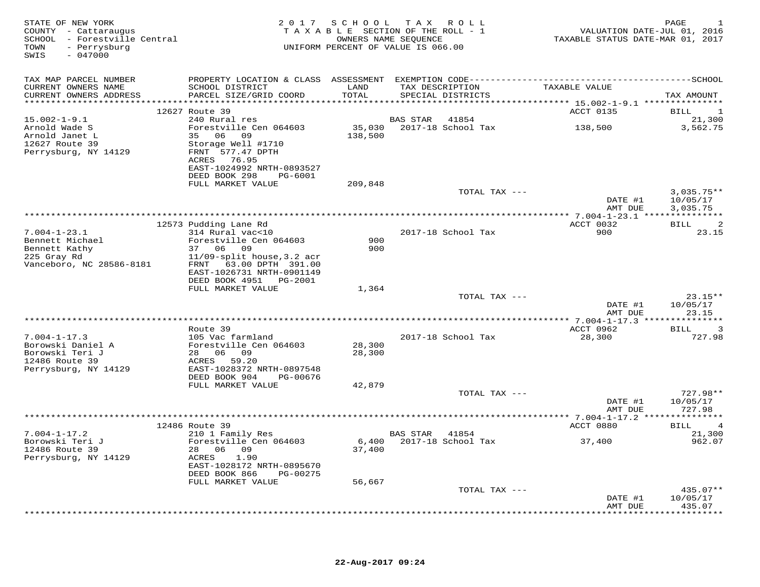| STATE OF NEW YORK<br>COUNTY - Cattaraugus<br>SCHOOL - Forestville Central<br>TOWN<br>- Perrysburg<br>SWIS<br>$-047000$ |                                             |               | 2017 SCHOOL TAX ROLL<br>TAXABLE SECTION OF THE ROLL - 1<br>OWNERS NAME SEQUENCE<br>UNIFORM PERCENT OF VALUE IS 066.00 | VALUATION DATE-JUL 01, 2016<br>TAXABLE STATUS DATE-MAR 01, 2017 | PAGE                   |
|------------------------------------------------------------------------------------------------------------------------|---------------------------------------------|---------------|-----------------------------------------------------------------------------------------------------------------------|-----------------------------------------------------------------|------------------------|
| TAX MAP PARCEL NUMBER                                                                                                  |                                             |               |                                                                                                                       |                                                                 |                        |
| CURRENT OWNERS NAME<br>CURRENT OWNERS ADDRESS                                                                          | SCHOOL DISTRICT<br>PARCEL SIZE/GRID COORD   | LAND<br>TOTAL | TAX DESCRIPTION<br>SPECIAL DISTRICTS                                                                                  | TAXABLE VALUE                                                   | TAX AMOUNT             |
|                                                                                                                        |                                             |               |                                                                                                                       |                                                                 |                        |
| $15.002 - 1 - 9.1$                                                                                                     | 12627 Route 39<br>240 Rural res             |               | <b>BAS STAR</b><br>41854                                                                                              | ACCT 0135                                                       | BILL<br>21,300         |
| Arnold Wade S                                                                                                          | Forestville Cen 064603                      | 35,030        | 2017-18 School Tax                                                                                                    | 138,500                                                         | 3,562.75               |
| Arnold Janet L                                                                                                         | 35 06 09                                    | 138,500       |                                                                                                                       |                                                                 |                        |
| 12627 Route 39                                                                                                         | Storage Well #1710                          |               |                                                                                                                       |                                                                 |                        |
| Perrysburg, NY 14129                                                                                                   | FRNT 577.47 DPTH                            |               |                                                                                                                       |                                                                 |                        |
|                                                                                                                        | 76.95<br>ACRES<br>EAST-1024992 NRTH-0893527 |               |                                                                                                                       |                                                                 |                        |
|                                                                                                                        | DEED BOOK 298<br>PG-6001                    |               |                                                                                                                       |                                                                 |                        |
|                                                                                                                        | FULL MARKET VALUE                           | 209,848       |                                                                                                                       |                                                                 |                        |
|                                                                                                                        |                                             |               | TOTAL TAX ---                                                                                                         |                                                                 | $3,035.75**$           |
|                                                                                                                        |                                             |               |                                                                                                                       | DATE #1<br>AMT DUE                                              | 10/05/17<br>3,035.75   |
|                                                                                                                        |                                             |               |                                                                                                                       |                                                                 |                        |
|                                                                                                                        | 12573 Pudding Lane Rd                       |               |                                                                                                                       | ACCT 0032                                                       | BILL<br>2              |
| $7.004 - 1 - 23.1$                                                                                                     | 314 Rural vac<10                            |               | 2017-18 School Tax                                                                                                    | 900                                                             | 23.15                  |
| Bennett Michael<br>Bennett Kathy                                                                                       | Forestville Cen 064603<br>37 06 09          | 900<br>900    |                                                                                                                       |                                                                 |                        |
| 225 Gray Rd                                                                                                            | $11/09$ -split house, 3.2 acr               |               |                                                                                                                       |                                                                 |                        |
| Vanceboro, NC 28586-8181                                                                                               | FRNT 63.00 DPTH 391.00                      |               |                                                                                                                       |                                                                 |                        |
|                                                                                                                        | EAST-1026731 NRTH-0901149                   |               |                                                                                                                       |                                                                 |                        |
|                                                                                                                        | DEED BOOK 4951<br>PG-2001                   |               |                                                                                                                       |                                                                 |                        |
|                                                                                                                        | FULL MARKET VALUE                           | 1,364         | TOTAL TAX ---                                                                                                         |                                                                 | $23.15**$              |
|                                                                                                                        |                                             |               |                                                                                                                       | DATE #1                                                         | 10/05/17               |
|                                                                                                                        |                                             |               |                                                                                                                       | AMT DUE                                                         | 23.15                  |
|                                                                                                                        |                                             |               |                                                                                                                       | ****************** 7.004-1-17.3 ***                             |                        |
| $7.004 - 1 - 17.3$                                                                                                     | Route 39<br>105 Vac farmland                |               |                                                                                                                       | ACCT 0962                                                       | <b>BILL</b><br>3       |
| Borowski Daniel A                                                                                                      | Forestville Cen 064603                      | 28,300        | 2017-18 School Tax                                                                                                    | 28,300                                                          | 727.98                 |
| Borowski Teri J                                                                                                        | 06 09<br>28                                 | 28,300        |                                                                                                                       |                                                                 |                        |
| 12486 Route 39                                                                                                         | 59.20<br>ACRES                              |               |                                                                                                                       |                                                                 |                        |
| Perrysburg, NY 14129                                                                                                   | EAST-1028372 NRTH-0897548                   |               |                                                                                                                       |                                                                 |                        |
|                                                                                                                        | DEED BOOK 904<br>PG-00676                   |               |                                                                                                                       |                                                                 |                        |
|                                                                                                                        | FULL MARKET VALUE                           | 42,879        | TOTAL TAX ---                                                                                                         |                                                                 | 727.98**               |
|                                                                                                                        |                                             |               |                                                                                                                       | DATE #1                                                         | 10/05/17               |
|                                                                                                                        |                                             |               |                                                                                                                       | AMT DUE                                                         | 727.98                 |
|                                                                                                                        |                                             |               | **********************                                                                                                | ** 7.004-1-17.2 ****                                            | * * * * * * * * * * *  |
|                                                                                                                        | 12486 Route 39                              |               |                                                                                                                       | ACCT 0880                                                       | BILL<br>$\overline{4}$ |
| $7.004 - 1 - 17.2$<br>Borowski Teri J                                                                                  | 210 1 Family Res<br>Forestville Cen 064603  | 6,400         | BAS STAR<br>41854<br>2017-18 School Tax                                                                               | 37,400                                                          | 21,300<br>962.07       |
| 12486 Route 39                                                                                                         | 06 09<br>28                                 | 37,400        |                                                                                                                       |                                                                 |                        |
| Perrysburg, NY 14129                                                                                                   | ACRES<br>1.90                               |               |                                                                                                                       |                                                                 |                        |
|                                                                                                                        | EAST-1028172 NRTH-0895670                   |               |                                                                                                                       |                                                                 |                        |
|                                                                                                                        | DEED BOOK 866<br>PG-00275                   |               |                                                                                                                       |                                                                 |                        |
|                                                                                                                        | FULL MARKET VALUE                           | 56,667        | TOTAL TAX ---                                                                                                         |                                                                 | $435.07**$             |
|                                                                                                                        |                                             |               |                                                                                                                       | DATE #1                                                         | 10/05/17               |
|                                                                                                                        |                                             |               |                                                                                                                       | AMT DUE                                                         | 435.07                 |
|                                                                                                                        |                                             |               |                                                                                                                       |                                                                 | * * * * * * * *        |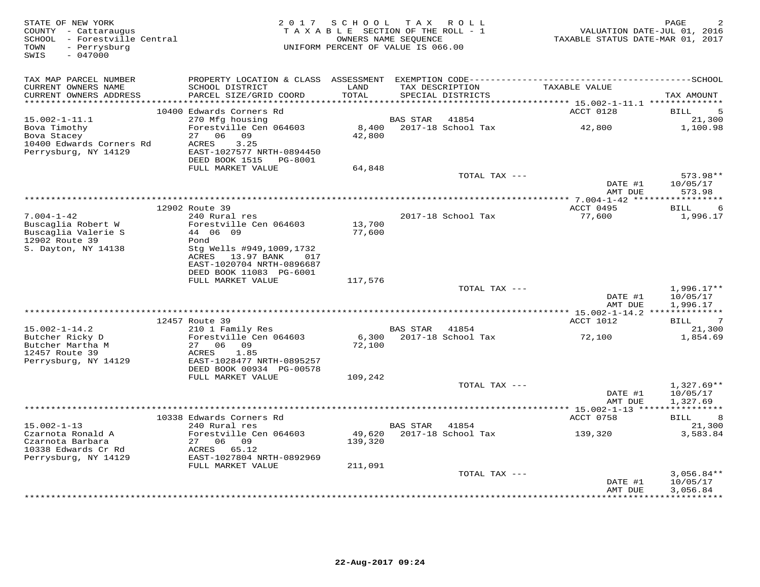| STATE OF NEW YORK<br>COUNTY - Cattaraugus<br>SCHOOL - Forestville Central<br>- Perrysburg<br>TOWN<br>SWIS<br>$-047000$ | 2 0 1 7                                                                                                                | SCHOOL            | TAX ROLL<br>TAXABLE SECTION OF THE ROLL - 1<br>OWNERS NAME SEOUENCE<br>UNIFORM PERCENT OF VALUE IS 066.00 | TAXABLE STATUS DATE-MAR 01, 2017          | PAGE<br>VALUATION DATE-JUL 01, 2016  |
|------------------------------------------------------------------------------------------------------------------------|------------------------------------------------------------------------------------------------------------------------|-------------------|-----------------------------------------------------------------------------------------------------------|-------------------------------------------|--------------------------------------|
| TAX MAP PARCEL NUMBER<br>CURRENT OWNERS NAME<br>CURRENT OWNERS ADDRESS<br>************************                     | SCHOOL DISTRICT<br>PARCEL SIZE/GRID COORD                                                                              | LAND<br>TOTAL     | TAX DESCRIPTION<br>SPECIAL DISTRICTS                                                                      | TAXABLE VALUE                             | TAX AMOUNT                           |
|                                                                                                                        | 10400 Edwards Corners Rd                                                                                               |                   |                                                                                                           | ACCT 0128                                 | <b>BILL</b><br>5                     |
| $15.002 - 1 - 11.1$                                                                                                    | 270 Mfg housing                                                                                                        |                   | 41854<br>BAS STAR                                                                                         |                                           | 21,300                               |
| Bova Timothy<br>Bova Stacey<br>10400 Edwards Corners Rd<br>Perrysburg, NY 14129                                        | Forestville Cen 064603<br>27<br>06 09<br>3.25<br>ACRES<br>EAST-1027577 NRTH-0894450<br>DEED BOOK 1515<br>PG-8001       | 8,400<br>42,800   | 2017-18 School Tax                                                                                        | 42,800                                    | 1,100.98                             |
|                                                                                                                        | FULL MARKET VALUE                                                                                                      | 64,848            |                                                                                                           |                                           |                                      |
|                                                                                                                        |                                                                                                                        |                   | TOTAL TAX ---                                                                                             | DATE #1<br>AMT DUE                        | 573.98**<br>10/05/17<br>573.98       |
|                                                                                                                        |                                                                                                                        |                   |                                                                                                           |                                           |                                      |
| $7.004 - 1 - 42$                                                                                                       | 12902 Route 39<br>240 Rural res                                                                                        |                   | 2017-18 School Tax                                                                                        | ACCT 0495<br>77,600                       | 6<br>BILL<br>1,996.17                |
| Buscaglia Robert W<br>Buscaglia Valerie S                                                                              | Forestville Cen 064603<br>44 06 09                                                                                     | 13,700<br>77,600  |                                                                                                           |                                           |                                      |
| 12902 Route 39<br>S. Dayton, NY 14138                                                                                  | Pond<br>Stg Wells #949,1009,1732<br>ACRES<br>13.97 BANK<br>017<br>EAST-1020704 NRTH-0896687<br>DEED BOOK 11083 PG-6001 |                   |                                                                                                           |                                           |                                      |
|                                                                                                                        | FULL MARKET VALUE                                                                                                      | 117,576           |                                                                                                           |                                           |                                      |
|                                                                                                                        |                                                                                                                        |                   | TOTAL TAX ---                                                                                             | DATE #1<br>AMT DUE                        | $1,996.17**$<br>10/05/17<br>1,996.17 |
|                                                                                                                        |                                                                                                                        |                   |                                                                                                           | ************ 15.002-1-14.2 ************** |                                      |
| $15.002 - 1 - 14.2$                                                                                                    | 12457 Route 39<br>210 1 Family Res                                                                                     |                   | 41854<br>BAS STAR                                                                                         | ACCT 1012                                 | 7<br>BILL<br>21,300                  |
| Butcher Ricky D<br>Butcher Martha M<br>12457 Route 39<br>Perrysburg, NY 14129                                          | Forestville Cen 064603<br>27 06 09<br>1.85<br>ACRES<br>EAST-1028477 NRTH-0895257                                       | 6,300<br>72,100   | 2017-18 School Tax                                                                                        | 72,100                                    | 1,854.69                             |
|                                                                                                                        | DEED BOOK 00934 PG-00578<br>FULL MARKET VALUE                                                                          | 109,242           |                                                                                                           |                                           |                                      |
|                                                                                                                        |                                                                                                                        |                   | TOTAL TAX ---                                                                                             | DATE #1                                   | $1,327.69**$<br>10/05/17             |
|                                                                                                                        |                                                                                                                        |                   |                                                                                                           | AMT DUE                                   | 1,327.69                             |
|                                                                                                                        | 10338 Edwards Corners Rd                                                                                               |                   |                                                                                                           | ACCT 0758                                 | BILL<br>8                            |
| $15.002 - 1 - 13$                                                                                                      | 240 Rural res                                                                                                          |                   | <b>BAS STAR</b><br>41854                                                                                  |                                           | 21,300                               |
| Czarnota Ronald A<br>Czarnota Barbara<br>10338 Edwards Cr Rd                                                           | Forestville Cen 064603<br>06<br>09<br>27<br>ACRES<br>65.12                                                             | 49,620<br>139,320 | 2017-18 School Tax                                                                                        | 139,320                                   | 3,583.84                             |
| Perrysburg, NY 14129                                                                                                   | EAST-1027804 NRTH-0892969                                                                                              |                   |                                                                                                           |                                           |                                      |
|                                                                                                                        | FULL MARKET VALUE                                                                                                      | 211,091           | TOTAL TAX ---                                                                                             | DATE #1                                   | $3,056.84**$<br>10/05/17             |
|                                                                                                                        |                                                                                                                        |                   |                                                                                                           | AMT DUE                                   | 3,056.84<br>***********              |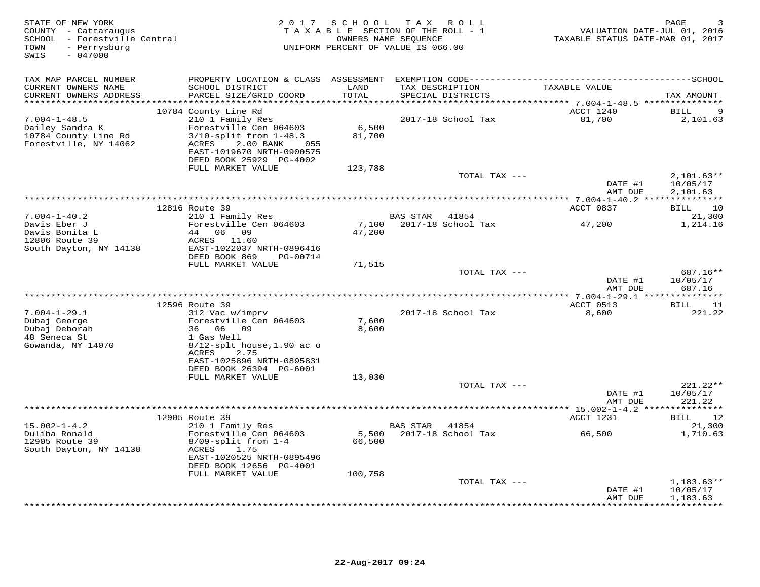| STATE OF NEW YORK<br>COUNTY - Cattaraugus<br>SCHOOL - Forestville Central<br>- Perrysburg<br>TOWN<br>$-047000$<br>SWIS | 2 0 1 7                                                                                                                                                                                                     | SCHOOL                     | TAX ROLL<br>TAXABLE SECTION OF THE ROLL - 1<br>OWNERS NAME SEQUENCE<br>UNIFORM PERCENT OF VALUE IS 066.00 | VALUATION DATE-JUL 01, 2016<br>TAXABLE STATUS DATE-MAR 01, 2017 | PAGE                                        |
|------------------------------------------------------------------------------------------------------------------------|-------------------------------------------------------------------------------------------------------------------------------------------------------------------------------------------------------------|----------------------------|-----------------------------------------------------------------------------------------------------------|-----------------------------------------------------------------|---------------------------------------------|
| TAX MAP PARCEL NUMBER<br>CURRENT OWNERS NAME<br>CURRENT OWNERS ADDRESS                                                 | PROPERTY LOCATION & CLASS ASSESSMENT<br>SCHOOL DISTRICT<br>PARCEL SIZE/GRID COORD                                                                                                                           | LAND<br>TOTAL<br>******    | TAX DESCRIPTION<br>SPECIAL DISTRICTS                                                                      | TAXABLE VALUE                                                   | TAX AMOUNT                                  |
| $7.004 - 1 - 48.5$<br>Dailey Sandra K<br>10784 County Line Rd<br>Forestville, NY 14062                                 | 10784 County Line Rd<br>210 1 Family Res<br>Forestville Cen 064603<br>$3/10$ -split from $1-48.3$<br>2.00 BANK<br>ACRES<br>055<br>EAST-1019670 NRTH-0900575<br>DEED BOOK 25929 PG-4002<br>FULL MARKET VALUE | 6,500<br>81,700<br>123,788 | 2017-18 School Tax                                                                                        | ******** 7.004-1-48.5 ***************<br>ACCT 1240<br>81,700    | BILL<br>2,101.63                            |
|                                                                                                                        |                                                                                                                                                                                                             |                            | TOTAL TAX ---                                                                                             | DATE #1<br>AMT DUE                                              | $2,101.63**$<br>10/05/17<br>2,101.63        |
|                                                                                                                        |                                                                                                                                                                                                             |                            |                                                                                                           |                                                                 |                                             |
| $7.004 - 1 - 40.2$                                                                                                     | 12816 Route 39<br>210 1 Family Res                                                                                                                                                                          |                            | BAS STAR<br>41854                                                                                         | ACCT 0837                                                       | 10<br>BILL<br>21,300                        |
| Davis Eber J<br>Davis Bonita L<br>12806 Route 39<br>South Dayton, NY 14138                                             | Forestville Cen 064603<br>44 06 09<br>ACRES 11.60<br>EAST-1022037 NRTH-0896416<br>DEED BOOK 869<br>PG-00714                                                                                                 | 7,100<br>47,200            | 2017-18 School Tax                                                                                        | 47,200                                                          | 1,214.16                                    |
|                                                                                                                        | FULL MARKET VALUE                                                                                                                                                                                           | 71,515                     | TOTAL TAX ---                                                                                             | DATE #1<br>AMT DUE                                              | $687.16**$<br>10/05/17<br>687.16            |
|                                                                                                                        | ********************<br>12596 Route 39                                                                                                                                                                      |                            |                                                                                                           | ACCT 0513                                                       | 11<br>BILL                                  |
| $7.004 - 1 - 29.1$<br>Dubaj George<br>Dubaj Deborah<br>48 Seneca St<br>Gowanda, NY 14070                               | 312 Vac w/imprv<br>Forestville Cen 064603<br>36 06 09<br>1 Gas Well<br>$8/12$ -splt house, 1.90 ac o<br><b>ACRES</b><br>2.75<br>EAST-1025896 NRTH-0895831<br>DEED BOOK 26394 PG-6001                        | 7,600<br>8,600             | 2017-18 School Tax                                                                                        | 8,600                                                           | 221.22                                      |
|                                                                                                                        | FULL MARKET VALUE                                                                                                                                                                                           | 13,030                     | TOTAL TAX ---                                                                                             | DATE #1                                                         | 221.22**<br>10/05/17                        |
|                                                                                                                        |                                                                                                                                                                                                             |                            |                                                                                                           | AMT DUE                                                         | 221.22                                      |
|                                                                                                                        | 12905 Route 39                                                                                                                                                                                              |                            |                                                                                                           | ACCT 1231                                                       | 12<br>BILL                                  |
| $15.002 - 1 - 4.2$<br>Duliba Ronald<br>12905 Route 39<br>South Dayton, NY 14138                                        | 210 1 Family Res<br>Forestville Cen 064603<br>$8/09$ -split from $1-4$<br>ACRES<br>1.75<br>EAST-1020525 NRTH-0895496<br>DEED BOOK 12656 PG-4001                                                             | 5,500<br>66,500            | BAS STAR<br>41854<br>2017-18 School Tax                                                                   | 66,500                                                          | 21,300<br>1,710.63                          |
|                                                                                                                        | FULL MARKET VALUE                                                                                                                                                                                           | 100,758                    | TOTAL TAX ---                                                                                             |                                                                 | $1,183.63**$                                |
|                                                                                                                        |                                                                                                                                                                                                             |                            |                                                                                                           | DATE #1<br>AMT DUE<br>* * * * * * * * *                         | 10/05/17<br>1,183.63<br>* * * * * * * * * * |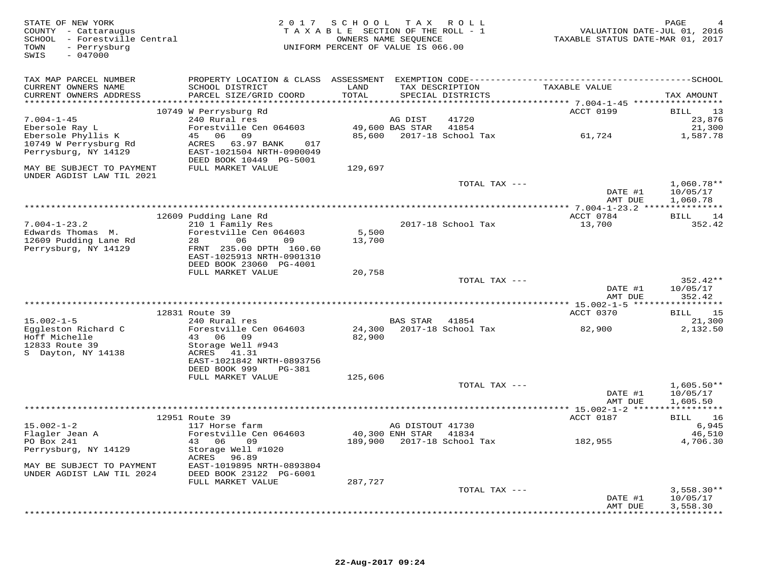| STATE OF NEW YORK<br>COUNTY - Cattaraugus<br>SCHOOL - Forestville Central<br>- Perrysburg<br>TOWN<br>$-047000$<br>SWIS |                                                      | 2017 SCHOOL TAX ROLL<br>TAXABLE SECTION OF THE ROLL - 1<br>OWNERS NAME SEQUENCE<br>UNIFORM PERCENT OF VALUE IS 066.00 |                  |                                      | VALUATION DATE-JUL 01, 2016<br>TAXABLE STATUS DATE-MAR 01, 2017 | PAGE                     |
|------------------------------------------------------------------------------------------------------------------------|------------------------------------------------------|-----------------------------------------------------------------------------------------------------------------------|------------------|--------------------------------------|-----------------------------------------------------------------|--------------------------|
| TAX MAP PARCEL NUMBER                                                                                                  |                                                      |                                                                                                                       |                  |                                      |                                                                 |                          |
| CURRENT OWNERS NAME<br>CURRENT OWNERS ADDRESS                                                                          | SCHOOL DISTRICT<br>PARCEL SIZE/GRID COORD            | LAND<br>TOTAL                                                                                                         |                  | TAX DESCRIPTION<br>SPECIAL DISTRICTS | TAXABLE VALUE                                                   | TAX AMOUNT               |
|                                                                                                                        | 10749 W Perrysburg Rd                                |                                                                                                                       |                  |                                      | <b>ACCT 0199</b>                                                | 13<br>BILL               |
| $7.004 - 1 - 45$                                                                                                       | 240 Rural res                                        |                                                                                                                       | AG DIST          | 41720                                |                                                                 | 23,876                   |
| Ebersole Ray L                                                                                                         | Forestville Cen 064603                               |                                                                                                                       | 49,600 BAS STAR  | 41854                                |                                                                 | 21,300                   |
| Ebersole Phyllis K                                                                                                     | 45 06 09                                             |                                                                                                                       |                  | 85,600 2017-18 School Tax            | 61,724                                                          | 1,587.78                 |
| 10749 W Perrysburg Rd<br>Perrysburg, NY 14129                                                                          | ACRES 63.97 BANK<br>017<br>EAST-1021504 NRTH-0900049 |                                                                                                                       |                  |                                      |                                                                 |                          |
|                                                                                                                        | DEED BOOK 10449 PG-5001                              |                                                                                                                       |                  |                                      |                                                                 |                          |
| MAY BE SUBJECT TO PAYMENT                                                                                              | FULL MARKET VALUE                                    | 129,697                                                                                                               |                  |                                      |                                                                 |                          |
| UNDER AGDIST LAW TIL 2021                                                                                              |                                                      |                                                                                                                       |                  |                                      |                                                                 |                          |
|                                                                                                                        |                                                      |                                                                                                                       |                  | TOTAL TAX ---                        |                                                                 | $1,060.78**$             |
|                                                                                                                        |                                                      |                                                                                                                       |                  |                                      | DATE #1                                                         | 10/05/17                 |
|                                                                                                                        |                                                      |                                                                                                                       |                  |                                      | AMT DUE                                                         | 1,060.78                 |
|                                                                                                                        | 12609 Pudding Lane Rd                                |                                                                                                                       |                  |                                      | ACCT 0784                                                       | BILL 14                  |
| $7.004 - 1 - 23.2$                                                                                                     | 210 1 Family Res                                     |                                                                                                                       |                  | 2017-18 School Tax                   | 13,700                                                          | 352.42                   |
| Edwards Thomas M.                                                                                                      | Forestville Cen 064603                               | 5,500                                                                                                                 |                  |                                      |                                                                 |                          |
| 12609 Pudding Lane Rd                                                                                                  | 28<br>06<br>09                                       | 13,700                                                                                                                |                  |                                      |                                                                 |                          |
| Perrysburg, NY 14129                                                                                                   | FRNT 235.00 DPTH 160.60<br>EAST-1025913 NRTH-0901310 |                                                                                                                       |                  |                                      |                                                                 |                          |
|                                                                                                                        | DEED BOOK 23060 PG-4001                              |                                                                                                                       |                  |                                      |                                                                 |                          |
|                                                                                                                        | FULL MARKET VALUE                                    | 20,758                                                                                                                |                  |                                      |                                                                 |                          |
|                                                                                                                        |                                                      |                                                                                                                       |                  | TOTAL TAX ---                        |                                                                 | 352.42**                 |
|                                                                                                                        |                                                      |                                                                                                                       |                  |                                      | DATE #1<br>AMT DUE                                              | 10/05/17<br>352.42       |
|                                                                                                                        |                                                      |                                                                                                                       |                  |                                      |                                                                 |                          |
|                                                                                                                        | 12831 Route 39                                       |                                                                                                                       |                  |                                      | ACCT 0370                                                       | BILL<br>15               |
| $15.002 - 1 - 5$                                                                                                       | 240 Rural res                                        |                                                                                                                       | BAS STAR         | 41854                                |                                                                 | 21,300                   |
| Eggleston Richard C                                                                                                    | Forestville Cen 064603                               |                                                                                                                       |                  | 24,300 2017-18 School Tax            | 82,900                                                          | 2,132.50                 |
| Hoff Michelle                                                                                                          | 43 06 09                                             | 82,900                                                                                                                |                  |                                      |                                                                 |                          |
| 12833 Route 39<br>S Dayton, NY 14138                                                                                   | Storage Well #943<br>ACRES 41.31                     |                                                                                                                       |                  |                                      |                                                                 |                          |
|                                                                                                                        | EAST-1021842 NRTH-0893756                            |                                                                                                                       |                  |                                      |                                                                 |                          |
|                                                                                                                        | DEED BOOK 999<br>PG-381                              |                                                                                                                       |                  |                                      |                                                                 |                          |
|                                                                                                                        | FULL MARKET VALUE                                    | 125,606                                                                                                               |                  |                                      |                                                                 |                          |
|                                                                                                                        |                                                      |                                                                                                                       |                  | TOTAL TAX ---                        |                                                                 | $1,605.50**$             |
|                                                                                                                        |                                                      |                                                                                                                       |                  |                                      | DATE #1<br>AMT DUE                                              | 10/05/17<br>1,605.50     |
|                                                                                                                        |                                                      |                                                                                                                       |                  |                                      |                                                                 |                          |
|                                                                                                                        | 12951 Route 39                                       |                                                                                                                       |                  |                                      | ACCT 0187                                                       | 16<br>BILL               |
| $15.002 - 1 - 2$                                                                                                       | 117 Horse farm                                       |                                                                                                                       | AG DISTOUT 41730 |                                      |                                                                 | 6,945                    |
| Flagler Jean A                                                                                                         | Forestville Cen 064603                               |                                                                                                                       | 40,300 ENH STAR  | 41834                                |                                                                 | 46,510                   |
| PO Box 241                                                                                                             | 43 06<br>09<br>Storage Well #1020                    |                                                                                                                       |                  | 189,900 2017-18 School Tax           | 182,955                                                         | 4,706.30                 |
| Perrysburg, NY 14129                                                                                                   | ACRES<br>96.89                                       |                                                                                                                       |                  |                                      |                                                                 |                          |
| MAY BE SUBJECT TO PAYMENT                                                                                              | EAST-1019895 NRTH-0893804                            |                                                                                                                       |                  |                                      |                                                                 |                          |
| UNDER AGDIST LAW TIL 2024                                                                                              | DEED BOOK 23122 PG-6001                              |                                                                                                                       |                  |                                      |                                                                 |                          |
|                                                                                                                        | FULL MARKET VALUE                                    | 287,727                                                                                                               |                  |                                      |                                                                 |                          |
|                                                                                                                        |                                                      |                                                                                                                       |                  | TOTAL TAX ---                        | DATE #1                                                         | $3,558.30**$<br>10/05/17 |
|                                                                                                                        |                                                      |                                                                                                                       |                  |                                      | AMT DUE                                                         | 3,558.30                 |
|                                                                                                                        |                                                      |                                                                                                                       |                  |                                      |                                                                 |                          |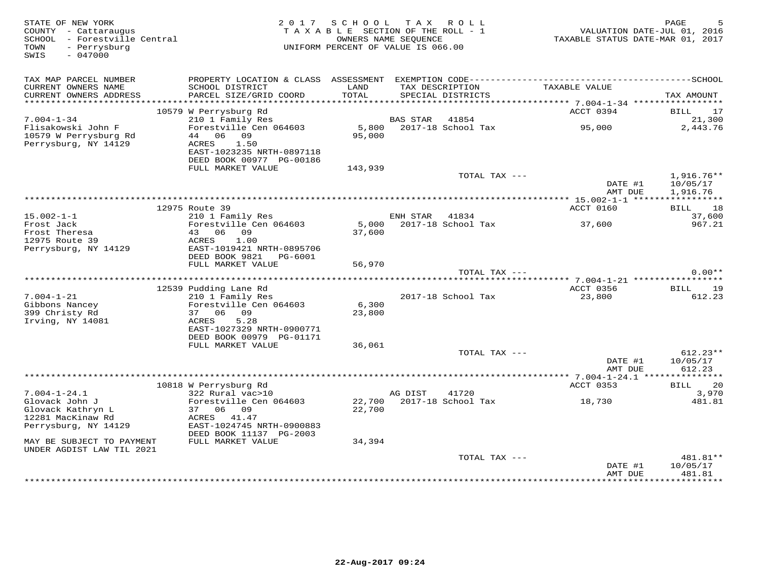| STATE OF NEW YORK<br>COUNTY - Cattaraugus<br>SCHOOL - Forestville Central<br>- Perrysburg<br>TOWN<br>$-047000$<br>SWIS | 2017                                                                                                                              | S C H O O L<br>TAXABLE SECTION OF THE ROLL - 1<br>OWNERS NAME SEQUENCE<br>UNIFORM PERCENT OF VALUE IS 066.00 | T A X           | R O L L            | VALUATION DATE-JUL 01, 2016<br>TAXABLE STATUS DATE-MAR 01, 2017 | PAGE<br>5                                           |
|------------------------------------------------------------------------------------------------------------------------|-----------------------------------------------------------------------------------------------------------------------------------|--------------------------------------------------------------------------------------------------------------|-----------------|--------------------|-----------------------------------------------------------------|-----------------------------------------------------|
| TAX MAP PARCEL NUMBER<br>CURRENT OWNERS NAME                                                                           | PROPERTY LOCATION & CLASS ASSESSMENT EXEMPTION CODE-----------------------------------SCHOOL<br>SCHOOL DISTRICT                   | LAND                                                                                                         |                 | TAX DESCRIPTION    | TAXABLE VALUE                                                   |                                                     |
| CURRENT OWNERS ADDRESS<br>********************                                                                         | PARCEL SIZE/GRID COORD                                                                                                            | TOTAL                                                                                                        |                 | SPECIAL DISTRICTS  |                                                                 | TAX AMOUNT                                          |
|                                                                                                                        | 10579 W Perrysburg Rd                                                                                                             |                                                                                                              |                 |                    | ACCT 0394                                                       | BILL<br>17                                          |
| $7.004 - 1 - 34$                                                                                                       | 210 1 Family Res                                                                                                                  |                                                                                                              | <b>BAS STAR</b> | 41854              |                                                                 | 21,300                                              |
| Flisakowski John F<br>10579 W Perrysburg Rd<br>Perrysburg, NY 14129                                                    | Forestville Cen 064603<br>44<br>06 09<br>1.50<br>ACRES<br>EAST-1023235 NRTH-0897118<br>DEED BOOK 00977 PG-00186                   | 5,800<br>95,000                                                                                              |                 | 2017-18 School Tax | 95,000                                                          | 2,443.76                                            |
|                                                                                                                        | FULL MARKET VALUE                                                                                                                 | 143,939                                                                                                      |                 |                    |                                                                 |                                                     |
|                                                                                                                        |                                                                                                                                   |                                                                                                              |                 | TOTAL TAX ---      |                                                                 | $1,916.76**$                                        |
|                                                                                                                        |                                                                                                                                   |                                                                                                              |                 |                    | DATE #1<br>AMT DUE                                              | 10/05/17<br>1,916.76                                |
|                                                                                                                        | 12975 Route 39                                                                                                                    |                                                                                                              |                 |                    | ACCT 0160                                                       | 18<br>BILL                                          |
| $15.002 - 1 - 1$                                                                                                       | 210 1 Family Res                                                                                                                  |                                                                                                              | ENH STAR        | 41834              |                                                                 | 37,600                                              |
| Frost Jack<br>Frost Theresa<br>12975 Route 39                                                                          | Forestville Cen 064603<br>06<br>09<br>43<br>1.00<br>ACRES                                                                         | 5,000<br>37,600                                                                                              |                 | 2017-18 School Tax | 37,600                                                          | 967.21                                              |
| Perrysburg, NY 14129                                                                                                   | EAST-1019421 NRTH-0895706<br>DEED BOOK 9821<br>PG-6001<br>FULL MARKET VALUE                                                       | 56,970                                                                                                       |                 |                    |                                                                 |                                                     |
|                                                                                                                        |                                                                                                                                   |                                                                                                              |                 | TOTAL TAX ---      |                                                                 | $0.00**$                                            |
|                                                                                                                        | 12539 Pudding Lane Rd                                                                                                             |                                                                                                              |                 |                    | **** 7.004-1-21 ******************<br>ACCT 0356                 | <b>BILL</b><br>19                                   |
| $7.004 - 1 - 21$                                                                                                       | 210 1 Family Res                                                                                                                  |                                                                                                              |                 | 2017-18 School Tax | 23,800                                                          | 612.23                                              |
| Gibbons Nancey<br>399 Christy Rd<br>Irving, NY 14081                                                                   | Forestville Cen 064603<br>37 06 09<br>ACRES<br>5.28<br>EAST-1027329 NRTH-0900771<br>DEED BOOK 00979 PG-01171                      | 6,300<br>23,800                                                                                              |                 |                    |                                                                 |                                                     |
|                                                                                                                        | FULL MARKET VALUE                                                                                                                 | 36,061                                                                                                       |                 |                    |                                                                 |                                                     |
|                                                                                                                        |                                                                                                                                   |                                                                                                              |                 | TOTAL TAX ---      | DATE #1<br>AMT DUE                                              | $612.23**$<br>10/05/17<br>612.23                    |
|                                                                                                                        |                                                                                                                                   |                                                                                                              |                 |                    | ACCT 0353                                                       | 20                                                  |
| $7.004 - 1 - 24.1$                                                                                                     | 10818 W Perrysburg Rd<br>322 Rural vac>10                                                                                         |                                                                                                              | AG DIST         | 41720              |                                                                 | BILL<br>3,970                                       |
| Glovack John J<br>Glovack Kathryn L<br>12281 MacKinaw Rd<br>Perrysburg, NY 14129<br>MAY BE SUBJECT TO PAYMENT          | Forestville Cen 064603<br>06 09<br>37<br>ACRES 41.47<br>EAST-1024745 NRTH-0900883<br>DEED BOOK 11137 PG-2003<br>FULL MARKET VALUE | 22,700<br>22,700<br>34,394                                                                                   |                 | 2017-18 School Tax | 18,730                                                          | 481.81                                              |
| UNDER AGDIST LAW TIL 2021                                                                                              |                                                                                                                                   |                                                                                                              |                 |                    |                                                                 |                                                     |
|                                                                                                                        |                                                                                                                                   |                                                                                                              |                 | TOTAL TAX ---      | DATE #1<br>AMT DUE<br>* * * * * * * * * * * *                   | 481.81**<br>10/05/17<br>481.81<br>* * * * * * * * * |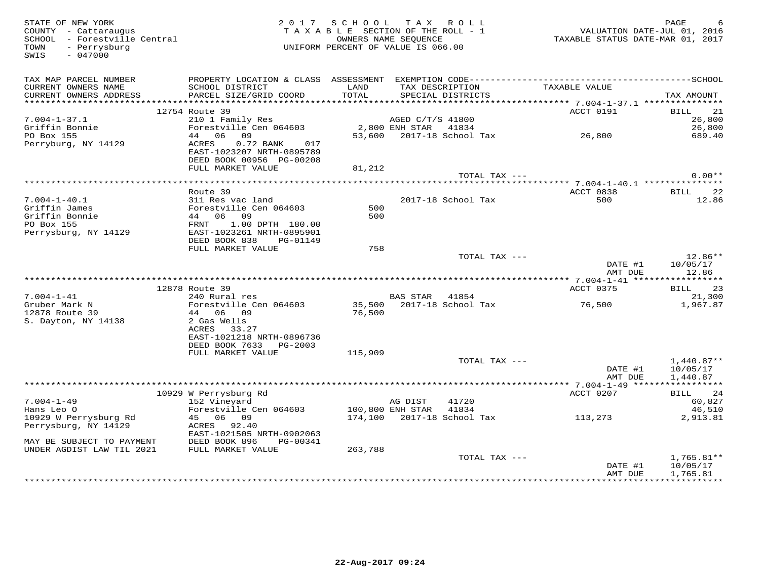| STATE OF NEW YORK<br>COUNTY - Cattaraugus<br>SCHOOL - Forestville Central<br>- Perrysburg<br>TOWN<br>$-047000$<br>SWIS |                                                        | 2017 SCHOOL TAX ROLL<br>TAXABLE SECTION OF THE ROLL - 1<br>OWNERS NAME SEOUENCE<br>UNIFORM PERCENT OF VALUE IS 066.00 |                      |                                      | VALUATION DATE-JUL 01, 2016<br>TAXABLE STATUS DATE-MAR 01, 2017 | PAGE<br>6            |
|------------------------------------------------------------------------------------------------------------------------|--------------------------------------------------------|-----------------------------------------------------------------------------------------------------------------------|----------------------|--------------------------------------|-----------------------------------------------------------------|----------------------|
| TAX MAP PARCEL NUMBER<br>CURRENT OWNERS NAME<br>CURRENT OWNERS ADDRESS                                                 | SCHOOL DISTRICT<br>PARCEL SIZE/GRID COORD              | LAND<br><b>TOTAL</b>                                                                                                  |                      | TAX DESCRIPTION<br>SPECIAL DISTRICTS | TAXABLE VALUE                                                   | TAX AMOUNT           |
|                                                                                                                        |                                                        |                                                                                                                       |                      |                                      |                                                                 |                      |
|                                                                                                                        | 12754 Route 39                                         |                                                                                                                       |                      |                                      | ACCT 0191                                                       | 21<br>BILL           |
| $7.004 - 1 - 37.1$                                                                                                     | 210 1 Family Res<br>Forestville Cen 064603             |                                                                                                                       | AGED C/T/S 41800     |                                      |                                                                 | 26,800               |
| Griffin Bonnie<br>PO Box 155                                                                                           | 44 06 09                                               |                                                                                                                       | 2,800 ENH STAR 41834 |                                      | 53,600  2017-18  School Tax   26,800                            | 26,800<br>689.40     |
| Perryburg, NY 14129                                                                                                    | ACRES<br>0.72 BANK 017<br>EAST-1023207 NRTH-0895789    |                                                                                                                       |                      |                                      |                                                                 |                      |
|                                                                                                                        | DEED BOOK 00956 PG-00208<br>FULL MARKET VALUE          |                                                                                                                       |                      |                                      |                                                                 |                      |
|                                                                                                                        |                                                        | 81,212                                                                                                                |                      | TOTAL TAX ---                        |                                                                 | $0.00**$             |
|                                                                                                                        |                                                        |                                                                                                                       |                      |                                      |                                                                 |                      |
|                                                                                                                        | Route 39                                               |                                                                                                                       |                      |                                      | ACCT 0838                                                       | 22<br><b>BILL</b>    |
| $7.004 - 1 - 40.1$                                                                                                     | 311 Res vac land                                       |                                                                                                                       |                      | 2017-18 School Tax                   | 500                                                             | 12.86                |
| Griffin James                                                                                                          | Forestville Cen 064603                                 | 500                                                                                                                   |                      |                                      |                                                                 |                      |
| Griffin Bonnie                                                                                                         | 44 06 09                                               | 500                                                                                                                   |                      |                                      |                                                                 |                      |
| PO Box 155                                                                                                             | FRNT<br>1.00 DPTH 180.00                               |                                                                                                                       |                      |                                      |                                                                 |                      |
| Perrysburg, NY 14129                                                                                                   | EAST-1023261 NRTH-0895901<br>DEED BOOK 838<br>PG-01149 |                                                                                                                       |                      |                                      |                                                                 |                      |
|                                                                                                                        | FULL MARKET VALUE                                      | 758                                                                                                                   |                      |                                      |                                                                 |                      |
|                                                                                                                        |                                                        |                                                                                                                       |                      | TOTAL TAX ---                        |                                                                 | $12.86**$            |
|                                                                                                                        |                                                        |                                                                                                                       |                      |                                      | DATE #1<br>AMT DUE                                              | 10/05/17<br>12.86    |
|                                                                                                                        |                                                        |                                                                                                                       |                      |                                      |                                                                 |                      |
| $7.004 - 1 - 41$                                                                                                       | 12878 Route 39<br>240 Rural res                        |                                                                                                                       | BAS STAR 41854       |                                      | ACCT 0375                                                       | 23<br>BILL<br>21,300 |
| Gruber Mark N                                                                                                          | Forestville Cen 064603                                 |                                                                                                                       |                      | 35,500 2017-18 School Tax            | 76,500                                                          | 1,967.87             |
| 12878 Route 39                                                                                                         | 44 06 09                                               | 76,500                                                                                                                |                      |                                      |                                                                 |                      |
| S. Dayton, NY 14138                                                                                                    | 2 Gas Wells                                            |                                                                                                                       |                      |                                      |                                                                 |                      |
|                                                                                                                        | ACRES 33.27                                            |                                                                                                                       |                      |                                      |                                                                 |                      |
|                                                                                                                        | EAST-1021218 NRTH-0896736                              |                                                                                                                       |                      |                                      |                                                                 |                      |
|                                                                                                                        | DEED BOOK 7633 PG-2003                                 |                                                                                                                       |                      |                                      |                                                                 |                      |
|                                                                                                                        | FULL MARKET VALUE                                      | 115,909                                                                                                               |                      | TOTAL TAX ---                        |                                                                 | $1,440.87**$         |
|                                                                                                                        |                                                        |                                                                                                                       |                      |                                      | DATE #1                                                         | 10/05/17             |
|                                                                                                                        |                                                        |                                                                                                                       |                      |                                      | AMT DUE                                                         | 1,440.87             |
|                                                                                                                        |                                                        |                                                                                                                       |                      |                                      |                                                                 |                      |
|                                                                                                                        | 10929 W Perrysburg Rd                                  |                                                                                                                       |                      |                                      | ACCT 0207                                                       | 24<br><b>BILL</b>    |
| $7.004 - 1 - 49$                                                                                                       | 152 Vineyard                                           |                                                                                                                       | AG DIST              | 41720                                |                                                                 | 60,827               |
| Hans Leo O<br>10929 W Perrysburg Rd                                                                                    | Forestville Cen 064603<br>45 06 09                     | 100,800 ENH STAR                                                                                                      |                      | 41834<br>174,100 2017-18 School Tax  | 113,273                                                         | 46,510<br>2,913.81   |
| Perrysburg, NY 14129                                                                                                   | ACRES<br>92.40                                         |                                                                                                                       |                      |                                      |                                                                 |                      |
| MAY BE SUBJECT TO PAYMENT                                                                                              | EAST-1021505 NRTH-0902063<br>DEED BOOK 896<br>PG-00341 |                                                                                                                       |                      |                                      |                                                                 |                      |
| UNDER AGDIST LAW TIL 2021                                                                                              | FULL MARKET VALUE                                      | 263,788                                                                                                               |                      |                                      |                                                                 |                      |
|                                                                                                                        |                                                        |                                                                                                                       |                      | TOTAL TAX ---                        |                                                                 | $1,765.81**$         |
|                                                                                                                        |                                                        |                                                                                                                       |                      |                                      | DATE #1                                                         | 10/05/17             |
|                                                                                                                        |                                                        |                                                                                                                       |                      |                                      | AMT DUE                                                         | 1,765.81             |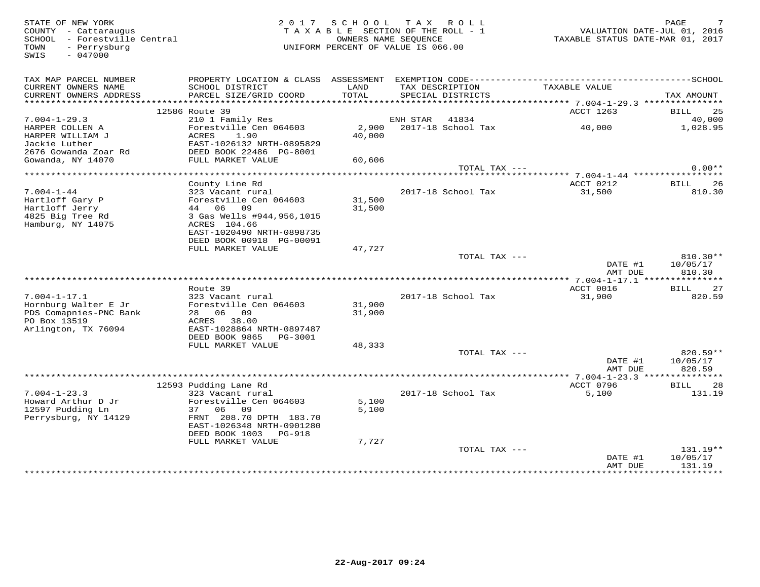TOWN - Perrysburg<br>SWIS - 047000

# STATE OF NEW YORK 2 0 1 7 S C H O O L T A X R O L L PAGE 7 COUNTY - Cattaraugus T A X A B L E SECTION OF THE ROLL - 1 VALUATION DATE-JUL 01, 2016 SCHOOL - Forestville Central OWNERS NAME SEQUENCE TAXABLE STATUS DATE-MAR 01, 2017 TOWN - Perrysburg UNIFORM PERCENT OF VALUE IS 066.00

| TAX MAP PARCEL NUMBER<br>CURRENT OWNERS NAME<br>CURRENT OWNERS ADDRESS | PROPERTY LOCATION & CLASS ASSESSMENT<br>SCHOOL DISTRICT<br>PARCEL SIZE/GRID COORD | LAND<br>TOTAL | EXEMPTION CODE-----------<br>TAX DESCRIPTION<br>SPECIAL DISTRICTS | TAXABLE VALUE                                  | -------------SCHOOL<br>TAX AMOUNT |
|------------------------------------------------------------------------|-----------------------------------------------------------------------------------|---------------|-------------------------------------------------------------------|------------------------------------------------|-----------------------------------|
| *********************                                                  |                                                                                   |               |                                                                   |                                                |                                   |
|                                                                        | 12586 Route 39                                                                    |               |                                                                   | ACCT 1263                                      | 25<br><b>BILL</b>                 |
| $7.004 - 1 - 29.3$                                                     | 210 1 Family Res                                                                  |               | ENH STAR<br>41834                                                 |                                                | 40,000                            |
| HARPER COLLEN A                                                        | Forestville Cen 064603                                                            | 2,900         | 2017-18 School Tax                                                | 40,000                                         | 1,028.95                          |
| HARPER WILLIAM J                                                       | 1.90<br>ACRES                                                                     | 40,000        |                                                                   |                                                |                                   |
| Jackie Luther                                                          | EAST-1026132 NRTH-0895829                                                         |               |                                                                   |                                                |                                   |
| 2676 Gowanda Zoar Rd                                                   | DEED BOOK 22486 PG-8001                                                           |               |                                                                   |                                                |                                   |
| Gowanda, NY 14070                                                      | FULL MARKET VALUE                                                                 | 60,606        |                                                                   |                                                |                                   |
|                                                                        |                                                                                   |               | TOTAL TAX ---                                                     |                                                | $0.00**$                          |
|                                                                        | County Line Rd                                                                    |               |                                                                   | ******* 7.004-1-44 **************<br>ACCT 0212 | <b>BILL</b><br>26                 |
| $7.004 - 1 - 44$                                                       | 323 Vacant rural                                                                  |               | 2017-18 School Tax                                                | 31,500                                         | 810.30                            |
| Hartloff Gary P                                                        | Forestville Cen 064603                                                            | 31,500        |                                                                   |                                                |                                   |
| Hartloff Jerry                                                         | 44 06<br>09                                                                       | 31,500        |                                                                   |                                                |                                   |
| 4825 Big Tree Rd                                                       | 3 Gas Wells #944,956,1015                                                         |               |                                                                   |                                                |                                   |
| Hamburg, NY 14075                                                      | ACRES 104.66                                                                      |               |                                                                   |                                                |                                   |
|                                                                        | EAST-1020490 NRTH-0898735                                                         |               |                                                                   |                                                |                                   |
|                                                                        | DEED BOOK 00918 PG-00091                                                          |               |                                                                   |                                                |                                   |
|                                                                        | FULL MARKET VALUE                                                                 | 47,727        |                                                                   |                                                |                                   |
|                                                                        |                                                                                   |               | TOTAL TAX ---                                                     |                                                | $810.30**$                        |
|                                                                        |                                                                                   |               |                                                                   | DATE #1                                        | 10/05/17                          |
|                                                                        |                                                                                   |               |                                                                   | AMT DUE                                        | 810.30                            |
|                                                                        |                                                                                   |               |                                                                   |                                                |                                   |
|                                                                        | Route 39                                                                          |               |                                                                   | ACCT 0016                                      | 27<br>BILL                        |
| $7.004 - 1 - 17.1$                                                     | 323 Vacant rural                                                                  |               | 2017-18 School Tax                                                | 31,900                                         | 820.59                            |
| Hornburg Walter E Jr                                                   | Forestville Cen 064603                                                            | 31,900        |                                                                   |                                                |                                   |
| PDS Comapnies-PNC Bank                                                 | 28 06<br>09                                                                       | 31,900        |                                                                   |                                                |                                   |
| PO Box 13519                                                           | ACRES<br>38.00                                                                    |               |                                                                   |                                                |                                   |
| Arlington, TX 76094                                                    | EAST-1028864 NRTH-0897487<br>DEED BOOK 9865<br>PG-3001                            |               |                                                                   |                                                |                                   |
|                                                                        | FULL MARKET VALUE                                                                 | 48,333        |                                                                   |                                                |                                   |
|                                                                        |                                                                                   |               | TOTAL TAX ---                                                     |                                                | $820.59**$                        |
|                                                                        |                                                                                   |               |                                                                   | DATE #1                                        | 10/05/17                          |
|                                                                        |                                                                                   |               |                                                                   | AMT DUE                                        | 820.59                            |
|                                                                        |                                                                                   |               |                                                                   |                                                |                                   |
|                                                                        |                                                                                   |               |                                                                   |                                                |                                   |
|                                                                        | 12593 Pudding Lane Rd                                                             |               |                                                                   | ACCT 0796                                      | 28<br>BILL                        |
| $7.004 - 1 - 23.3$                                                     | 323 Vacant rural                                                                  |               | 2017-18 School Tax                                                | 5,100                                          | 131.19                            |
| Howard Arthur D Jr                                                     | Forestville Cen 064603                                                            | 5,100         |                                                                   |                                                |                                   |
| 12597 Pudding Ln                                                       | 37<br>06<br>09                                                                    | 5,100         |                                                                   |                                                |                                   |
| Perrysburg, NY 14129                                                   | FRNT 208.70 DPTH 183.70                                                           |               |                                                                   |                                                |                                   |
|                                                                        | EAST-1026348 NRTH-0901280                                                         |               |                                                                   |                                                |                                   |
|                                                                        | DEED BOOK 1003<br>PG-918                                                          |               |                                                                   |                                                |                                   |
|                                                                        | FULL MARKET VALUE                                                                 | 7,727         |                                                                   |                                                |                                   |
|                                                                        |                                                                                   |               | TOTAL TAX ---                                                     |                                                | $131.19**$                        |
|                                                                        |                                                                                   |               |                                                                   | DATE #1<br>AMT DUE                             | 10/05/17<br>131.19                |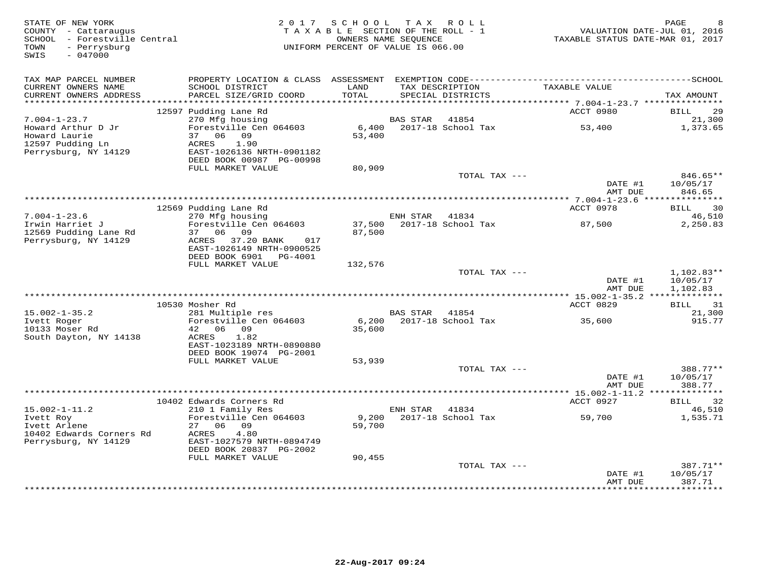| STATE OF NEW YORK<br>COUNTY - Cattaraugus<br>SCHOOL - Forestville Central<br>- Perrysburg<br>TOWN<br>SWIS<br>$-047000$ |                                                                       | 2017 SCHOOL TAX ROLL<br>TAXABLE SECTION OF THE ROLL - 1<br>UNIFORM PERCENT OF VALUE IS 066.00 | OWNERS NAME SEQUENCE |                                      | TAXABLE STATUS DATE-MAR 01, 2017              | PAGE<br>8<br>VALUATION DATE-JUL 01, 2016 |
|------------------------------------------------------------------------------------------------------------------------|-----------------------------------------------------------------------|-----------------------------------------------------------------------------------------------|----------------------|--------------------------------------|-----------------------------------------------|------------------------------------------|
| TAX MAP PARCEL NUMBER                                                                                                  |                                                                       |                                                                                               |                      |                                      |                                               |                                          |
| CURRENT OWNERS NAME<br>CURRENT OWNERS ADDRESS<br>***********************                                               | SCHOOL DISTRICT<br>PARCEL SIZE/GRID COORD                             | LAND<br>TOTAL                                                                                 |                      | TAX DESCRIPTION<br>SPECIAL DISTRICTS | TAXABLE VALUE                                 | TAX AMOUNT                               |
|                                                                                                                        | 12597 Pudding Lane Rd                                                 |                                                                                               |                      |                                      | ACCT 0980                                     | BILL<br>29                               |
| $7.004 - 1 - 23.7$                                                                                                     | 270 Mfg housing                                                       |                                                                                               | <b>BAS STAR</b>      | 41854                                |                                               | 21,300                                   |
| Howard Arthur D Jr<br>Howard Laurie<br>12597 Pudding Ln                                                                | Forestville Cen 064603<br>37 06 09<br>ACRES<br>1.90                   | 6,400<br>53,400                                                                               |                      | 2017-18 School Tax                   | 53,400                                        | 1,373.65                                 |
| Perrysburg, NY 14129                                                                                                   | EAST-1026136 NRTH-0901182<br>DEED BOOK 00987 PG-00998                 |                                                                                               |                      |                                      |                                               |                                          |
|                                                                                                                        | FULL MARKET VALUE                                                     | 80,909                                                                                        |                      | TOTAL TAX ---                        |                                               | $846.65**$                               |
|                                                                                                                        |                                                                       |                                                                                               |                      |                                      | DATE #1<br>AMT DUE                            | 10/05/17<br>846.65                       |
|                                                                                                                        |                                                                       |                                                                                               |                      |                                      | *************** 7.004-1-23.6 **************** |                                          |
| $7.004 - 1 - 23.6$                                                                                                     | 12569 Pudding Lane Rd<br>270 Mfg housing                              |                                                                                               | ENH STAR             | 41834                                | ACCT 0978                                     | BILL<br>30<br>46,510                     |
| Irwin Harriet J<br>12569 Pudding Lane Rd<br>Perrysburg, NY 14129                                                       | Forestville Cen 064603<br>37 06 09<br>ACRES 37.20 BANK<br>017         | 87,500                                                                                        |                      | 37,500 2017-18 School Tax            | 87,500                                        | 2,250.83                                 |
|                                                                                                                        | EAST-1026149 NRTH-0900525<br>DEED BOOK 6901 PG-4001                   |                                                                                               |                      |                                      |                                               |                                          |
|                                                                                                                        | FULL MARKET VALUE                                                     | 132,576                                                                                       |                      | TOTAL TAX ---                        |                                               | 1,102.83**                               |
|                                                                                                                        |                                                                       |                                                                                               |                      |                                      | DATE #1<br>AMT DUE                            | 10/05/17<br>1,102.83                     |
|                                                                                                                        | 10530 Mosher Rd                                                       |                                                                                               |                      |                                      | ACCT 0829                                     | BILL<br>31                               |
| $15.002 - 1 - 35.2$                                                                                                    | 281 Multiple res                                                      |                                                                                               | BAS STAR 41854       |                                      |                                               | 21,300                                   |
| Ivett Roger<br>10133 Moser Rd<br>South Dayton, NY 14138                                                                | Forestville Cen 064603<br>42 06 09<br>ACRES<br>1.82                   | 35,600                                                                                        |                      | 6,200 2017-18 School Tax             | 35,600                                        | 915.77                                   |
|                                                                                                                        | EAST-1023189 NRTH-0890880<br>DEED BOOK 19074 PG-2001                  |                                                                                               |                      |                                      |                                               |                                          |
|                                                                                                                        | FULL MARKET VALUE                                                     | 53,939                                                                                        |                      |                                      |                                               |                                          |
|                                                                                                                        |                                                                       |                                                                                               |                      | TOTAL TAX ---                        | DATE #1<br>AMT DUE                            | 388.77**<br>10/05/17<br>388.77           |
|                                                                                                                        |                                                                       |                                                                                               |                      |                                      |                                               |                                          |
|                                                                                                                        | 10402 Edwards Corners Rd                                              |                                                                                               |                      |                                      | ACCT 0927                                     | 32<br>BILL                               |
| $15.002 - 1 - 11.2$<br>Ivett Roy                                                                                       | 210 1 Family Res<br>Forestville Cen 064603                            | 9,200                                                                                         | ENH STAR             | 41834<br>2017-18 School Tax          | 59,700                                        | 46,510<br>1,535.71                       |
| Ivett Arlene                                                                                                           | 27 06 09                                                              | 59,700                                                                                        |                      |                                      |                                               |                                          |
| 10402 Edwards Corners Rd<br>Perrysburg, NY 14129                                                                       | ACRES<br>4.80<br>EAST-1027579 NRTH-0894749<br>DEED BOOK 20837 PG-2002 |                                                                                               |                      |                                      |                                               |                                          |
|                                                                                                                        | FULL MARKET VALUE                                                     | 90,455                                                                                        |                      |                                      |                                               |                                          |
|                                                                                                                        |                                                                       |                                                                                               |                      | TOTAL TAX ---                        | DATE #1                                       | 387.71**<br>10/05/17                     |
|                                                                                                                        |                                                                       |                                                                                               |                      |                                      | AMT DUE                                       | 387.71<br>* * * * * * * *                |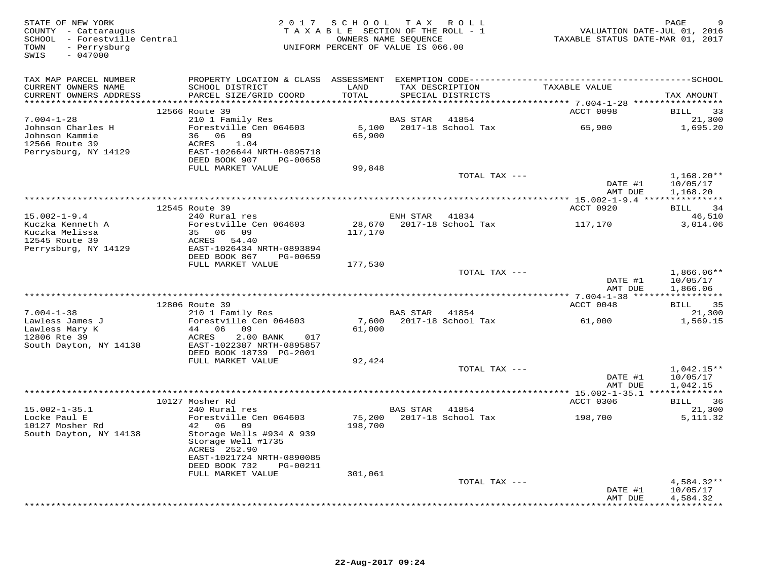| STATE OF NEW YORK            |                           | 2017 SCHOOL TAX ROLL               |                      |                             |                                  | 9<br>PAGE               |
|------------------------------|---------------------------|------------------------------------|----------------------|-----------------------------|----------------------------------|-------------------------|
| COUNTY - Cattaraugus         |                           | TAXABLE SECTION OF THE ROLL - 1    |                      |                             | VALUATION DATE-JUL 01, 2016      |                         |
| SCHOOL - Forestville Central |                           |                                    | OWNERS NAME SEOUENCE |                             | TAXABLE STATUS DATE-MAR 01, 2017 |                         |
| - Perrysburg<br>TOWN         |                           | UNIFORM PERCENT OF VALUE IS 066.00 |                      |                             |                                  |                         |
| $-047000$<br>SWIS            |                           |                                    |                      |                             |                                  |                         |
|                              |                           |                                    |                      |                             |                                  |                         |
|                              |                           |                                    |                      |                             |                                  |                         |
| TAX MAP PARCEL NUMBER        |                           |                                    |                      |                             |                                  |                         |
| CURRENT OWNERS NAME          | SCHOOL DISTRICT           | LAND                               |                      | TAX DESCRIPTION             | TAXABLE VALUE                    |                         |
| CURRENT OWNERS ADDRESS       | PARCEL SIZE/GRID COORD    | TOTAL                              |                      | SPECIAL DISTRICTS           |                                  | TAX AMOUNT              |
| ************************     |                           |                                    |                      |                             |                                  |                         |
|                              | 12566 Route 39            |                                    |                      |                             | ACCT 0098                        | 33<br>BILL              |
| $7.004 - 1 - 28$             | 210 1 Family Res          |                                    | <b>BAS STAR</b>      | 41854                       |                                  | 21,300                  |
| Johnson Charles H            | Forestville Cen 064603    | 5,100                              |                      | 2017-18 School Tax          | 65,900                           | 1,695.20                |
| Johnson Kammie               | 36 06 09                  | 65,900                             |                      |                             |                                  |                         |
| 12566 Route 39               | ACRES<br>1.04             |                                    |                      |                             |                                  |                         |
| Perrysburg, NY 14129         | EAST-1026644 NRTH-0895718 |                                    |                      |                             |                                  |                         |
|                              | DEED BOOK 907<br>PG-00658 |                                    |                      |                             |                                  |                         |
|                              | FULL MARKET VALUE         | 99,848                             |                      |                             |                                  |                         |
|                              |                           |                                    |                      | TOTAL TAX ---               |                                  | $1,168.20**$            |
|                              |                           |                                    |                      |                             | DATE #1                          | 10/05/17                |
|                              |                           |                                    |                      |                             | AMT DUE                          | 1,168.20                |
|                              |                           |                                    |                      |                             |                                  |                         |
|                              | 12545 Route 39            |                                    |                      |                             | ACCT 0920                        | <b>BILL</b><br>34       |
| $15.002 - 1 - 9.4$           | 240 Rural res             |                                    | ENH STAR 41834       |                             |                                  | 46,510                  |
| Kuczka Kenneth A             | Forestville Cen 064603    | 28,670                             |                      | 2017-18 School Tax          | 117,170                          | 3,014.06                |
| Kuczka Melissa               | 35 06 09                  | 117,170                            |                      |                             |                                  |                         |
| 12545 Route 39               | ACRES 54.40               |                                    |                      |                             |                                  |                         |
| Perrysburg, NY 14129         | EAST-1026434 NRTH-0893894 |                                    |                      |                             |                                  |                         |
|                              | DEED BOOK 867<br>PG-00659 |                                    |                      |                             |                                  |                         |
|                              | FULL MARKET VALUE         | 177,530                            |                      |                             |                                  |                         |
|                              |                           |                                    |                      | TOTAL TAX ---               |                                  | $1,866.06**$            |
|                              |                           |                                    |                      |                             | DATE #1                          | 10/05/17                |
|                              |                           |                                    |                      |                             |                                  | 1,866.06                |
|                              |                           |                                    |                      |                             | AMT DUE                          |                         |
|                              | 12806 Route 39            |                                    |                      |                             | ACCT 0048                        | <b>BILL</b><br>35       |
|                              |                           |                                    |                      |                             |                                  |                         |
| $7.004 - 1 - 38$             | 210 1 Family Res          |                                    | BAS STAR             | 41854<br>2017-18 School Tax |                                  | 21,300                  |
| Lawless James J              | Forestville Cen 064603    | 7,600                              |                      |                             | 61,000                           | 1,569.15                |
| Lawless Mary K               | 44 06<br>09               | 61,000                             |                      |                             |                                  |                         |
| 12806 Rte 39                 | ACRES<br>2.00 BANK<br>017 |                                    |                      |                             |                                  |                         |
| South Dayton, NY 14138       | EAST-1022387 NRTH-0895857 |                                    |                      |                             |                                  |                         |
|                              | DEED BOOK 18739 PG-2001   |                                    |                      |                             |                                  |                         |
|                              | FULL MARKET VALUE         | 92,424                             |                      |                             |                                  |                         |
|                              |                           |                                    |                      | TOTAL TAX ---               |                                  | $1,042.15**$            |
|                              |                           |                                    |                      |                             | DATE #1                          | 10/05/17                |
|                              |                           |                                    |                      |                             | AMT DUE                          | 1,042.15                |
|                              |                           |                                    |                      |                             |                                  |                         |
|                              | 10127 Mosher Rd           |                                    |                      |                             | ACCT 0306                        | BILL<br>36              |
| $15.002 - 1 - 35.1$          | 240 Rural res             |                                    | <b>BAS STAR</b>      | 41854                       |                                  | 21,300                  |
| Locke Paul E                 | Forestville Cen 064603    | 75,200                             |                      | 2017-18 School Tax          | 198,700                          | 5, 111.32               |
| 10127 Mosher Rd              | 42 06<br>09               | 198,700                            |                      |                             |                                  |                         |
| South Dayton, NY 14138       | Storage Wells #934 & 939  |                                    |                      |                             |                                  |                         |
|                              | Storage Well #1735        |                                    |                      |                             |                                  |                         |
|                              | ACRES 252.90              |                                    |                      |                             |                                  |                         |
|                              | EAST-1021724 NRTH-0890085 |                                    |                      |                             |                                  |                         |
|                              | DEED BOOK 732<br>PG-00211 |                                    |                      |                             |                                  |                         |
|                              | FULL MARKET VALUE         | 301,061                            |                      |                             |                                  |                         |
|                              |                           |                                    |                      | TOTAL TAX ---               |                                  | $4,584.32**$            |
|                              |                           |                                    |                      |                             | DATE #1                          | 10/05/17                |
|                              |                           |                                    |                      |                             | AMT DUE                          | 4,584.32                |
|                              |                           |                                    |                      |                             |                                  | * * * * * * * * * * * * |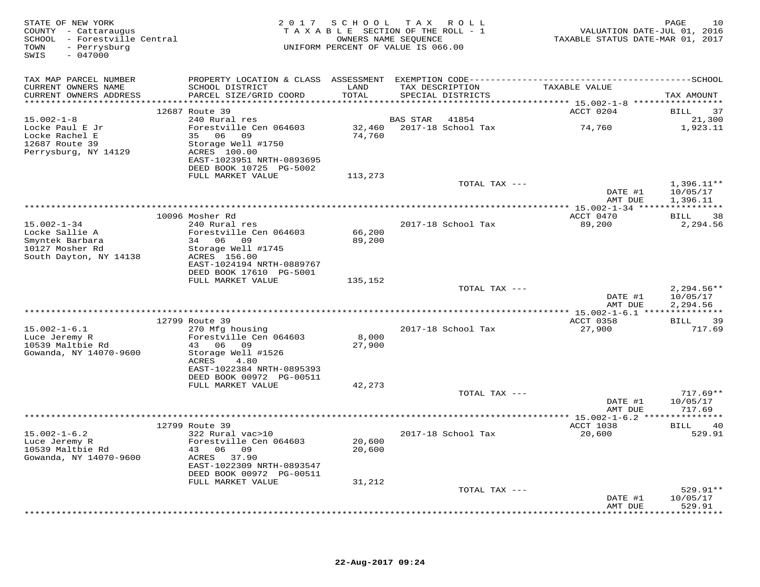| STATE OF NEW YORK<br>COUNTY - Cattaraugus<br>SCHOOL - Forestville Central<br>- Perrysburg<br>TOWN<br>$-047000$<br>SWIS |                                                                                            |               | 2017 SCHOOL TAX ROLL<br>TAXABLE SECTION OF THE ROLL - 1<br>OWNERS NAME SEQUENCE<br>UNIFORM PERCENT OF VALUE IS 066.00 | VALUATION DATE-JUL 01, 2016<br>TAXABLE STATUS DATE-MAR 01, 2017 | 10<br>PAGE               |
|------------------------------------------------------------------------------------------------------------------------|--------------------------------------------------------------------------------------------|---------------|-----------------------------------------------------------------------------------------------------------------------|-----------------------------------------------------------------|--------------------------|
| TAX MAP PARCEL NUMBER                                                                                                  |                                                                                            |               |                                                                                                                       |                                                                 |                          |
| CURRENT OWNERS NAME<br>CURRENT OWNERS ADDRESS                                                                          | SCHOOL DISTRICT<br>PARCEL SIZE/GRID COORD                                                  | LAND<br>TOTAL | TAX DESCRIPTION<br>SPECIAL DISTRICTS                                                                                  | TAXABLE VALUE                                                   | TAX AMOUNT               |
|                                                                                                                        |                                                                                            |               |                                                                                                                       |                                                                 |                          |
| $15.002 - 1 - 8$                                                                                                       | 12687 Route 39<br>240 Rural res                                                            |               | <b>BAS STAR</b><br>41854                                                                                              | ACCT 0204                                                       | 37<br>BILL<br>21,300     |
| Locke Paul E Jr<br>Locke Rachel E                                                                                      | Forestville Cen 064603<br>35 06 09                                                         | 74,760        | 32,460 2017-18 School Tax                                                                                             | 74,760                                                          | 1,923.11                 |
| 12687 Route 39<br>Perrysburg, NY 14129                                                                                 | Storage Well #1750<br>ACRES 100.00<br>EAST-1023951 NRTH-0893695<br>DEED BOOK 10725 PG-5002 |               |                                                                                                                       |                                                                 |                          |
|                                                                                                                        | FULL MARKET VALUE                                                                          | 113,273       |                                                                                                                       |                                                                 |                          |
|                                                                                                                        |                                                                                            |               | TOTAL TAX ---                                                                                                         | DATE #1                                                         | $1,396.11**$<br>10/05/17 |
|                                                                                                                        |                                                                                            |               |                                                                                                                       | AMT DUE                                                         | 1,396.11                 |
|                                                                                                                        | 10096 Mosher Rd                                                                            |               |                                                                                                                       | ACCT 0470                                                       | <b>BILL</b><br>38        |
| $15.002 - 1 - 34$                                                                                                      | 240 Rural res                                                                              |               | 2017-18 School Tax                                                                                                    | 89,200                                                          | 2,294.56                 |
| Locke Sallie A                                                                                                         | Forestville Cen 064603                                                                     | 66,200        |                                                                                                                       |                                                                 |                          |
| Smyntek Barbara<br>10127 Mosher Rd                                                                                     | 34 06 09<br>Storage Well #1745                                                             | 89,200        |                                                                                                                       |                                                                 |                          |
| South Dayton, NY 14138                                                                                                 | ACRES 156.00                                                                               |               |                                                                                                                       |                                                                 |                          |
|                                                                                                                        | EAST-1024194 NRTH-0889767                                                                  |               |                                                                                                                       |                                                                 |                          |
|                                                                                                                        | DEED BOOK 17610 PG-5001                                                                    |               |                                                                                                                       |                                                                 |                          |
|                                                                                                                        | FULL MARKET VALUE                                                                          | 135,152       | TOTAL TAX ---                                                                                                         |                                                                 | $2,294.56**$             |
|                                                                                                                        |                                                                                            |               |                                                                                                                       | DATE #1                                                         | 10/05/17                 |
|                                                                                                                        |                                                                                            |               |                                                                                                                       | AMT DUE                                                         | 2,294.56                 |
|                                                                                                                        | 12799 Route 39                                                                             |               |                                                                                                                       | ACCT 0358                                                       | 39<br>BILL               |
| $15.002 - 1 - 6.1$                                                                                                     | 270 Mfg housing                                                                            |               | 2017-18 School Tax                                                                                                    | 27,900                                                          | 717.69                   |
| Luce Jeremy R                                                                                                          | Forestville Cen 064603                                                                     | 8,000         |                                                                                                                       |                                                                 |                          |
| 10539 Maltbie Rd                                                                                                       | 43 06 09                                                                                   | 27,900        |                                                                                                                       |                                                                 |                          |
| Gowanda, NY 14070-9600                                                                                                 | Storage Well #1526<br>ACRES<br>4.80                                                        |               |                                                                                                                       |                                                                 |                          |
|                                                                                                                        | EAST-1022384 NRTH-0895393                                                                  |               |                                                                                                                       |                                                                 |                          |
|                                                                                                                        | DEED BOOK 00972 PG-00511                                                                   |               |                                                                                                                       |                                                                 |                          |
|                                                                                                                        | FULL MARKET VALUE                                                                          | 42,273        | TOTAL TAX ---                                                                                                         |                                                                 | $717.69**$               |
|                                                                                                                        |                                                                                            |               |                                                                                                                       | DATE #1                                                         | 10/05/17                 |
|                                                                                                                        |                                                                                            |               |                                                                                                                       | AMT DUE                                                         | 717.69                   |
|                                                                                                                        |                                                                                            |               |                                                                                                                       | ** 15.002-1-6.2 ***************                                 |                          |
| $15.002 - 1 - 6.2$                                                                                                     | 12799 Route 39<br>322 Rural vac>10                                                         |               | 2017-18 School Tax                                                                                                    | ACCT 1038<br>20,600                                             | 40<br>BILL<br>529.91     |
| Luce Jeremy R                                                                                                          | Forestville Cen 064603                                                                     | 20,600        |                                                                                                                       |                                                                 |                          |
| 10539 Maltbie Rd                                                                                                       | 43 06 09                                                                                   | 20,600        |                                                                                                                       |                                                                 |                          |
| Gowanda, NY 14070-9600                                                                                                 | ACRES 37.90                                                                                |               |                                                                                                                       |                                                                 |                          |
|                                                                                                                        | EAST-1022309 NRTH-0893547<br>DEED BOOK 00972 PG-00511                                      |               |                                                                                                                       |                                                                 |                          |
|                                                                                                                        | FULL MARKET VALUE                                                                          | 31,212        |                                                                                                                       |                                                                 |                          |
|                                                                                                                        |                                                                                            |               | TOTAL TAX ---                                                                                                         |                                                                 | $529.91**$               |
|                                                                                                                        |                                                                                            |               |                                                                                                                       | DATE #1                                                         | 10/05/17<br>529.91       |
|                                                                                                                        |                                                                                            |               |                                                                                                                       | AMT DUE                                                         | **********               |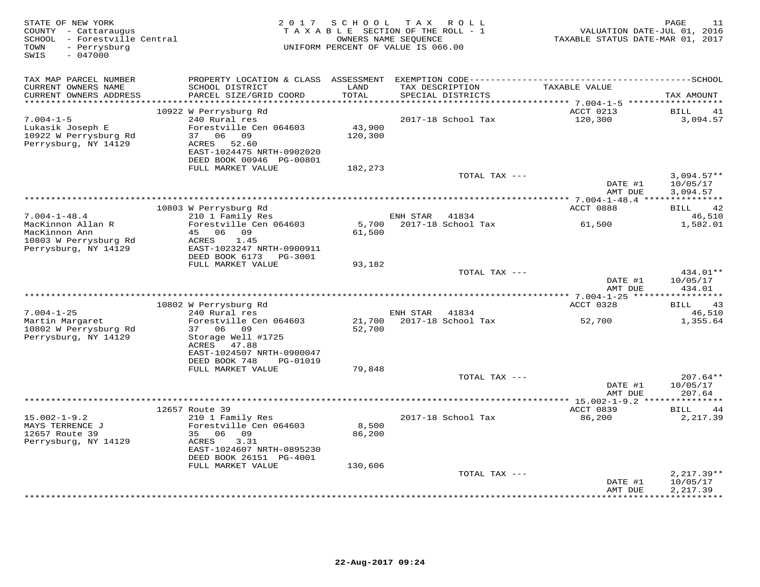| STATE OF NEW YORK<br>COUNTY - Cattaraugus<br>SCHOOL - Forestville Central<br>- Perrysburg<br>TOWN<br>$-047000$<br>SWIS | 2 0 1 7                                                                                                                                                                            | SCHOOL<br>TAXABLE SECTION OF THE ROLL - 1<br>OWNERS NAME SEQUENCE<br>UNIFORM PERCENT OF VALUE IS 066.00 | T A X    | R O L L                              | TAXABLE STATUS DATE-MAR 01, 2017   | 11<br>PAGE<br>VALUATION DATE-JUL 01, 2016   |
|------------------------------------------------------------------------------------------------------------------------|------------------------------------------------------------------------------------------------------------------------------------------------------------------------------------|---------------------------------------------------------------------------------------------------------|----------|--------------------------------------|------------------------------------|---------------------------------------------|
| TAX MAP PARCEL NUMBER<br>CURRENT OWNERS NAME<br>CURRENT OWNERS ADDRESS                                                 | PROPERTY LOCATION & CLASS ASSESSMENT EXEMPTION CODE-----------------------------------SCHOOL<br>SCHOOL DISTRICT<br>PARCEL SIZE/GRID COORD                                          | LAND<br>TOTAL                                                                                           |          | TAX DESCRIPTION<br>SPECIAL DISTRICTS | TAXABLE VALUE                      | TAX AMOUNT                                  |
|                                                                                                                        |                                                                                                                                                                                    | *******                                                                                                 |          |                                      | ********** 7.004-1-5 ************* |                                             |
| $7.004 - 1 - 5$<br>Lukasik Joseph E<br>10922 W Perrysburg Rd<br>Perrysburg, NY 14129                                   | 10922 W Perrysburg Rd<br>240 Rural res<br>Forestville Cen 064603<br>06<br>37<br>09<br>52.60<br>ACRES<br>EAST-1024475 NRTH-0902020<br>DEED BOOK 00946 PG-00801<br>FULL MARKET VALUE | 43,900<br>120,300<br>182,273                                                                            |          | 2017-18 School Tax                   | ACCT 0213<br>120,300               | <b>BILL</b><br>41<br>3,094.57               |
|                                                                                                                        |                                                                                                                                                                                    |                                                                                                         |          | TOTAL TAX ---                        |                                    | $3,094.57**$                                |
|                                                                                                                        |                                                                                                                                                                                    |                                                                                                         |          |                                      | DATE #1<br>AMT DUE                 | 10/05/17<br>3,094.57                        |
|                                                                                                                        | 10803 W Perrysburg Rd                                                                                                                                                              |                                                                                                         |          |                                      | ACCT 0888                          | 42<br><b>BILL</b>                           |
| $7.004 - 1 - 48.4$                                                                                                     | 210 1 Family Res                                                                                                                                                                   |                                                                                                         | ENH STAR | 41834                                |                                    | 46,510                                      |
| MacKinnon Allan R<br>MacKinnon Ann<br>10803 W Perrysburg Rd<br>Perrysburg, NY 14129                                    | Forestville Cen 064603<br>06 09<br>45<br>1.45<br>ACRES<br>EAST-1023247 NRTH-0900911<br>DEED BOOK 6173<br>PG-3001                                                                   | 5,700<br>61,500                                                                                         |          | 2017-18 School Tax                   | 61,500                             | 1,582.01                                    |
|                                                                                                                        | FULL MARKET VALUE                                                                                                                                                                  | 93,182                                                                                                  |          | TOTAL TAX $---$                      |                                    | 434.01**                                    |
|                                                                                                                        |                                                                                                                                                                                    |                                                                                                         |          |                                      | DATE #1<br>AMT DUE                 | 10/05/17<br>434.01                          |
|                                                                                                                        |                                                                                                                                                                                    |                                                                                                         |          |                                      |                                    |                                             |
| $7.004 - 1 - 25$                                                                                                       | 10802 W Perrysburg Rd<br>240 Rural res                                                                                                                                             |                                                                                                         | ENH STAR | 41834                                | ACCT 0328                          | 43<br>BILL<br>46,510                        |
| Martin Margaret<br>10802 W Perrysburg Rd<br>Perrysburg, NY 14129                                                       | Forestville Cen 064603<br>37<br>06<br>09<br>Storage Well #1725<br>ACRES<br>47.88<br>EAST-1024507 NRTH-0900047<br>DEED BOOK 748<br>PG-01019                                         | 21,700<br>52,700                                                                                        |          | 2017-18 School Tax                   | 52,700                             | 1,355.64                                    |
|                                                                                                                        | FULL MARKET VALUE                                                                                                                                                                  | 79,848                                                                                                  |          |                                      |                                    |                                             |
|                                                                                                                        |                                                                                                                                                                                    |                                                                                                         |          | TOTAL TAX ---                        | DATE #1<br>AMT DUE                 | $207.64**$<br>10/05/17<br>207.64            |
|                                                                                                                        |                                                                                                                                                                                    |                                                                                                         |          |                                      |                                    |                                             |
| $15.002 - 1 - 9.2$<br>MAYS TERRENCE J<br>12657 Route 39<br>Perrysburg, NY 14129                                        | 12657 Route 39<br>210 1 Family Res<br>Forestville Cen 064603<br>35<br>06<br>09<br>ACRES<br>3.31<br>EAST-1024607 NRTH-0895230<br>DEED BOOK 26151 PG-4001<br>FULL MARKET VALUE       | 8,500<br>86,200<br>130,606                                                                              |          | 2017-18 School Tax                   | ACCT 0839<br>86,200                | BILL<br>44<br>2,217.39                      |
|                                                                                                                        |                                                                                                                                                                                    |                                                                                                         |          | TOTAL TAX ---                        |                                    | $2,217.39**$                                |
|                                                                                                                        |                                                                                                                                                                                    |                                                                                                         |          |                                      | DATE #1<br>AMT DUE                 | 10/05/17<br>2,217.39<br>* * * * * * * * * * |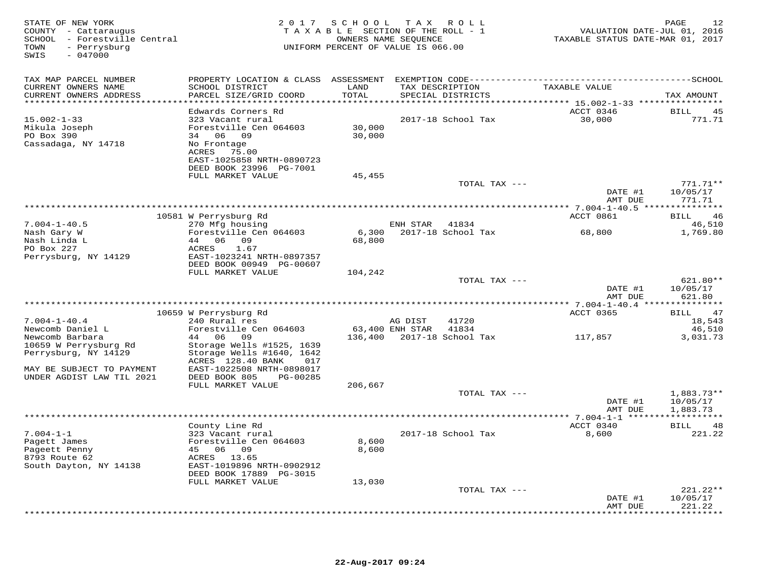| STATE OF NEW YORK<br>COUNTY - Cattaraugus<br>SCHOOL - Forestville Central<br>- Perrysburg<br>TOWN<br>SWIS<br>$-047000$ | 2017                                                   | S C H O O L     | T A X<br>R O L L<br>TAXABLE SECTION OF THE ROLL - 1<br>OWNERS NAME SEOUENCE<br>UNIFORM PERCENT OF VALUE IS 066.00 | VALUATION DATE-JUL 01, 2016<br>TAXABLE STATUS DATE-MAR 01, 2017 | PAGE<br>12           |
|------------------------------------------------------------------------------------------------------------------------|--------------------------------------------------------|-----------------|-------------------------------------------------------------------------------------------------------------------|-----------------------------------------------------------------|----------------------|
| TAX MAP PARCEL NUMBER                                                                                                  |                                                        |                 |                                                                                                                   |                                                                 |                      |
| CURRENT OWNERS NAME<br>CURRENT OWNERS ADDRESS<br>***********************                                               | SCHOOL DISTRICT<br>PARCEL SIZE/GRID COORD              | LAND<br>TOTAL   | TAX DESCRIPTION<br>SPECIAL DISTRICTS                                                                              | TAXABLE VALUE                                                   | TAX AMOUNT           |
|                                                                                                                        | Edwards Corners Rd                                     |                 |                                                                                                                   | ACCT 0346                                                       | <b>BILL</b><br>45    |
| $15.002 - 1 - 33$                                                                                                      | 323 Vacant rural                                       |                 | 2017-18 School Tax                                                                                                | 30,000                                                          | 771.71               |
| Mikula Joseph                                                                                                          | Forestville Cen 064603                                 | 30,000          |                                                                                                                   |                                                                 |                      |
| PO Box 390                                                                                                             | 34 06 09                                               | 30,000          |                                                                                                                   |                                                                 |                      |
| Cassadaga, NY 14718                                                                                                    | No Frontage<br>ACRES<br>75.00                          |                 |                                                                                                                   |                                                                 |                      |
|                                                                                                                        | EAST-1025858 NRTH-0890723                              |                 |                                                                                                                   |                                                                 |                      |
|                                                                                                                        | DEED BOOK 23996 PG-7001                                |                 |                                                                                                                   |                                                                 |                      |
|                                                                                                                        | FULL MARKET VALUE                                      | 45,455          |                                                                                                                   |                                                                 |                      |
|                                                                                                                        |                                                        |                 | TOTAL TAX ---                                                                                                     |                                                                 | $771.71**$           |
|                                                                                                                        |                                                        |                 |                                                                                                                   | DATE #1<br>AMT DUE                                              | 10/05/17<br>771.71   |
|                                                                                                                        |                                                        |                 |                                                                                                                   |                                                                 |                      |
|                                                                                                                        | 10581 W Perrysburg Rd                                  |                 |                                                                                                                   | ACCT 0861                                                       | BILL<br>46           |
| $7.004 - 1 - 40.5$                                                                                                     | 270 Mfg housing                                        |                 | ENH STAR<br>41834                                                                                                 |                                                                 | 46,510               |
| Nash Gary W<br>Nash Linda L                                                                                            | Forestville Cen 064603<br>44<br>06 09                  | 6,300<br>68,800 | 2017-18 School Tax                                                                                                | 68,800                                                          | 1,769.80             |
| PO Box 227                                                                                                             | ACRES<br>1.67                                          |                 |                                                                                                                   |                                                                 |                      |
| Perrysburg, NY 14129                                                                                                   | EAST-1023241 NRTH-0897357                              |                 |                                                                                                                   |                                                                 |                      |
|                                                                                                                        | DEED BOOK 00949 PG-00607                               |                 |                                                                                                                   |                                                                 |                      |
|                                                                                                                        | FULL MARKET VALUE                                      | 104,242         |                                                                                                                   |                                                                 |                      |
|                                                                                                                        |                                                        |                 | TOTAL TAX ---                                                                                                     | DATE #1                                                         | 621.80**<br>10/05/17 |
|                                                                                                                        |                                                        |                 |                                                                                                                   | AMT DUE                                                         | 621.80               |
|                                                                                                                        |                                                        |                 |                                                                                                                   |                                                                 |                      |
|                                                                                                                        | 10659 W Perrysburg Rd                                  |                 |                                                                                                                   | ACCT 0365                                                       | 47<br>BILL           |
| $7.004 - 1 - 40.4$<br>Newcomb Daniel L                                                                                 | 240 Rural res<br>Forestville Cen 064603                |                 | 41720<br>AG DIST<br>63,400 ENH STAR<br>41834                                                                      |                                                                 | 18,543<br>46,510     |
| Newcomb Barbara                                                                                                        | 44 06 09                                               | 136,400         | 2017-18 School Tax                                                                                                | 117,857                                                         | 3,031.73             |
| 10659 W Perrysburg Rd                                                                                                  | Storage Wells #1525, 1639                              |                 |                                                                                                                   |                                                                 |                      |
| Perrysburg, NY 14129                                                                                                   | Storage Wells #1640, 1642                              |                 |                                                                                                                   |                                                                 |                      |
|                                                                                                                        | ACRES 128.40 BANK<br>017                               |                 |                                                                                                                   |                                                                 |                      |
| MAY BE SUBJECT TO PAYMENT<br>UNDER AGDIST LAW TIL 2021                                                                 | EAST-1022508 NRTH-0898017<br>DEED BOOK 805<br>PG-00285 |                 |                                                                                                                   |                                                                 |                      |
|                                                                                                                        | FULL MARKET VALUE                                      | 206,667         |                                                                                                                   |                                                                 |                      |
|                                                                                                                        |                                                        |                 | TOTAL TAX ---                                                                                                     |                                                                 | $1,883.73**$         |
|                                                                                                                        |                                                        |                 |                                                                                                                   | DATE #1                                                         | 10/05/17             |
|                                                                                                                        |                                                        |                 |                                                                                                                   | AMT DUE                                                         | 1,883.73             |
|                                                                                                                        | County Line Rd                                         |                 |                                                                                                                   | ACCT 0340                                                       | <b>BILL</b><br>48    |
| $7.004 - 1 - 1$                                                                                                        | 323 Vacant rural                                       |                 | 2017-18 School Tax                                                                                                | 8,600                                                           | 221.22               |
| Pagett James                                                                                                           | Forestville Cen 064603                                 | 8,600           |                                                                                                                   |                                                                 |                      |
| Pageett Penny                                                                                                          | 45 06 09                                               | 8,600           |                                                                                                                   |                                                                 |                      |
| 8793 Route 62                                                                                                          | ACRES 13.65<br>EAST-1019896 NRTH-0902912               |                 |                                                                                                                   |                                                                 |                      |
| South Dayton, NY 14138                                                                                                 | DEED BOOK 17889 PG-3015                                |                 |                                                                                                                   |                                                                 |                      |
|                                                                                                                        | FULL MARKET VALUE                                      | 13,030          |                                                                                                                   |                                                                 |                      |
|                                                                                                                        |                                                        |                 | TOTAL TAX ---                                                                                                     |                                                                 | $221.22**$           |
|                                                                                                                        |                                                        |                 |                                                                                                                   | DATE #1                                                         | 10/05/17             |
|                                                                                                                        |                                                        |                 |                                                                                                                   | AMT DUE                                                         | 221.22<br>.          |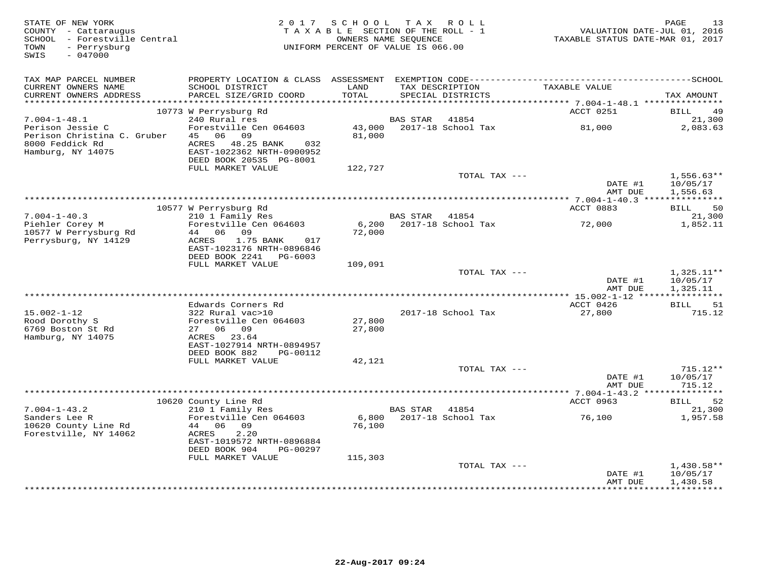| STATE OF NEW YORK<br>COUNTY - Cattaraugus<br>SCHOOL - Forestville Central<br>- Perrysburg<br>TOWN<br>$-047000$<br>SWIS |                                                                                     | 2017 SCHOOL<br>TAXABLE SECTION OF THE ROLL - 1<br>UNIFORM PERCENT OF VALUE IS 066.00 | OWNERS NAME SEQUENCE | TAX ROLL                             | VALUATION DATE-JUL 01, 2016<br>TAXABLE STATUS DATE-MAR 01, 2017 | PAGE<br>13                           |
|------------------------------------------------------------------------------------------------------------------------|-------------------------------------------------------------------------------------|--------------------------------------------------------------------------------------|----------------------|--------------------------------------|-----------------------------------------------------------------|--------------------------------------|
| TAX MAP PARCEL NUMBER                                                                                                  |                                                                                     |                                                                                      |                      |                                      |                                                                 |                                      |
| CURRENT OWNERS NAME<br>CURRENT OWNERS ADDRESS<br>***********************                                               | SCHOOL DISTRICT<br>PARCEL SIZE/GRID COORD                                           | LAND<br>TOTAL                                                                        |                      | TAX DESCRIPTION<br>SPECIAL DISTRICTS | TAXABLE VALUE                                                   | TAX AMOUNT                           |
|                                                                                                                        | 10773 W Perrysburg Rd                                                               |                                                                                      |                      |                                      | ACCT 0251                                                       | BILL<br>49                           |
| $7.004 - 1 - 48.1$                                                                                                     | 240 Rural res                                                                       |                                                                                      | <b>BAS STAR</b>      | 41854                                |                                                                 | 21,300                               |
| Perison Jessie C<br>Perison Christina C. Gruber<br>8000 Feddick Rd                                                     | Forestville Cen 064603<br>06 09<br>45<br>ACRES<br>48.25 BANK<br>032                 | 43,000<br>81,000                                                                     |                      | 2017-18 School Tax                   | 81,000                                                          | 2,083.63                             |
| Hamburg, NY 14075                                                                                                      | EAST-1022362 NRTH-0900952<br>DEED BOOK 20535 PG-8001                                |                                                                                      |                      |                                      |                                                                 |                                      |
|                                                                                                                        | FULL MARKET VALUE                                                                   | 122,727                                                                              |                      |                                      |                                                                 |                                      |
|                                                                                                                        |                                                                                     |                                                                                      |                      | TOTAL TAX ---                        | DATE #1<br>AMT DUE                                              | $1,556.63**$<br>10/05/17<br>1,556.63 |
|                                                                                                                        |                                                                                     |                                                                                      |                      |                                      | ************ 7.004-1-40.3 ***************                       |                                      |
|                                                                                                                        | 10577 W Perrysburg Rd                                                               |                                                                                      |                      |                                      | ACCT 0883                                                       | 50<br>BILL                           |
| $7.004 - 1 - 40.3$<br>Piehler Corey M<br>10577 W Perrysburg Rd                                                         | 210 1 Family Res<br>Forestville Cen 064603<br>06<br>44<br>09                        | 6,200<br>72,000                                                                      | BAS STAR             | 41854<br>2017-18 School Tax          | 72,000                                                          | 21,300<br>1,852.11                   |
| Perrysburg, NY 14129                                                                                                   | ACRES<br>1.75 BANK<br>017<br>EAST-1023176 NRTH-0896846<br>DEED BOOK 2241<br>PG-6003 |                                                                                      |                      |                                      |                                                                 |                                      |
|                                                                                                                        | FULL MARKET VALUE                                                                   | 109,091                                                                              |                      |                                      |                                                                 |                                      |
|                                                                                                                        |                                                                                     |                                                                                      |                      | TOTAL TAX ---                        | DATE #1                                                         | $1,325.11**$<br>10/05/17             |
|                                                                                                                        |                                                                                     |                                                                                      |                      |                                      | AMT DUE                                                         | 1,325.11                             |
|                                                                                                                        | Edwards Corners Rd                                                                  |                                                                                      |                      |                                      | ACCT 0426                                                       | <b>BILL</b><br>51                    |
| $15.002 - 1 - 12$                                                                                                      | 322 Rural vac>10                                                                    |                                                                                      |                      | 2017-18 School Tax                   | 27,800                                                          | 715.12                               |
| Rood Dorothy S<br>6769 Boston St Rd                                                                                    | Forestville Cen 064603<br>27 06 09                                                  | 27,800<br>27,800                                                                     |                      |                                      |                                                                 |                                      |
| Hamburg, NY 14075                                                                                                      | 23.64<br>ACRES<br>EAST-1027914 NRTH-0894957                                         |                                                                                      |                      |                                      |                                                                 |                                      |
|                                                                                                                        | DEED BOOK 882<br>PG-00112                                                           |                                                                                      |                      |                                      |                                                                 |                                      |
|                                                                                                                        | FULL MARKET VALUE                                                                   | 42,121                                                                               |                      | TOTAL TAX $---$                      |                                                                 |                                      |
|                                                                                                                        |                                                                                     |                                                                                      |                      |                                      | DATE #1<br>AMT DUE                                              | 715.12**<br>10/05/17<br>715.12       |
|                                                                                                                        |                                                                                     |                                                                                      |                      |                                      | *********** 7.004-1-43.2 ******                                 | *********                            |
|                                                                                                                        | 10620 County Line Rd                                                                |                                                                                      |                      |                                      | ACCT 0963                                                       | 52<br>BILL                           |
| $7.004 - 1 - 43.2$<br>Sanders Lee R                                                                                    | 210 1 Family Res<br>Forestville Cen 064603                                          | 6,800                                                                                | <b>BAS STAR</b>      | 41854<br>2017-18 School Tax          | 76,100                                                          | 21,300<br>1,957.58                   |
| 10620 County Line Rd<br>Forestville, NY 14062                                                                          | 44 06 09<br>ACRES<br>2.20                                                           | 76,100                                                                               |                      |                                      |                                                                 |                                      |
|                                                                                                                        | EAST-1019572 NRTH-0896884<br>DEED BOOK 904<br>PG-00297                              |                                                                                      |                      |                                      |                                                                 |                                      |
|                                                                                                                        | FULL MARKET VALUE                                                                   | 115,303                                                                              |                      |                                      |                                                                 |                                      |
|                                                                                                                        |                                                                                     |                                                                                      |                      | TOTAL TAX ---                        | DATE #1                                                         | 1,430.58**<br>10/05/17               |
|                                                                                                                        |                                                                                     |                                                                                      |                      |                                      | AMT DUE                                                         | 1,430.58<br><b>++++++++++</b>        |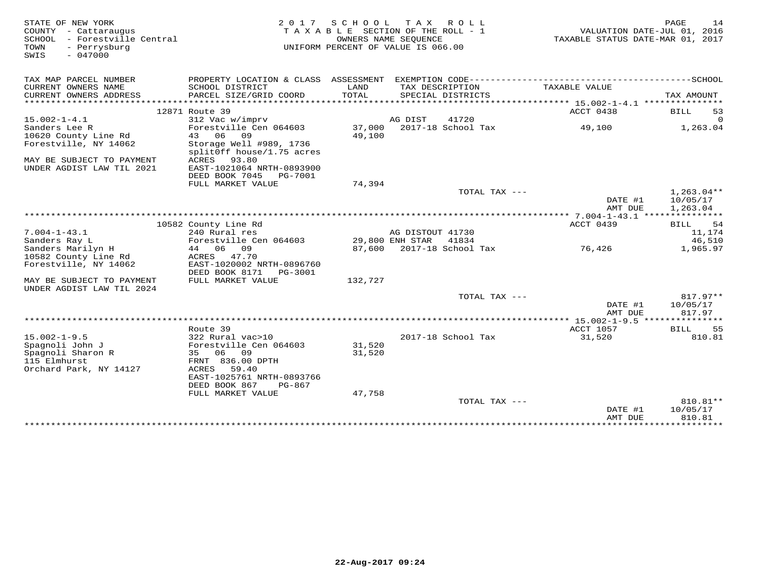| STATE OF NEW YORK<br>COUNTY - Cattaraugus<br>SCHOOL - Forestville Central<br>TOWN<br>- Perrysburg<br>$-047000$<br>SWIS | 2 0 1 7                                      | S C H O O L   | T A X<br>R O L L<br>TAXABLE SECTION OF THE ROLL - 1<br>OWNERS NAME SEQUENCE<br>UNIFORM PERCENT OF VALUE IS 066.00 |               | VALUATION DATE-JUL 01, 2016<br>TAXABLE STATUS DATE-MAR 01, 2017 | PAGE                | 14                       |
|------------------------------------------------------------------------------------------------------------------------|----------------------------------------------|---------------|-------------------------------------------------------------------------------------------------------------------|---------------|-----------------------------------------------------------------|---------------------|--------------------------|
| TAX MAP PARCEL NUMBER                                                                                                  | PROPERTY LOCATION & CLASS ASSESSMENT         |               | EXEMPTION CODE-------------------------                                                                           |               |                                                                 | -------------SCHOOL |                          |
| CURRENT OWNERS NAME<br>CURRENT OWNERS ADDRESS                                                                          | SCHOOL DISTRICT<br>PARCEL SIZE/GRID COORD    | LAND<br>TOTAL | TAX DESCRIPTION<br>SPECIAL DISTRICTS                                                                              |               | TAXABLE VALUE                                                   |                     | TAX AMOUNT               |
|                                                                                                                        |                                              |               |                                                                                                                   |               |                                                                 |                     |                          |
| $15.002 - 1 - 4.1$                                                                                                     | 12871 Route 39<br>312 Vac w/imprv            |               | AG DIST<br>41720                                                                                                  |               | ACCT 0438                                                       | BILL                | 53<br>$\Omega$           |
| Sanders Lee R                                                                                                          | Forestville Cen 064603                       | 37,000        | 2017-18 School Tax                                                                                                |               | 49,100                                                          |                     | 1,263.04                 |
| 10620 County Line Rd                                                                                                   | 43 06<br>09                                  | 49,100        |                                                                                                                   |               |                                                                 |                     |                          |
| Forestville, NY 14062                                                                                                  | Storage Well #989, 1736                      |               |                                                                                                                   |               |                                                                 |                     |                          |
|                                                                                                                        | splitOff house/1.75 acres                    |               |                                                                                                                   |               |                                                                 |                     |                          |
| MAY BE SUBJECT TO PAYMENT                                                                                              | ACRES<br>93.80                               |               |                                                                                                                   |               |                                                                 |                     |                          |
| UNDER AGDIST LAW TIL 2021                                                                                              | EAST-1021064 NRTH-0893900                    |               |                                                                                                                   |               |                                                                 |                     |                          |
|                                                                                                                        | DEED BOOK 7045<br>PG-7001                    |               |                                                                                                                   |               |                                                                 |                     |                          |
|                                                                                                                        | FULL MARKET VALUE                            | 74,394        |                                                                                                                   |               |                                                                 |                     |                          |
|                                                                                                                        |                                              |               |                                                                                                                   | TOTAL TAX --- | DATE #1                                                         |                     | $1,263.04**$<br>10/05/17 |
|                                                                                                                        |                                              |               |                                                                                                                   |               | AMT DUE                                                         |                     | 1,263.04                 |
|                                                                                                                        |                                              |               |                                                                                                                   |               | ****** 7.004-1-43.1                                             | ****                | **********               |
|                                                                                                                        | 10582 County Line Rd                         |               |                                                                                                                   |               | ACCT 0439                                                       | BILL                | 54                       |
| $7.004 - 1 - 43.1$                                                                                                     | 240 Rural res                                |               | AG DISTOUT 41730                                                                                                  |               |                                                                 |                     | 11,174                   |
| Sanders Ray L                                                                                                          | Forestville Cen 064603                       |               | 29,800 ENH STAR<br>41834                                                                                          |               |                                                                 |                     | 46,510                   |
| Sanders Marilyn H                                                                                                      | 06<br>09<br>44                               | 87,600        | 2017-18 School Tax                                                                                                |               | 76,426                                                          |                     | 1,965.97                 |
| 10582 County Line Rd                                                                                                   | 47.70<br>ACRES                               |               |                                                                                                                   |               |                                                                 |                     |                          |
| Forestville, NY 14062                                                                                                  | EAST-1020002 NRTH-0896760                    |               |                                                                                                                   |               |                                                                 |                     |                          |
|                                                                                                                        | DEED BOOK 8171<br>PG-3001                    |               |                                                                                                                   |               |                                                                 |                     |                          |
| MAY BE SUBJECT TO PAYMENT                                                                                              | FULL MARKET VALUE                            | 132,727       |                                                                                                                   |               |                                                                 |                     |                          |
| UNDER AGDIST LAW TIL 2024                                                                                              |                                              |               |                                                                                                                   |               |                                                                 |                     |                          |
|                                                                                                                        |                                              |               |                                                                                                                   | TOTAL TAX --- | DATE #1                                                         |                     | 817.97**<br>10/05/17     |
|                                                                                                                        |                                              |               |                                                                                                                   |               | AMT DUE                                                         |                     | 817.97                   |
|                                                                                                                        |                                              |               |                                                                                                                   |               | ** $15.002 - 1 - 9.5$ *******                                   |                     | * * * * * * * *          |
|                                                                                                                        | Route 39                                     |               |                                                                                                                   |               | <b>ACCT 1057</b>                                                | BILL                | 55                       |
| $15.002 - 1 - 9.5$                                                                                                     | 322 Rural vac>10                             |               | 2017-18 School Tax                                                                                                |               | 31,520                                                          |                     | 810.81                   |
| Spagnoli John J                                                                                                        | Forestville Cen 064603                       | 31,520        |                                                                                                                   |               |                                                                 |                     |                          |
| Spagnoli Sharon R                                                                                                      | 06<br>09<br>35                               | 31,520        |                                                                                                                   |               |                                                                 |                     |                          |
| 115 Elmhurst                                                                                                           | FRNT 836.00 DPTH                             |               |                                                                                                                   |               |                                                                 |                     |                          |
| Orchard Park, NY 14127                                                                                                 | ACRES<br>59.40                               |               |                                                                                                                   |               |                                                                 |                     |                          |
|                                                                                                                        | EAST-1025761 NRTH-0893766                    |               |                                                                                                                   |               |                                                                 |                     |                          |
|                                                                                                                        | DEED BOOK 867<br>PG-867<br>FULL MARKET VALUE | 47,758        |                                                                                                                   |               |                                                                 |                     |                          |
|                                                                                                                        |                                              |               |                                                                                                                   | TOTAL TAX --- |                                                                 |                     | 810.81**                 |
|                                                                                                                        |                                              |               |                                                                                                                   |               | DATE #1                                                         |                     | 10/05/17                 |
|                                                                                                                        |                                              |               |                                                                                                                   |               | AMT DUE                                                         |                     | 810.81                   |
|                                                                                                                        |                                              |               |                                                                                                                   |               | *****************                                               |                     | ***********              |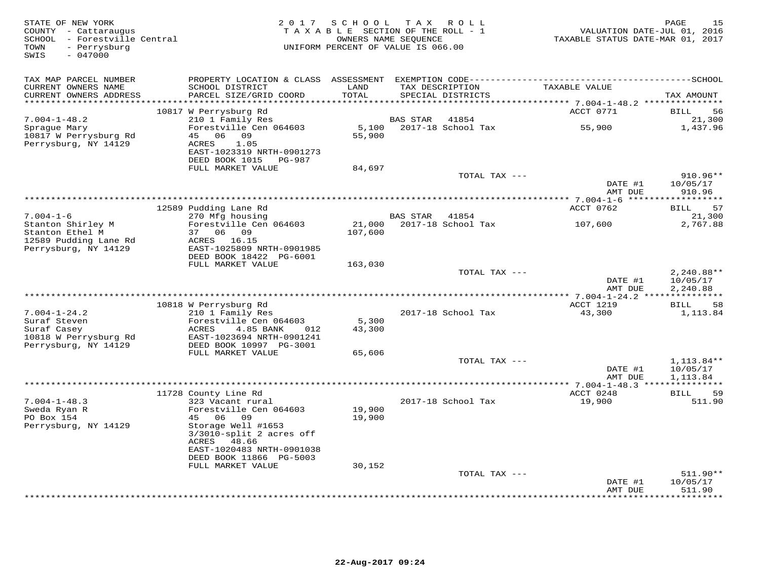| STATE OF NEW YORK<br>COUNTY - Cattaraugus<br>SCHOOL - Forestville Central<br>- Perrysburg<br>TOWN<br>SWIS<br>$-047000$ | 2 0 1 7                                                                            | SCHOOL<br>TAXABLE SECTION OF THE ROLL - 1<br>OWNERS NAME SEOUENCE<br>UNIFORM PERCENT OF VALUE IS 066.00 |                 | TAX ROLL                  | VALUATION DATE-JUL 01, 2016<br>TAXABLE STATUS DATE-MAR 01, 2017 | 15<br>PAGE                     |
|------------------------------------------------------------------------------------------------------------------------|------------------------------------------------------------------------------------|---------------------------------------------------------------------------------------------------------|-----------------|---------------------------|-----------------------------------------------------------------|--------------------------------|
| TAX MAP PARCEL NUMBER<br>CURRENT OWNERS NAME                                                                           | SCHOOL DISTRICT                                                                    | LAND                                                                                                    |                 | TAX DESCRIPTION           | TAXABLE VALUE                                                   |                                |
| CURRENT OWNERS ADDRESS<br>************************                                                                     | PARCEL SIZE/GRID COORD                                                             | TOTAL                                                                                                   |                 | SPECIAL DISTRICTS         |                                                                 | TAX AMOUNT                     |
|                                                                                                                        | 10817 W Perrysburg Rd                                                              |                                                                                                         |                 |                           | ACCT 0771                                                       | BILL<br>56                     |
| $7.004 - 1 - 48.2$                                                                                                     | 210 1 Family Res                                                                   |                                                                                                         | <b>BAS STAR</b> | 41854                     |                                                                 | 21,300                         |
| Sprague Mary                                                                                                           | Forestville Cen 064603                                                             |                                                                                                         |                 | 5,100 2017-18 School Tax  | 55,900                                                          | 1,437.96                       |
| 10817 W Perrysburg Rd<br>Perrysburg, NY 14129                                                                          | 06 09<br>45<br>ACRES<br>1.05<br>EAST-1023319 NRTH-0901273<br>DEED BOOK 1015 PG-987 | 55,900                                                                                                  |                 |                           |                                                                 |                                |
|                                                                                                                        | FULL MARKET VALUE                                                                  | 84,697                                                                                                  |                 |                           |                                                                 |                                |
|                                                                                                                        |                                                                                    |                                                                                                         |                 | TOTAL TAX ---             | DATE #1<br>AMT DUE                                              | 910.96**<br>10/05/17<br>910.96 |
|                                                                                                                        |                                                                                    |                                                                                                         |                 |                           |                                                                 |                                |
|                                                                                                                        | 12589 Pudding Lane Rd                                                              |                                                                                                         |                 |                           | ACCT 0762                                                       | <b>BILL</b><br>57              |
| $7.004 - 1 - 6$                                                                                                        | 270 Mfg housing                                                                    |                                                                                                         | BAS STAR 41854  |                           |                                                                 | 21,300                         |
| Stanton Shirley M                                                                                                      | Forestville Cen 064603                                                             |                                                                                                         |                 | 21,000 2017-18 School Tax | 107,600                                                         | 2,767.88                       |
| Stanton Ethel M<br>12589 Pudding Lane Rd                                                                               | 37 06 09<br>ACRES 16.15                                                            | 107,600                                                                                                 |                 |                           |                                                                 |                                |
| Perrysburg, NY 14129                                                                                                   | EAST-1025809 NRTH-0901985                                                          |                                                                                                         |                 |                           |                                                                 |                                |
|                                                                                                                        | DEED BOOK 18422 PG-6001                                                            |                                                                                                         |                 |                           |                                                                 |                                |
|                                                                                                                        | FULL MARKET VALUE                                                                  | 163,030                                                                                                 |                 |                           |                                                                 |                                |
|                                                                                                                        |                                                                                    |                                                                                                         |                 | TOTAL TAX ---             | DATE #1                                                         | $2,240.88**$<br>10/05/17       |
|                                                                                                                        |                                                                                    |                                                                                                         |                 |                           | AMT DUE                                                         | 2,240.88                       |
|                                                                                                                        |                                                                                    |                                                                                                         |                 |                           |                                                                 |                                |
|                                                                                                                        | 10818 W Perrysburg Rd                                                              |                                                                                                         |                 |                           | ACCT 1219                                                       | BILL<br>58                     |
| $7.004 - 1 - 24.2$                                                                                                     | 210 1 Family Res                                                                   |                                                                                                         |                 | 2017-18 School Tax        | 43,300                                                          | 1,113.84                       |
| Suraf Steven<br>Suraf Casey                                                                                            | Forestville Cen 064603<br>ACRES<br>4.85 BANK<br>012                                | 5,300<br>43,300                                                                                         |                 |                           |                                                                 |                                |
| 10818 W Perrysburg Rd                                                                                                  | EAST-1023694 NRTH-0901241                                                          |                                                                                                         |                 |                           |                                                                 |                                |
| Perrysburg, NY 14129                                                                                                   | DEED BOOK 10997 PG-3001                                                            |                                                                                                         |                 |                           |                                                                 |                                |
|                                                                                                                        | FULL MARKET VALUE                                                                  | 65,606                                                                                                  |                 |                           |                                                                 |                                |
|                                                                                                                        |                                                                                    |                                                                                                         |                 | TOTAL TAX ---             | DATE #1                                                         | $1,113.84**$<br>10/05/17       |
|                                                                                                                        |                                                                                    |                                                                                                         |                 |                           | AMT DUE                                                         | 1,113.84                       |
|                                                                                                                        |                                                                                    |                                                                                                         |                 |                           |                                                                 |                                |
|                                                                                                                        | 11728 County Line Rd                                                               |                                                                                                         |                 |                           | ACCT 0248                                                       | <b>BILL</b><br>59              |
| $7.004 - 1 - 48.3$                                                                                                     | 323 Vacant rural                                                                   |                                                                                                         |                 | 2017-18 School Tax        | 19,900                                                          | 511.90                         |
| Sweda Ryan R<br>PO Box 154                                                                                             | Forestville Cen 064603<br>45<br>06 09                                              | 19,900<br>19,900                                                                                        |                 |                           |                                                                 |                                |
| Perrysburg, NY 14129                                                                                                   | Storage Well #1653                                                                 |                                                                                                         |                 |                           |                                                                 |                                |
|                                                                                                                        | $3/3010$ -split 2 acres off                                                        |                                                                                                         |                 |                           |                                                                 |                                |
|                                                                                                                        | ACRES 48.66                                                                        |                                                                                                         |                 |                           |                                                                 |                                |
|                                                                                                                        | EAST-1020483 NRTH-0901038                                                          |                                                                                                         |                 |                           |                                                                 |                                |
|                                                                                                                        | DEED BOOK 11866 PG-5003<br>FULL MARKET VALUE                                       | 30,152                                                                                                  |                 |                           |                                                                 |                                |
|                                                                                                                        |                                                                                    |                                                                                                         |                 | TOTAL TAX ---             |                                                                 | $511.90**$                     |
|                                                                                                                        |                                                                                    |                                                                                                         |                 |                           | DATE #1                                                         | 10/05/17                       |
|                                                                                                                        |                                                                                    |                                                                                                         |                 |                           | AMT DUE                                                         | 511.90<br>* * * * * * *        |
|                                                                                                                        |                                                                                    |                                                                                                         |                 |                           |                                                                 |                                |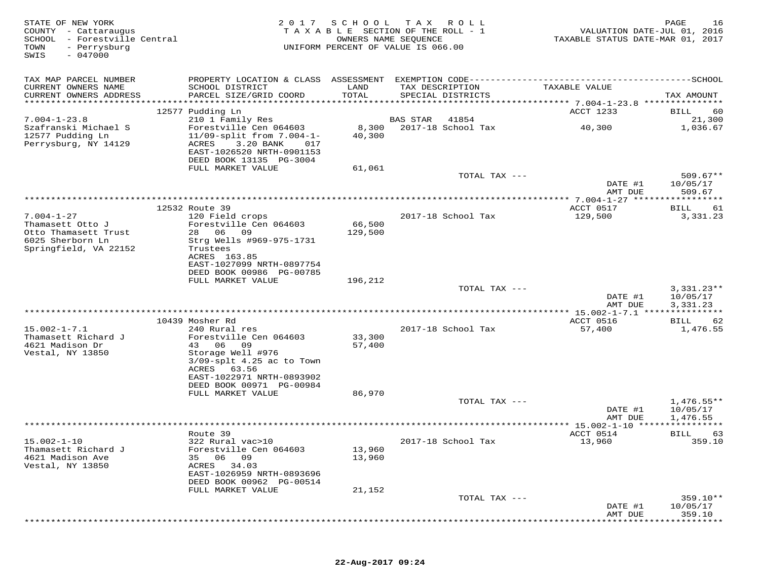| STATE OF NEW YORK<br>COUNTY - Cattaraugus<br>SCHOOL - Forestville Central<br>TOWN<br>- Perrysburg<br>$-047000$<br>SWIS | 2017                                                                                        | SCHOOL           | T A X<br>ROLL<br>TAXABLE SECTION OF THE ROLL - 1<br>OWNERS NAME SEQUENCE<br>UNIFORM PERCENT OF VALUE IS 066.00 | VALUATION DATE-JUL 01, 2016<br>TAXABLE STATUS DATE-MAR 01, 2017 | 16<br>PAGE               |
|------------------------------------------------------------------------------------------------------------------------|---------------------------------------------------------------------------------------------|------------------|----------------------------------------------------------------------------------------------------------------|-----------------------------------------------------------------|--------------------------|
| TAX MAP PARCEL NUMBER                                                                                                  | PROPERTY LOCATION & CLASS ASSESSMENT                                                        |                  |                                                                                                                |                                                                 |                          |
| CURRENT OWNERS NAME<br>CURRENT OWNERS ADDRESS                                                                          | SCHOOL DISTRICT<br>PARCEL SIZE/GRID COORD                                                   | LAND<br>TOTAL    | TAX DESCRIPTION<br>SPECIAL DISTRICTS                                                                           | TAXABLE VALUE                                                   | TAX AMOUNT               |
|                                                                                                                        |                                                                                             |                  |                                                                                                                |                                                                 |                          |
|                                                                                                                        | 12577 Pudding Ln                                                                            |                  |                                                                                                                | ACCT 1233                                                       | 60<br>BILL               |
| $7.004 - 1 - 23.8$<br>Szafranski Michael S                                                                             | 210 1 Family Res<br>Forestville Cen 064603                                                  | 8,300            | BAS STAR<br>41854<br>2017-18 School Tax                                                                        | 40,300                                                          | 21,300<br>1,036.67       |
| 12577 Pudding Ln<br>Perrysburg, NY 14129                                                                               | $11/09$ -split from $7.004 - 1 -$<br>ACRES<br>3.20 BANK<br>017<br>EAST-1026520 NRTH-0901153 | 40,300           |                                                                                                                |                                                                 |                          |
|                                                                                                                        | DEED BOOK 13135 PG-3004<br>FULL MARKET VALUE                                                |                  |                                                                                                                |                                                                 |                          |
|                                                                                                                        |                                                                                             | 61,061           | TOTAL TAX ---                                                                                                  | DATE #1                                                         | $509.67**$<br>10/05/17   |
|                                                                                                                        |                                                                                             |                  |                                                                                                                | AMT DUE                                                         | 509.67                   |
|                                                                                                                        |                                                                                             |                  |                                                                                                                | ************ 7.004-1-27 *******                                 | * * * * * * * * *        |
|                                                                                                                        | 12532 Route 39                                                                              |                  |                                                                                                                | ACCT 0517                                                       | BILL<br>61               |
| $7.004 - 1 - 27$                                                                                                       | 120 Field crops                                                                             |                  | 2017-18 School Tax                                                                                             | 129,500                                                         | 3,331.23                 |
| Thamasett Otto J                                                                                                       | Forestville Cen 064603                                                                      | 66,500           |                                                                                                                |                                                                 |                          |
| Otto Thamasett Trust<br>6025 Sherborn Ln                                                                               | 28<br>06<br>09<br>Strg Wells #969-975-1731                                                  | 129,500          |                                                                                                                |                                                                 |                          |
| Springfield, VA 22152                                                                                                  | Trustees                                                                                    |                  |                                                                                                                |                                                                 |                          |
|                                                                                                                        | ACRES 163.85                                                                                |                  |                                                                                                                |                                                                 |                          |
|                                                                                                                        | EAST-1027099 NRTH-0897754                                                                   |                  |                                                                                                                |                                                                 |                          |
|                                                                                                                        | DEED BOOK 00986 PG-00785                                                                    |                  |                                                                                                                |                                                                 |                          |
|                                                                                                                        | FULL MARKET VALUE                                                                           | 196,212          |                                                                                                                |                                                                 |                          |
|                                                                                                                        |                                                                                             |                  | TOTAL TAX ---                                                                                                  | DATE #1                                                         | $3,331.23**$<br>10/05/17 |
|                                                                                                                        |                                                                                             |                  |                                                                                                                | AMT DUE                                                         | 3,331.23                 |
|                                                                                                                        |                                                                                             |                  |                                                                                                                | ********** 15.002-1-7.1 ******                                  | ********                 |
|                                                                                                                        | 10439 Mosher Rd                                                                             |                  |                                                                                                                | ACCT 0516                                                       | 62<br>BILL               |
| $15.002 - 1 - 7.1$                                                                                                     | 240 Rural res                                                                               |                  | 2017-18 School Tax                                                                                             | 57,400                                                          | 1,476.55                 |
| Thamasett Richard J<br>4621 Madison Dr                                                                                 | Forestville Cen 064603<br>43<br>06<br>09                                                    | 33,300<br>57,400 |                                                                                                                |                                                                 |                          |
| Vestal, NY 13850                                                                                                       | Storage Well #976                                                                           |                  |                                                                                                                |                                                                 |                          |
|                                                                                                                        | $3/09$ -splt $4.25$ ac to Town                                                              |                  |                                                                                                                |                                                                 |                          |
|                                                                                                                        | ACRES<br>63.56                                                                              |                  |                                                                                                                |                                                                 |                          |
|                                                                                                                        | EAST-1022971 NRTH-0893902                                                                   |                  |                                                                                                                |                                                                 |                          |
|                                                                                                                        | DEED BOOK 00971 PG-00984<br>FULL MARKET VALUE                                               | 86,970           |                                                                                                                |                                                                 |                          |
|                                                                                                                        |                                                                                             |                  | TOTAL TAX ---                                                                                                  |                                                                 | $1,476.55**$             |
|                                                                                                                        |                                                                                             |                  |                                                                                                                | DATE #1<br>AMT DUE                                              | 10/05/17<br>1,476.55     |
|                                                                                                                        |                                                                                             |                  |                                                                                                                | ***************** 15.002-1-10 *****************                 |                          |
| $15.002 - 1 - 10$                                                                                                      | Route 39<br>322 Rural vac>10                                                                |                  | 2017-18 School Tax                                                                                             | ACCT 0514<br>13,960                                             | BILL<br>63<br>359.10     |
| Thamasett Richard J                                                                                                    | Forestville Cen 064603                                                                      | 13,960           |                                                                                                                |                                                                 |                          |
| 4621 Madison Ave                                                                                                       | 35<br>06 —<br>09                                                                            | 13,960           |                                                                                                                |                                                                 |                          |
| Vestal, NY 13850                                                                                                       | ACRES<br>34.03                                                                              |                  |                                                                                                                |                                                                 |                          |
|                                                                                                                        | EAST-1026959 NRTH-0893696                                                                   |                  |                                                                                                                |                                                                 |                          |
|                                                                                                                        | DEED BOOK 00962 PG-00514<br>FULL MARKET VALUE                                               | 21,152           |                                                                                                                |                                                                 |                          |
|                                                                                                                        |                                                                                             |                  | TOTAL TAX ---                                                                                                  |                                                                 | 359.10**                 |
|                                                                                                                        |                                                                                             |                  |                                                                                                                | DATE #1                                                         | 10/05/17                 |
|                                                                                                                        |                                                                                             |                  |                                                                                                                | AMT DUE                                                         | 359.10                   |
|                                                                                                                        |                                                                                             |                  |                                                                                                                |                                                                 |                          |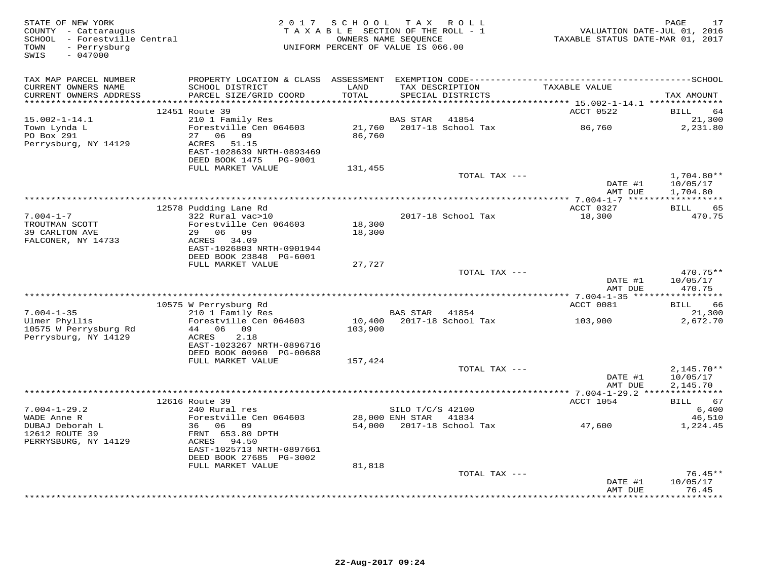| STATE OF NEW YORK<br>COUNTY - Cattaraugus<br>SCHOOL - Forestville Central<br>- Perrysburg<br>TOWN<br>$-047000$<br>SWIS |                                                                                                    | 2017 SCHOOL TAX ROLL<br>TAXABLE SECTION OF THE ROLL - 1<br>UNIFORM PERCENT OF VALUE IS 066.00 | OWNERS NAME SEOUENCE                               |                    | TAXABLE STATUS DATE-MAR 01, 2017 | PAGE<br>17<br>VALUATION DATE-JUL 01, 2016 |
|------------------------------------------------------------------------------------------------------------------------|----------------------------------------------------------------------------------------------------|-----------------------------------------------------------------------------------------------|----------------------------------------------------|--------------------|----------------------------------|-------------------------------------------|
| TAX MAP PARCEL NUMBER<br>CURRENT OWNERS NAME<br>CURRENT OWNERS ADDRESS                                                 | SCHOOL DISTRICT<br>PARCEL SIZE/GRID COORD                                                          | LAND<br>TOTAL                                                                                 | TAX DESCRIPTION<br>SPECIAL DISTRICTS               |                    | TAXABLE VALUE                    | TAX AMOUNT                                |
|                                                                                                                        | 12451 Route 39                                                                                     |                                                                                               |                                                    |                    | ACCT 0522                        | BILL<br>64                                |
| $15.002 - 1 - 14.1$<br>Town Lynda L<br>PO Box 291<br>Perrysburg, NY 14129                                              | 210 1 Family Res<br>Forestville Cen 064603<br>27 06 09<br>ACRES 51.15<br>EAST-1028639 NRTH-0893469 | 86,760                                                                                        | BAS STAR                                           | 41854              | 86,760                           | 21,300<br>2,231.80                        |
|                                                                                                                        | DEED BOOK 1475    PG-9001<br>FULL MARKET VALUE                                                     | 131,455                                                                                       |                                                    |                    |                                  |                                           |
|                                                                                                                        |                                                                                                    |                                                                                               |                                                    | TOTAL TAX ---      | DATE #1                          | $1,704.80**$<br>10/05/17                  |
|                                                                                                                        |                                                                                                    |                                                                                               |                                                    |                    | AMT DUE                          | 1,704.80                                  |
|                                                                                                                        | 12578 Pudding Lane Rd                                                                              |                                                                                               |                                                    |                    | ACCT 0327                        | <b>BILL</b><br>65                         |
| $7.004 - 1 - 7$<br>TROUTMAN SCOTT<br>39 CARLTON AVE                                                                    | $322$ Rural vac $>10$<br>Forestville Cen 064603<br>29 06 09                                        | 18,300<br>18,300                                                                              |                                                    | 2017-18 School Tax | 18,300                           | 470.75                                    |
| FALCONER, NY 14733                                                                                                     | ACRES 34.09<br>EAST-1026803 NRTH-0901944<br>DEED BOOK 23848 PG-6001                                |                                                                                               |                                                    |                    |                                  |                                           |
|                                                                                                                        | FULL MARKET VALUE                                                                                  | 27,727                                                                                        |                                                    |                    |                                  |                                           |
|                                                                                                                        |                                                                                                    |                                                                                               |                                                    | TOTAL TAX ---      | DATE #1<br>AMT DUE               | 470.75**<br>10/05/17<br>470.75            |
|                                                                                                                        |                                                                                                    |                                                                                               |                                                    |                    |                                  |                                           |
| $7.004 - 1 - 35$                                                                                                       | 10575 W Perrysburg Rd<br>210 1 Family Res                                                          |                                                                                               | BAS STAR 41854                                     |                    | ACCT 0081                        | BILL<br>66<br>21,300                      |
| Ulmer Phyllis<br>10575 W Perrysburg Rd<br>Perrysburg, NY 14129                                                         | Forestville Cen 064603<br>44 06 09<br>2.18<br>ACRES<br>EAST-1023267 NRTH-0896716                   | 103,900                                                                                       | 10,400 2017-18 School Tax                          |                    | 103,900                          | 2,672.70                                  |
|                                                                                                                        | DEED BOOK 00960 PG-00688                                                                           |                                                                                               |                                                    |                    |                                  |                                           |
|                                                                                                                        | FULL MARKET VALUE                                                                                  | 157,424                                                                                       |                                                    | TOTAL TAX ---      |                                  |                                           |
|                                                                                                                        |                                                                                                    |                                                                                               |                                                    |                    | DATE #1<br>AMT DUE               | $2,145.70**$<br>10/05/17<br>2,145.70      |
|                                                                                                                        | 12616 Route 39                                                                                     |                                                                                               |                                                    |                    | ACCT 1054                        | BILL 67                                   |
| $7.004 - 1 - 29.2$                                                                                                     | 240 Rural res                                                                                      |                                                                                               | SILO T/C/S 42100                                   |                    |                                  | 6,400                                     |
| WADE Anne R<br>DUBAJ Deborah L<br>12612 ROUTE 39<br>PERRYSBURG, NY 14129                                               | Forestville Cen 064603<br>36 06 09<br>FRNT 653.80 DPTH<br>ACRES 94.50                              |                                                                                               | 28,000 ENH STAR 41834<br>54,000 2017-18 School Tax |                    | 47,600                           | 46,510<br>1,224.45                        |
|                                                                                                                        | EAST-1025713 NRTH-0897661                                                                          |                                                                                               |                                                    |                    |                                  |                                           |
|                                                                                                                        | DEED BOOK 27685 PG-3002<br>FULL MARKET VALUE                                                       | 81,818                                                                                        |                                                    |                    |                                  |                                           |
|                                                                                                                        |                                                                                                    |                                                                                               |                                                    | TOTAL TAX ---      | DATE #1                          | $76.45**$<br>10/05/17                     |
|                                                                                                                        |                                                                                                    |                                                                                               |                                                    |                    | AMT DUE<br>**************        | 76.45<br>********                         |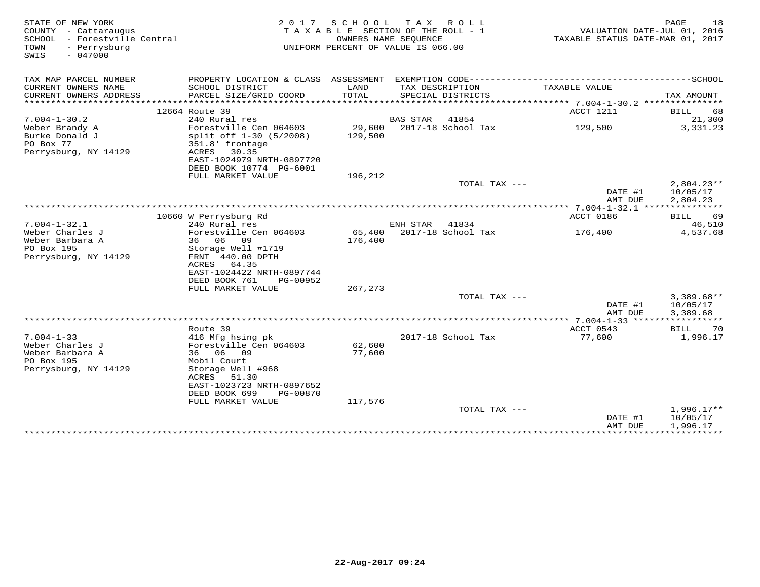| STATE OF NEW YORK<br>COUNTY - Cattaraugus<br>SCHOOL - Forestville Central<br>- Perrysburg<br>TOWN<br>$-047000$<br>SWIS | 2 0 1 7                                                                                                                                        | S C H O O L<br>TAXABLE SECTION OF THE ROLL - 1<br>OWNERS NAME SEQUENCE<br>UNIFORM PERCENT OF VALUE IS 066.00 | T A X                  | R O L L                                    | VALUATION DATE-JUL 01, 2016<br>TAXABLE STATUS DATE-MAR 01, 2017 | 18<br>PAGE                           |
|------------------------------------------------------------------------------------------------------------------------|------------------------------------------------------------------------------------------------------------------------------------------------|--------------------------------------------------------------------------------------------------------------|------------------------|--------------------------------------------|-----------------------------------------------------------------|--------------------------------------|
| TAX MAP PARCEL NUMBER                                                                                                  | PROPERTY LOCATION & CLASS ASSESSMENT                                                                                                           |                                                                                                              |                        | EXEMPTION CODE---------------------------- |                                                                 | -------------SCHOOL                  |
| CURRENT OWNERS NAME<br>CURRENT OWNERS ADDRESS<br>***********************                                               | SCHOOL DISTRICT<br>PARCEL SIZE/GRID COORD                                                                                                      | LAND<br>TOTAL                                                                                                |                        | TAX DESCRIPTION<br>SPECIAL DISTRICTS       | TAXABLE VALUE                                                   | TAX AMOUNT                           |
|                                                                                                                        | 12664 Route 39                                                                                                                                 |                                                                                                              |                        |                                            | ACCT 1211                                                       | <b>BILL</b><br>68                    |
| $7.004 - 1 - 30.2$                                                                                                     | 240 Rural res                                                                                                                                  |                                                                                                              | <b>BAS STAR</b>        | 41854                                      |                                                                 | 21,300                               |
| Weber Brandy A<br>Burke Donald J<br>PO Box 77<br>Perrysburg, NY 14129                                                  | Forestville Cen 064603<br>split off 1-30 (5/2008)<br>351.8' frontage<br>30.35<br>ACRES<br>EAST-1024979 NRTH-0897720<br>DEED BOOK 10774 PG-6001 | 29,600<br>129,500                                                                                            |                        | 2017-18 School Tax                         | 129,500                                                         | 3,331.23                             |
|                                                                                                                        | FULL MARKET VALUE                                                                                                                              | 196,212                                                                                                      |                        |                                            |                                                                 |                                      |
|                                                                                                                        |                                                                                                                                                |                                                                                                              |                        | TOTAL TAX ---                              | DATE #1<br>AMT DUE                                              | $2,804.23**$<br>10/05/17<br>2,804.23 |
|                                                                                                                        |                                                                                                                                                |                                                                                                              |                        |                                            | $* 7.004 - 1 - 32.1$ ***                                        | * * * * * * * * * *                  |
|                                                                                                                        | 10660 W Perrysburg Rd                                                                                                                          |                                                                                                              |                        |                                            | ACCT 0186                                                       | BILL<br>69                           |
| $7.004 - 1 - 32.1$                                                                                                     | 240 Rural res                                                                                                                                  |                                                                                                              | ENH STAR               | 41834                                      |                                                                 | 46,510                               |
| Weber Charles J                                                                                                        | Forestville Cen 064603                                                                                                                         | 65,400                                                                                                       |                        | 2017-18 School Tax                         | 176,400                                                         | 4,537.68                             |
| Weber Barbara A<br>PO Box 195                                                                                          | 36<br>06 09<br>Storage Well #1719                                                                                                              | 176,400                                                                                                      |                        |                                            |                                                                 |                                      |
| Perrysburg, NY 14129                                                                                                   | FRNT 440.00 DPTH<br>ACRES<br>64.35<br>EAST-1024422 NRTH-0897744<br>DEED BOOK 761<br>PG-00952                                                   |                                                                                                              |                        |                                            |                                                                 |                                      |
|                                                                                                                        | FULL MARKET VALUE                                                                                                                              | 267, 273                                                                                                     |                        |                                            |                                                                 |                                      |
|                                                                                                                        |                                                                                                                                                |                                                                                                              |                        | TOTAL TAX ---                              | DATE #1<br>AMT DUE                                              | $3,389.68**$<br>10/05/17<br>3,389.68 |
|                                                                                                                        |                                                                                                                                                |                                                                                                              | ********************** |                                            | **** 7.004-1-33 ******                                          |                                      |
|                                                                                                                        | Route 39                                                                                                                                       |                                                                                                              |                        |                                            | ACCT 0543                                                       | BILL<br>70                           |
| $7.004 - 1 - 33$                                                                                                       | 416 Mfg hsing pk                                                                                                                               |                                                                                                              |                        | 2017-18 School Tax                         | 77,600                                                          | 1,996.17                             |
| Weber Charles J                                                                                                        | Forestville Cen 064603<br>09                                                                                                                   | 62,600                                                                                                       |                        |                                            |                                                                 |                                      |
| Weber Barbara A<br>PO Box 195                                                                                          | 36 06<br>Mobil Court                                                                                                                           | 77,600                                                                                                       |                        |                                            |                                                                 |                                      |
| Perrysburg, NY 14129                                                                                                   | Storage Well #968<br>ACRES<br>51.30<br>EAST-1023723 NRTH-0897652                                                                               |                                                                                                              |                        |                                            |                                                                 |                                      |
|                                                                                                                        | DEED BOOK 699<br>PG-00870<br>FULL MARKET VALUE                                                                                                 | 117,576                                                                                                      |                        |                                            |                                                                 |                                      |
|                                                                                                                        |                                                                                                                                                |                                                                                                              |                        | TOTAL TAX ---                              | DATE #1                                                         | $1,996.17**$<br>10/05/17             |
|                                                                                                                        |                                                                                                                                                |                                                                                                              |                        |                                            | AMT DUE<br>************                                         | 1,996.17<br>***********              |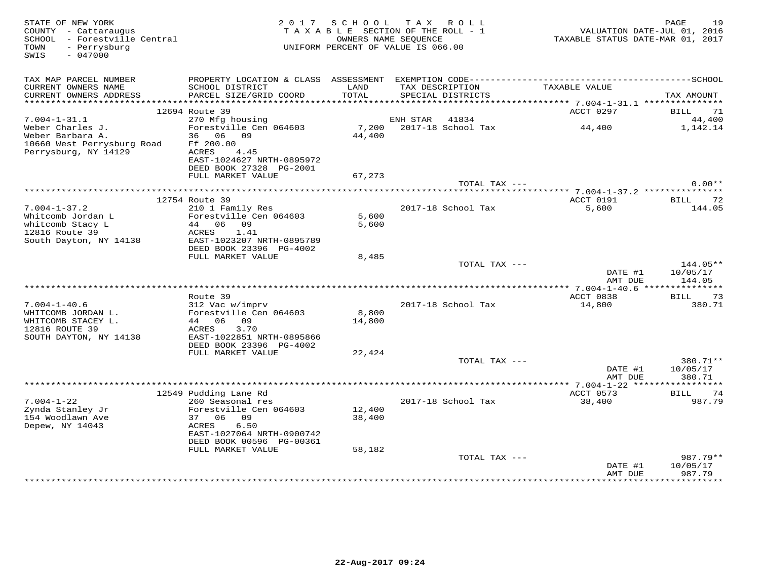| STATE OF NEW YORK<br>COUNTY - Cattaraugus<br>SCHOOL - Forestville Central<br>- Perrysburg<br>TOWN<br>$-047000$<br>SWIS | 2 0 1 7                                                                                                                                                  | S C H O O L<br>TAXABLE SECTION OF THE ROLL - 1<br>UNIFORM PERCENT OF VALUE IS 066.00 | TAX ROLL<br>OWNERS NAME SEQUENCE |                                      | VALUATION DATE-JUL 01, 2016<br>TAXABLE STATUS DATE-MAR 01, 2017 | 19<br>PAGE                     |
|------------------------------------------------------------------------------------------------------------------------|----------------------------------------------------------------------------------------------------------------------------------------------------------|--------------------------------------------------------------------------------------|----------------------------------|--------------------------------------|-----------------------------------------------------------------|--------------------------------|
| TAX MAP PARCEL NUMBER                                                                                                  |                                                                                                                                                          |                                                                                      |                                  |                                      |                                                                 |                                |
| CURRENT OWNERS NAME<br>CURRENT OWNERS ADDRESS<br>************************                                              | SCHOOL DISTRICT<br>PARCEL SIZE/GRID COORD                                                                                                                | LAND<br>TOTAL                                                                        |                                  | TAX DESCRIPTION<br>SPECIAL DISTRICTS | TAXABLE VALUE                                                   | TAX AMOUNT                     |
|                                                                                                                        | 12694 Route 39                                                                                                                                           |                                                                                      |                                  |                                      | ACCT 0297                                                       | BILL<br>71                     |
| $7.004 - 1 - 31.1$                                                                                                     | 270 Mfg housing                                                                                                                                          |                                                                                      | ENH STAR                         | 41834                                |                                                                 | 44,400                         |
| Weber Charles J.<br>Weber Barbara A.<br>10660 West Perrysburg Road<br>Perrysburg, NY 14129                             | Forestville Cen 064603<br>36 06 09<br>Ff 200.00<br>ACRES<br>4.45<br>EAST-1024627 NRTH-0895972<br>DEED BOOK 27328 PG-2001                                 | 7,200<br>44,400                                                                      |                                  | 2017-18 School Tax                   | 44,400                                                          | 1,142.14                       |
|                                                                                                                        | FULL MARKET VALUE                                                                                                                                        | 67,273                                                                               |                                  |                                      |                                                                 |                                |
|                                                                                                                        |                                                                                                                                                          |                                                                                      |                                  | TOTAL TAX ---                        |                                                                 | $0.00**$                       |
|                                                                                                                        | 12754 Route 39                                                                                                                                           |                                                                                      |                                  |                                      | ACCT 0191                                                       | BILL<br>-72                    |
| $7.004 - 1 - 37.2$<br>Whitcomb Jordan L<br>whitcomb Stacy L<br>12816 Route 39<br>South Dayton, NY 14138                | 210 1 Family Res<br>Forestville Cen 064603<br>44 06 09<br>ACRES<br>1.41<br>EAST-1023207 NRTH-0895789<br>DEED BOOK 23396 PG-4002                          | 5,600<br>5,600                                                                       |                                  | 2017-18 School Tax                   | 5,600                                                           | 144.05                         |
|                                                                                                                        | FULL MARKET VALUE                                                                                                                                        | 8,485                                                                                |                                  | TOTAL TAX ---                        | DATE #1<br>AMT DUE                                              | 144.05**<br>10/05/17<br>144.05 |
|                                                                                                                        |                                                                                                                                                          |                                                                                      |                                  |                                      |                                                                 |                                |
|                                                                                                                        | Route 39                                                                                                                                                 |                                                                                      |                                  |                                      | ACCT 0838                                                       | 73<br><b>BILL</b>              |
| $7.004 - 1 - 40.6$<br>WHITCOMB JORDAN L.<br>WHITCOMB STACEY L.<br>12816 ROUTE 39<br>SOUTH DAYTON, NY 14138             | 312 Vac w/imprv<br>Forestville Cen 064603<br>44 06 09<br>ACRES<br>3.70<br>EAST-1022851 NRTH-0895866<br>DEED BOOK 23396 PG-4002<br>FULL MARKET VALUE      | 8,800<br>14,800<br>22,424                                                            |                                  | 2017-18 School Tax                   | 14,800                                                          | 380.71                         |
|                                                                                                                        |                                                                                                                                                          |                                                                                      |                                  | TOTAL TAX ---                        | DATE #1<br>AMT DUE                                              | 380.71**<br>10/05/17<br>380.71 |
|                                                                                                                        |                                                                                                                                                          |                                                                                      |                                  |                                      |                                                                 |                                |
|                                                                                                                        | 12549 Pudding Lane Rd                                                                                                                                    |                                                                                      |                                  |                                      | ACCT 0573                                                       | BILL<br>74                     |
| $7.004 - 1 - 22$<br>Zynda Stanley Jr<br>154 Woodlawn Ave<br>Depew, NY 14043                                            | 260 Seasonal res<br>Forestville Cen 064603<br>37<br>06 09<br>6.50<br>ACRES<br>EAST-1027064 NRTH-0900742<br>DEED BOOK 00596 PG-00361<br>FULL MARKET VALUE | 12,400<br>38,400<br>58,182                                                           |                                  | 2017-18 School Tax                   | 38,400                                                          | 987.79                         |
|                                                                                                                        |                                                                                                                                                          |                                                                                      |                                  | TOTAL TAX ---                        | DATE #1<br>AMT DUE                                              | 987.79**<br>10/05/17<br>987.79 |
|                                                                                                                        |                                                                                                                                                          |                                                                                      |                                  |                                      |                                                                 |                                |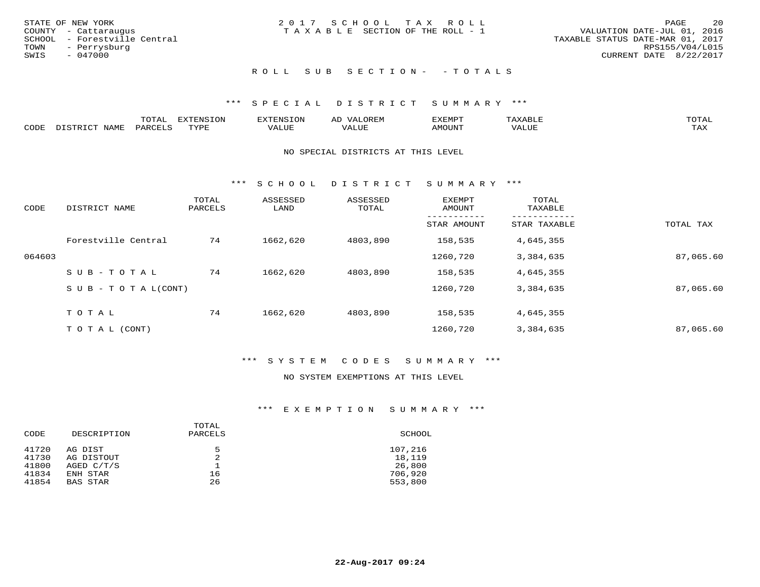| STATE OF NEW YORK<br>COUNTY - Cattaraugus         | 2017 SCHOOL TAX ROLL<br>T A X A B L E SECTION OF THE ROLL - 1 | 20<br>PAGE<br>VALUATION DATE-JUL 01, 2016           |
|---------------------------------------------------|---------------------------------------------------------------|-----------------------------------------------------|
| SCHOOL - Forestville Central<br>TOWN - Perrysburg |                                                               | TAXABLE STATUS DATE-MAR 01, 2017<br>RPS155/V04/L015 |
| SWIS<br>$-047000$                                 |                                                               | CURRENT DATE 8/22/2017                              |
|                                                   | ROLL SUB SECTION- - TOTALS                                    |                                                     |

#### \*\*\* S P E C I A L D I S T R I C T S U M M A R Y \*\*\*

|      |      | $n \wedge m \wedge n$<br>$\cdots$<br>◡⊥▱ |               | אים " | ΑL   | ے ا          |       |              |
|------|------|------------------------------------------|---------------|-------|------|--------------|-------|--------------|
| CODE | VAMF | <sup>3</sup> AR.                         | <b>TIVATI</b> | ALUF  | ALUE | <b>MOUNT</b> | VALUE | max x<br>∸∽∽ |

#### NO SPECIAL DISTRICTS AT THIS LEVEL

\*\*\* S C H O O L D I S T R I C T S U M M A R Y \*\*\*

| CODE   | DISTRICT NAME                    | TOTAL<br>PARCELS | ASSESSED<br>LAND | ASSESSED<br>TOTAL | <b>EXEMPT</b><br>AMOUNT | TOTAL<br>TAXABLE |           |
|--------|----------------------------------|------------------|------------------|-------------------|-------------------------|------------------|-----------|
|        |                                  |                  |                  |                   | STAR AMOUNT             | STAR TAXABLE     | TOTAL TAX |
|        | Forestville Central              | 74               | 1662,620         | 4803,890          | 158,535                 | 4,645,355        |           |
| 064603 |                                  |                  |                  |                   | 1260,720                | 3,384,635        | 87,065.60 |
|        | SUB-TOTAL                        | 74               | 1662,620         | 4803,890          | 158,535                 | 4,645,355        |           |
|        | $S \cup B - T \cup T A L (CONT)$ |                  |                  |                   | 1260,720                | 3,384,635        | 87,065.60 |
|        | TOTAL                            | 74               | 1662,620         | 4803,890          | 158,535                 | 4,645,355        |           |
|        | T O T A L (CONT)                 |                  |                  |                   | 1260,720                | 3,384,635        | 87,065.60 |

#### \*\*\* S Y S T E M C O D E S S U M M A R Y \*\*\*

#### NO SYSTEM EXEMPTIONS AT THIS LEVEL

| CODE           | DESCRIPTION           | TOTAL<br>PARCELS | SCHOOL            |
|----------------|-----------------------|------------------|-------------------|
| 41720<br>41730 | AG DIST<br>AG DISTOUT | 5<br>2           | 107,216<br>18,119 |
| 41800          | AGED C/T/S            |                  | 26,800            |
| 41834          | ENH STAR              | 16               | 706,920           |
| 41854          | <b>BAS STAR</b>       | 26               | 553,800           |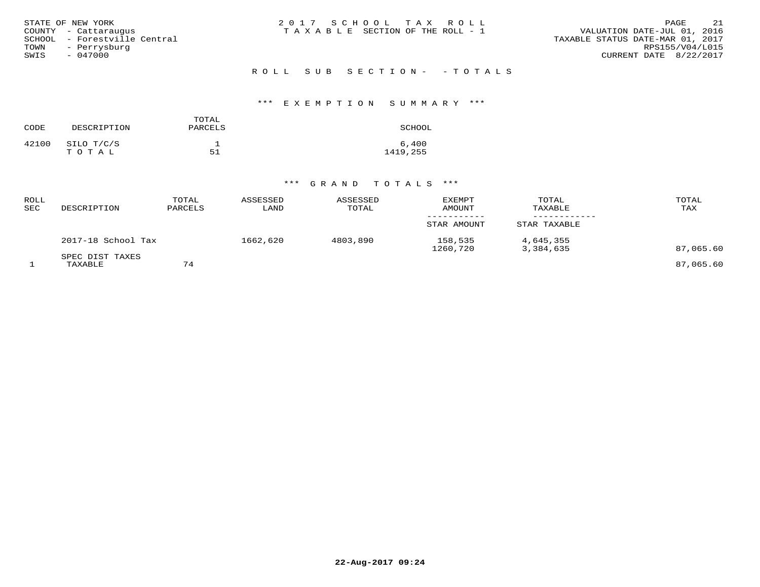| STATE OF NEW YORK            | 2017 SCHOOL TAX ROLL            | 21<br>PAGE                       |
|------------------------------|---------------------------------|----------------------------------|
| COUNTY - Cattaraugus         | TAXABLE SECTION OF THE ROLL - 1 | VALUATION DATE-JUL 01, 2016      |
| SCHOOL - Forestville Central |                                 | TAXABLE STATUS DATE-MAR 01, 2017 |
| - Perrysburg<br>TOWN         |                                 | RPS155/V04/L015                  |
| $-047000$<br>SWIS            |                                 | CURRENT DATE 8/22/2017           |
|                              |                                 |                                  |

#### \*\*\* E X E M P T I O N S U M M A R Y \*\*\*

| CODE  | DESCRIPTION | TOTAL<br>PARCELS | SCHOOL   |
|-------|-------------|------------------|----------|
| 42100 | SILO T/C/S  |                  | 6,400    |
|       | TOTAL       | 51               | 1419,255 |

| ROLL<br><b>SEC</b> | DESCRIPTION                | TOTAL<br>PARCELS | ASSESSED<br>LAND | ASSESSED<br>TOTAL | <b>EXEMPT</b><br>AMOUNT | TOTAL<br>TAXABLE       | TOTAL<br>TAX |
|--------------------|----------------------------|------------------|------------------|-------------------|-------------------------|------------------------|--------------|
|                    |                            |                  |                  |                   | STAR AMOUNT             | STAR TAXABLE           |              |
|                    | 2017-18 School Tax         |                  | 1662,620         | 4803,890          | 158,535<br>1260,720     | 4,645,355<br>3,384,635 | 87,065.60    |
|                    | SPEC DIST TAXES<br>TAXABLE | 74               |                  |                   |                         |                        | 87,065.60    |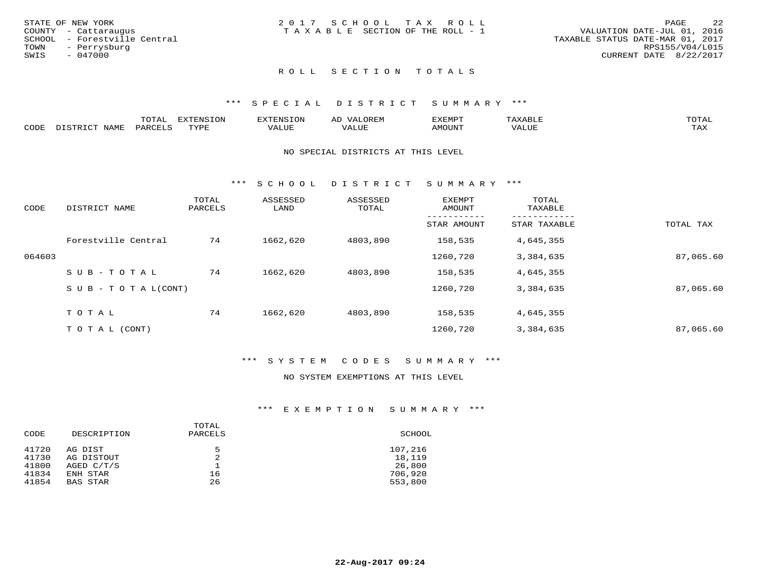| STATE OF NEW YORK<br>COUNTY - Cattaraugus<br>SCHOOL - Forestville Central<br>TOWN<br>- Perrysburg<br>SWIS<br>- 047000 | 2017 SCHOOL TAX ROLL<br>TAXABLE SECTION OF THE ROLL - 1 | - 22<br>PAGE<br>VALUATION DATE-JUL 01, 2016<br>TAXABLE STATUS DATE-MAR 01, 2017<br>RPS155/V04/L015<br>CURRENT DATE 8/22/2017 |
|-----------------------------------------------------------------------------------------------------------------------|---------------------------------------------------------|------------------------------------------------------------------------------------------------------------------------------|
|                                                                                                                       | ROLL SECTION TOTALS                                     |                                                                                                                              |

#### \*\*\* S P E C I A L D I S T R I C T S U M M A R Y \*\*\*

|      |                                        | $m \wedge m$<br>⊥∪⊥AL | <b>TITZD</b><br>$T^{\sim}$ |             |  |       | $\blacksquare$       |
|------|----------------------------------------|-----------------------|----------------------------|-------------|--|-------|----------------------|
| CDDE | $\overline{N}$ $\Delta$ $\overline{N}$ |                       | TVDR                       | <b>TITT</b> |  | u u r | $m \times r$<br>دمدم |

#### NO SPECIAL DISTRICTS AT THIS LEVEL

\*\*\* S C H O O L D I S T R I C T S U M M A R Y \*\*\*

| CODE   | DISTRICT NAME                    | TOTAL<br>PARCELS | ASSESSED<br>LAND | ASSESSED<br>TOTAL | EXEMPT<br>AMOUNT | TOTAL<br>TAXABLE |           |
|--------|----------------------------------|------------------|------------------|-------------------|------------------|------------------|-----------|
|        |                                  |                  |                  |                   | STAR AMOUNT      | STAR TAXABLE     | TOTAL TAX |
|        | Forestville Central              | 74               | 1662,620         | 4803,890          | 158,535          | 4,645,355        |           |
| 064603 |                                  |                  |                  |                   | 1260,720         | 3,384,635        | 87,065.60 |
|        | SUB-TOTAL                        | 74               | 1662,620         | 4803,890          | 158,535          | 4,645,355        |           |
|        | $S \cup B - T \cup T A L (CONT)$ |                  |                  |                   | 1260,720         | 3,384,635        | 87,065.60 |
|        | TOTAL                            | 74               | 1662,620         | 4803,890          | 158,535          | 4,645,355        |           |
|        | T O T A L (CONT)                 |                  |                  |                   | 1260,720         | 3,384,635        | 87,065.60 |

#### \*\*\* S Y S T E M C O D E S S U M M A R Y \*\*\*

#### NO SYSTEM EXEMPTIONS AT THIS LEVEL

| CODE  | DESCRIPTION     | TOTAL<br>PARCELS | SCHOOL  |
|-------|-----------------|------------------|---------|
| 41720 | AG DIST         | 5                | 107,216 |
| 41730 | AG DISTOUT      |                  | 18,119  |
| 41800 | AGED C/T/S      |                  | 26,800  |
| 41834 | ENH STAR        | 16               | 706,920 |
| 41854 | <b>BAS STAR</b> | 26               | 553,800 |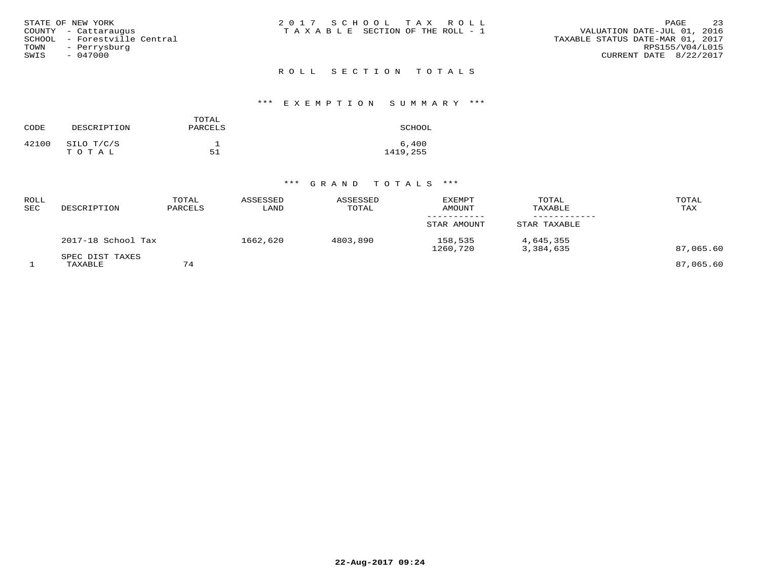| STATE OF NEW YORK            | 2017 SCHOOL TAX ROLL                  | -23<br>PAGE                      |
|------------------------------|---------------------------------------|----------------------------------|
| COUNTY - Cattaraugus         | T A X A B L E SECTION OF THE ROLL - 1 | VALUATION DATE-JUL 01, 2016      |
| SCHOOL - Forestville Central |                                       | TAXABLE STATUS DATE-MAR 01, 2017 |
| TOWN - Perrysburg            |                                       | RPS155/V04/L015                  |
| SWIS<br>- 047000             |                                       | CURRENT DATE 8/22/2017           |
|                              | ROLL SECTION TOTALS                   |                                  |

#### \*\*\* E X E M P T I O N S U M M A R Y \*\*\*

| CODE  | DESCRIPTION         | TOTAL<br>PARCELS | SCHOOL            |
|-------|---------------------|------------------|-------------------|
| 42100 | SILO T/C/S<br>TOTAL | 51               | 6,400<br>1419,255 |

| ROLL<br>SEC | DESCRIPTION                | TOTAL<br>PARCELS | ASSESSED<br>LAND | ASSESSED<br>TOTAL | <b>EXEMPT</b><br>AMOUNT | TOTAL<br>TAXABLE       | TOTAL<br>TAX |
|-------------|----------------------------|------------------|------------------|-------------------|-------------------------|------------------------|--------------|
|             |                            |                  |                  |                   | STAR AMOUNT             | STAR TAXABLE           |              |
|             | 2017-18 School Tax         |                  | 1662,620         | 4803,890          | 158,535<br>1260,720     | 4,645,355<br>3,384,635 | 87,065.60    |
|             | SPEC DIST TAXES<br>TAXABLE | 74               |                  |                   |                         |                        | 87,065.60    |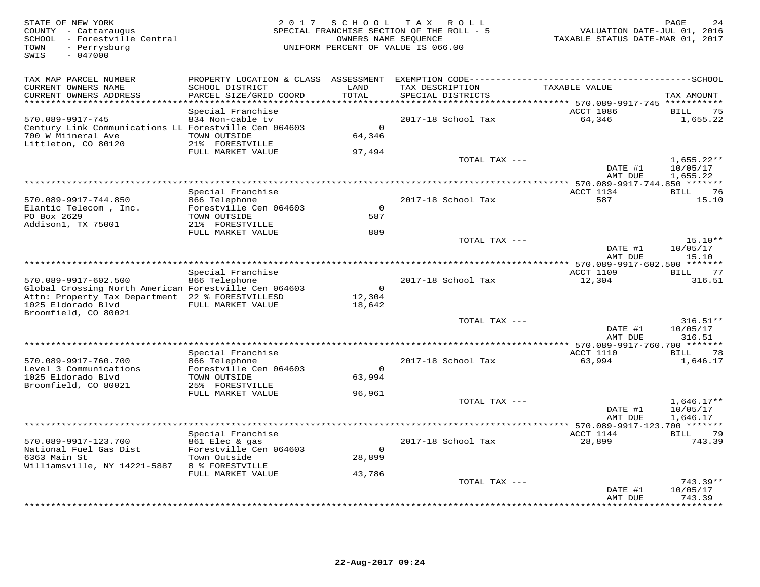| STATE OF NEW YORK<br>COUNTY - Cattaraugus<br>SCHOOL - Forestville Central<br>TOWN<br>- Perrysburg<br>$-047000$<br>SWIS                                  | 2017                                                                                                                  | SCHOOL                             | T A X<br>R O L L<br>SPECIAL FRANCHISE SECTION OF THE ROLL - 5<br>OWNERS NAME SEOUENCE<br>UNIFORM PERCENT OF VALUE IS 066.00 | VALUATION DATE-JUL 01, 2016<br>TAXABLE STATUS DATE-MAR 01, 2017      | PAGE                                         |
|---------------------------------------------------------------------------------------------------------------------------------------------------------|-----------------------------------------------------------------------------------------------------------------------|------------------------------------|-----------------------------------------------------------------------------------------------------------------------------|----------------------------------------------------------------------|----------------------------------------------|
| TAX MAP PARCEL NUMBER<br>CURRENT OWNERS NAME<br>CURRENT OWNERS ADDRESS<br>**********************                                                        | PROPERTY LOCATION & CLASS ASSESSMENT<br>SCHOOL DISTRICT<br>PARCEL SIZE/GRID COORD<br>*************************        | LAND<br>TOTAL<br>**********        | TAX DESCRIPTION<br>SPECIAL DISTRICTS<br>********************************* 570.089-9917-745 ***********                      | TAXABLE VALUE                                                        | ------SCHOOL<br>TAX AMOUNT                   |
| 570.089-9917-745<br>Century Link Communications LL Forestville Cen 064603<br>700 W Miineral Ave<br>Littleton, CO 80120                                  | Special Franchise<br>834 Non-cable tv<br>TOWN OUTSIDE<br>21% FORESTVILLE<br>FULL MARKET VALUE                         | $\Omega$<br>64,346<br>97,494       | 2017-18 School Tax                                                                                                          | ACCT 1086<br>64,346                                                  | 75<br>BILL<br>1,655.22                       |
|                                                                                                                                                         |                                                                                                                       |                                    | TOTAL TAX ---                                                                                                               | DATE #1<br>AMT DUE                                                   | $1,655.22**$<br>10/05/17<br>1,655.22         |
| 570.089-9917-744.850<br>Elantic Telecom, Inc.<br>PO Box 2629<br>Addison1, TX 75001                                                                      | Special Franchise<br>866 Telephone<br>Forestville Cen 064603<br>TOWN OUTSIDE<br>21% FORESTVILLE                       | $\Omega$<br>587                    | ***********************<br>2017-18 School Tax                                                                               | *************** 570.089-9917-744.850 *******<br>ACCT 1134<br>587     | BILL<br>76<br>15.10                          |
|                                                                                                                                                         | FULL MARKET VALUE                                                                                                     | 889                                | TOTAL TAX ---                                                                                                               | DATE #1<br>AMT DUE                                                   | $15.10**$<br>10/05/17<br>15.10               |
| 570.089-9917-602.500<br>Global Crossing North American Forestville Cen 064603<br>Attn: Property Tax Department 22 % FORESTVILLESD<br>1025 Eldorado Blvd | Special Franchise<br>866 Telephone<br>FULL MARKET VALUE                                                               | $\overline{0}$<br>12,304<br>18,642 | 2017-18 School Tax                                                                                                          | ** 570.089-9917-602.500 *******<br><b>ACCT 1109</b><br>12,304        | 77<br><b>BILL</b><br>316.51                  |
| Broomfield, CO 80021                                                                                                                                    |                                                                                                                       |                                    | TOTAL TAX ---                                                                                                               | DATE #1<br>AMT DUE                                                   | $316.51**$<br>10/05/17<br>316.51             |
| 570.089-9917-760.700<br>Level 3 Communications<br>1025 Eldorado Blvd<br>Broomfield, CO 80021                                                            | Special Franchise<br>866 Telephone<br>Forestville Cen 064603<br>TOWN OUTSIDE<br>25% FORESTVILLE                       | $\Omega$<br>63,994                 | *************************<br>2017-18 School Tax                                                                             | * 570.089-9917-760.700 *******<br>ACCT 1110<br>63,994                | 78<br>BILL<br>1,646.17                       |
|                                                                                                                                                         | FULL MARKET VALUE                                                                                                     | 96,961                             | TOTAL TAX ---                                                                                                               | DATE #1                                                              | $1,646.17**$<br>10/05/17<br>1,646.17         |
| 570.089-9917-123.700<br>National Fuel Gas Dist<br>6363 Main St<br>Williamsville, NY 14221-5887                                                          | Special Franchise<br>861 Elec & gas<br>Forestville Cen 064603<br>Town Outside<br>8 % FORESTVILLE<br>FULL MARKET VALUE | $\mathbf 0$<br>28,899<br>43,786    | 2017-18 School Tax                                                                                                          | AMT DUE<br>***** 570.089-9917-123.700 *******<br>ACCT 1144<br>28,899 | 79<br>BILL<br>743.39                         |
|                                                                                                                                                         |                                                                                                                       |                                    | TOTAL TAX ---                                                                                                               | DATE #1<br>AMT DUE<br>* * * * * * * * ·                              | $743.39**$<br>10/05/17<br>743.39<br>******** |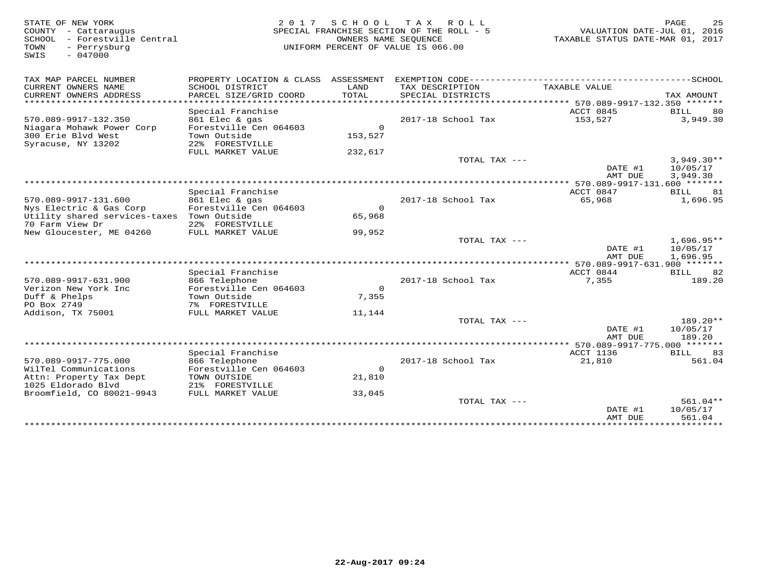STATE OF NEW YORK 2 0 1 7 S C H O O L T A X R O L L PAGE 25 COUNTY - Cattaraugus SPECIAL FRANCHISE SECTION OF THE ROLL - 5 VALUATION DATE-JUL 01, 2016 SCHOOL - Forestville Central OWNERS NAME SEQUENCE TAXABLE STATUS DATE-MAR 01, 2017 TOWN - Perrysburg UNIFORM PERCENT OF VALUE IS 066.00SWIS - 047000TAX MAP PARCEL NUMBER PROPERTY LOCATION & CLASS ASSESSMENT EXEMPTION CODE------------------------------------------SCHOOL CURRENT OWNERS NAME SCHOOL DISTRICT LAND TAX DESCRIPTION TAXABLE VALUE CURRENT OWNERS ADDRESS PARCEL SIZE/GRID COORD TOTAL SPECIAL DISTRICTS TAX AMOUNT \*\*\*\*\*\*\*\*\*\*\*\*\*\*\*\*\*\*\*\*\*\*\*\*\*\*\*\*\*\*\*\*\*\*\*\*\*\*\*\*\*\*\*\*\*\*\*\*\*\*\*\*\*\*\*\*\*\*\*\*\*\*\*\*\*\*\*\*\*\*\*\*\*\*\*\*\*\*\*\*\*\*\*\*\*\*\*\*\*\*\*\*\*\*\*\*\*\*\*\*\*\*\* 570.089-9917-132.350 \*\*\*\*\*\*\*Special Franchise ACCT 0845 BILL 80 570.089-9917-132.350 861 Elec & gas 2017-18 School Tax 153,527 3,949.30Niagara Mohawk Power Corp Forestville Cen 064603 0 300 Erie Blvd West Town Outside 153,527 Syracuse, NY 13202 22% FORESTVILLE FULL MARKET VALUE 232,617 TOTAL TAX ---  $3,949.30**$ <br>DATE #1  $10/05/17$  AMT DUE 3,949.30 \*\*\*\*\*\*\*\*\*\*\*\*\*\*\*\*\*\*\*\*\*\*\*\*\*\*\*\*\*\*\*\*\*\*\*\*\*\*\*\*\*\*\*\*\*\*\*\*\*\*\*\*\*\*\*\*\*\*\*\*\*\*\*\*\*\*\*\*\*\*\*\*\*\*\*\*\*\*\*\*\*\*\*\*\*\*\*\*\*\*\*\*\*\*\*\*\*\*\*\*\*\*\* 570.089-9917-131.600 \*\*\*\*\*\*\* Special Franchise ACCT 0847 BILL 81 570.089-9917-131.600 861 Elec & gas 2017-18 School Tax 65,968 1,696.95 Nys Electric & Gas Corp Forestville Cen 064603 0 Utility shared services-taxes Town Outside 65,96870 Farm View Dr 22% FORESTVILLE New Gloucester, ME 04260 FULL MARKET VALUE 99,952 TOTAL TAX --- 1,696.95\*\* $\text{DATE}$  #1  $10/05/17$ AMT DUE 1.696.95 AMT DUE 1,696.95 \*\*\*\*\*\*\*\*\*\*\*\*\*\*\*\*\*\*\*\*\*\*\*\*\*\*\*\*\*\*\*\*\*\*\*\*\*\*\*\*\*\*\*\*\*\*\*\*\*\*\*\*\*\*\*\*\*\*\*\*\*\*\*\*\*\*\*\*\*\*\*\*\*\*\*\*\*\*\*\*\*\*\*\*\*\*\*\*\*\*\*\*\*\*\*\*\*\*\*\*\*\*\* 570.089-9917-631.900 \*\*\*\*\*\*\*Special Franchise ACCT 0844 BILL 82 570.089-9917-631.900 866 Telephone 2017-18 School Tax 7,355 189.20<br>Verizon New York Inc Forestville Cen 064603 0<br>Duff & Phelps Town Outside 7,355 189.20<br>PO Box 2749 78 FORESTVILLE 7% FORESTVILLE 7% FORESTVILLE 7% TOTAL TAX  $\text{DATE}$  #1  $10/05/17$ AMT DUE 189.20 AMT DUE 189.20 \*\*\*\*\*\*\*\*\*\*\*\*\*\*\*\*\*\*\*\*\*\*\*\*\*\*\*\*\*\*\*\*\*\*\*\*\*\*\*\*\*\*\*\*\*\*\*\*\*\*\*\*\*\*\*\*\*\*\*\*\*\*\*\*\*\*\*\*\*\*\*\*\*\*\*\*\*\*\*\*\*\*\*\*\*\*\*\*\*\*\*\*\*\*\*\*\*\*\*\*\*\*\* 570.089-9917-775.000 \*\*\*\*\*\*\*ACCT 1136 BILL 83 Special Franchise ACCT 1136 BILL 83 561.04 570.089-9917-775.000 866 Telephone 2017-18 School Tax 21,810 561.04<br>
WilTel Communications Forestville Cen 064603 0<br>
Attn: Property Tax Dept TOWN OUTSIDE 21,810<br>
1025 Eldorado Blvd 21% FORESTVILLE 33,045<br>
Broomfield, CO 80  $\text{DATE}$  #1  $10/05/17$ am Due 561.04 \*\*\*\*\*\*\*\*\*\*\* \*\*\*\*\*\*\*\*\*\*\*\*\*\*\*\*\*\*\*\*\*\*\*\*\*\*\*\*\*\*\*\*\*\*\*\*\*\*\*\*\*\*\*\*\*\*\*\*\*\*\*\*\*\*\*\*\*\*\*\*\*\*\*\*\*\*\*\*\*\*\*\*\*\*\*\*\*\*\*\*\*\*\*\*\*\*\*\*\*\*\*\*\*\*\*\*\*\*\*\*\*\*\*\*\*\*\*\*\*\*\*\*\*\*\*\*\*\*\*\*\*\*\*\*\*\*\*\*\*\*\*\*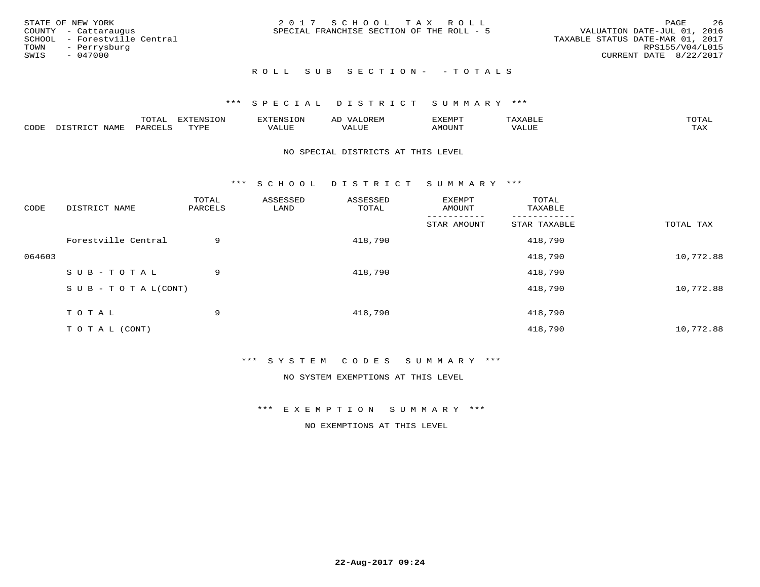|      | STATE OF NEW YORK            | 2017 SCHOOL TAX ROLL                      | -26<br>PAGE                      |
|------|------------------------------|-------------------------------------------|----------------------------------|
|      | COUNTY - Cattaraugus         | SPECIAL FRANCHISE SECTION OF THE ROLL - 5 | VALUATION DATE-JUL 01, 2016      |
|      | SCHOOL - Forestville Central |                                           | TAXABLE STATUS DATE-MAR 01, 2017 |
| TOWN | - Perrysburg                 |                                           | RPS155/V04/L015                  |
| SWIS | - 047000                     |                                           | CURRENT DATE 8/22/2017           |
|      |                              |                                           |                                  |

#### ROLL SUB SECTION - - TOTALS

#### \*\*\* S P E C I A L D I S T R I C T S U M M A R Y \*\*\*

|      |             | ----<br>$\cdots$ | ת A דפות אידא<br>. OP | <b>ENSION</b> | AL    | YEMPT! |                   | $m \wedge m \wedge n$ |
|------|-------------|------------------|-----------------------|---------------|-------|--------|-------------------|-----------------------|
| CODE | <b>JAME</b> | ᄭᇚᅎᄧᅚ<br>$H$ K   | TVDF                  | ALUE          | 'ALUE | AMOUNT | $T$ $TT$<br>שטשמי | TAX                   |

#### NO SPECIAL DISTRICTS AT THIS LEVEL

\*\*\* S C H O O L D I S T R I C T S U M M A R Y \*\*\*

| CODE   | DISTRICT NAME                    | TOTAL<br>PARCELS | ASSESSED<br>LAND | ASSESSED<br>TOTAL | EXEMPT<br>AMOUNT | TOTAL<br>TAXABLE |           |
|--------|----------------------------------|------------------|------------------|-------------------|------------------|------------------|-----------|
|        |                                  |                  |                  |                   | STAR AMOUNT      | STAR TAXABLE     | TOTAL TAX |
|        | Forestville Central              | 9                |                  | 418,790           |                  | 418,790          |           |
| 064603 |                                  |                  |                  |                   |                  | 418,790          | 10,772.88 |
|        | SUB-TOTAL                        | 9                |                  | 418,790           |                  | 418,790          |           |
|        | $S \cup B - T \cup T A L (CONT)$ |                  |                  |                   |                  | 418,790          | 10,772.88 |
|        | TOTAL                            | 9                |                  | 418,790           |                  | 418,790          |           |
|        | T O T A L (CONT)                 |                  |                  |                   |                  | 418,790          | 10,772.88 |

\*\*\* S Y S T E M C O D E S S U M M A R Y \*\*\*

NO SYSTEM EXEMPTIONS AT THIS LEVEL

\*\*\* E X E M P T I O N S U M M A R Y \*\*\*

NO EXEMPTIONS AT THIS LEVEL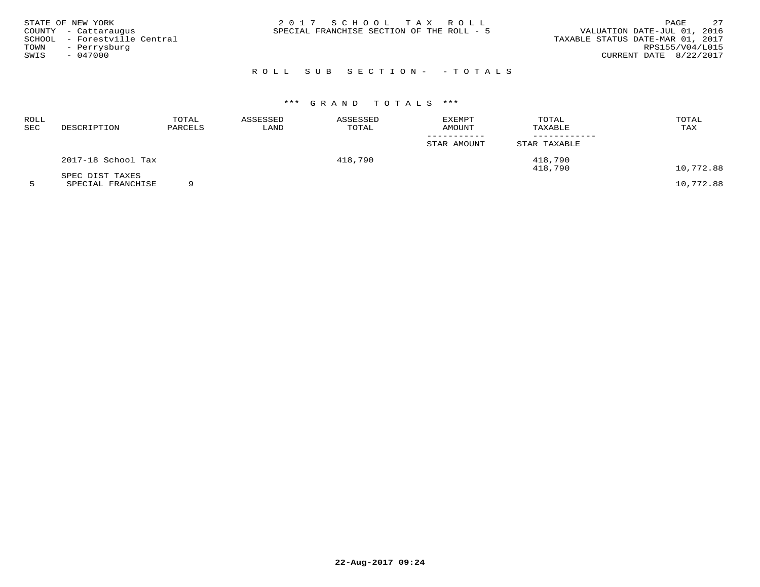| STATE OF NEW YORK            | 2017 SCHOOL TAX ROLL                      | 27<br>PAGE                       |
|------------------------------|-------------------------------------------|----------------------------------|
| COUNTY - Cattaraugus         | SPECIAL FRANCHISE SECTION OF THE ROLL - 5 | VALUATION DATE-JUL 01, 2016      |
| SCHOOL - Forestville Central |                                           | TAXABLE STATUS DATE-MAR 01, 2017 |
| TOWN<br>- Perrysburg         |                                           | RPS155/V04/L015                  |
| $-047000$<br>SWIS            |                                           | CURRENT DATE 8/22/2017           |
|                              |                                           |                                  |

| ROLL<br>SEC | DESCRIPTION        | TOTAL<br>PARCELS | ASSESSED<br>LAND | ASSESSED<br>TOTAL | <b>EXEMPT</b><br>AMOUNT | TOTAL<br>TAXABLE | TOTAL<br>TAX |
|-------------|--------------------|------------------|------------------|-------------------|-------------------------|------------------|--------------|
|             |                    |                  |                  |                   | STAR AMOUNT             | STAR TAXABLE     |              |
|             | 2017-18 School Tax |                  |                  | 418,790           |                         | 418,790          |              |
|             | SPEC DIST TAXES    |                  |                  |                   |                         | 418,790          | 10,772.88    |
|             | SPECIAL FRANCHISE  |                  |                  |                   |                         |                  | 10,772.88    |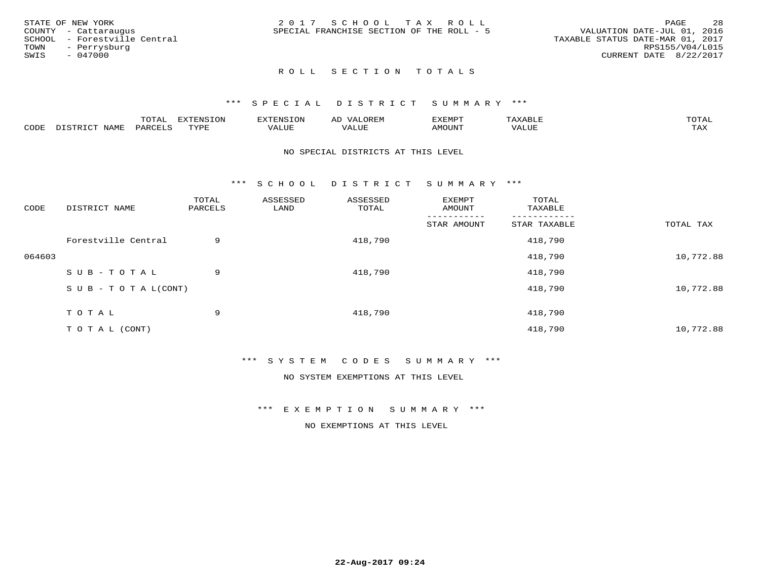| STATE OF NEW YORK            | 2017 SCHOOL TAX ROLL                      | -28<br><b>PAGE</b>               |
|------------------------------|-------------------------------------------|----------------------------------|
| COUNTY - Cattaraugus         | SPECIAL FRANCHISE SECTION OF THE ROLL - 5 | VALUATION DATE-JUL 01, 2016      |
| SCHOOL - Forestville Central |                                           | TAXABLE STATUS DATE-MAR 01, 2017 |
| TOWN<br>- Perrysburg         |                                           | RPS155/V04/L015                  |
| SWIS<br>$-047000$            |                                           | CURRENT DATE 8/22/2017           |
|                              |                                           |                                  |

#### \*\*\* S P E C I A L D I S T R I C T S U M M A R Y \*\*\*

|      |                                              | mom n<br>L∪IAL   | <b>DIZPOIATO TOMT</b><br>LUN | -----------<br>י ו יו   | AD<br>URLIV  | $\ldots$<br>″ –<br>. ۱٬۱۳۰٬۰۰۰ | max                  | $m \wedge m \wedge n$ |
|------|----------------------------------------------|------------------|------------------------------|-------------------------|--------------|--------------------------------|----------------------|-----------------------|
| CODE | $ -$<br><b>NAM<sup>T</sup></b><br>- 12 - 14⊔ | PAR <sub>U</sub> | TVDF                         | $- - - -$<br>$A \cup P$ | ----<br>ALUF | IMOUNT                         | $   -$<br>$\sqrt{A}$ | $m \times r$<br>- −-  |

#### NO SPECIAL DISTRICTS AT THIS LEVEL

\*\*\* S C H O O L D I S T R I C T S U M M A R Y \*\*\*

| CODE   | DISTRICT NAME                    | TOTAL<br>PARCELS | ASSESSED<br>LAND | ASSESSED<br>TOTAL | EXEMPT<br>AMOUNT | TOTAL<br>TAXABLE |           |
|--------|----------------------------------|------------------|------------------|-------------------|------------------|------------------|-----------|
|        |                                  |                  |                  |                   | STAR AMOUNT      | STAR TAXABLE     | TOTAL TAX |
|        | Forestville Central              | 9                |                  | 418,790           |                  | 418,790          |           |
| 064603 |                                  |                  |                  |                   |                  | 418,790          | 10,772.88 |
|        | SUB-TOTAL                        | 9                |                  | 418,790           |                  | 418,790          |           |
|        | $S \cup B - T \cup T A L (CONT)$ |                  |                  |                   |                  | 418,790          | 10,772.88 |
|        | TOTAL                            | 9                |                  | 418,790           |                  | 418,790          |           |
|        | T O T A L (CONT)                 |                  |                  |                   |                  | 418,790          | 10,772.88 |

#### \*\*\* S Y S T E M C O D E S S U M M A R Y \*\*\*

NO SYSTEM EXEMPTIONS AT THIS LEVEL

#### \*\*\* E X E M P T I O N S U M M A R Y \*\*\*

NO EXEMPTIONS AT THIS LEVEL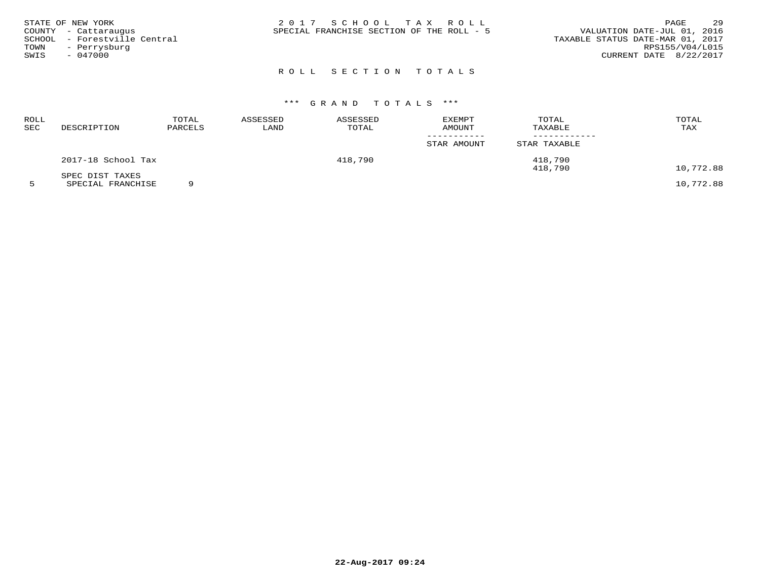| STATE OF NEW YORK<br>COUNTY - Cattaraugus<br>SCHOOL - Forestville Central<br>TOWN<br>- Perrysburg<br>SWIS<br>$-047000$ | 2017 SCHOOL TAX ROLL<br>SPECIAL FRANCHISE SECTION OF THE ROLL - 5 | 29<br>PAGE<br>VALUATION DATE-JUL 01, 2016<br>TAXABLE STATUS DATE-MAR 01, 2017<br>RPS155/V04/L015<br>CURRENT DATE 8/22/2017 |
|------------------------------------------------------------------------------------------------------------------------|-------------------------------------------------------------------|----------------------------------------------------------------------------------------------------------------------------|
|                                                                                                                        |                                                                   |                                                                                                                            |

# \*\*\* G R A N D T O T A L S \*\*\*

| ROLL<br>SEC | DESCRIPTION                           | TOTAL<br>PARCELS | ASSESSED<br>LAND | ASSESSED<br>TOTAL | <b>EXEMPT</b><br>AMOUNT | TOTAL<br>TAXABLE | TOTAL<br>TAX                                                                                                                                        |
|-------------|---------------------------------------|------------------|------------------|-------------------|-------------------------|------------------|-----------------------------------------------------------------------------------------------------------------------------------------------------|
|             |                                       |                  |                  |                   | STAR AMOUNT             | STAR TAXABLE     |                                                                                                                                                     |
|             | 2017-18 School Tax                    |                  |                  | 418,790           |                         | 418,790          |                                                                                                                                                     |
|             | SPEC DIST TAXES<br>------------------ | $\sim$           |                  |                   |                         | 418,790          | 10,772.88<br>$\overline{a}$ $\overline{a}$ $\overline{a}$ $\overline{a}$ $\overline{a}$ $\overline{a}$ $\overline{a}$ $\overline{a}$ $\overline{a}$ |

5 SPECIAL FRANCHISE 9 10,772.88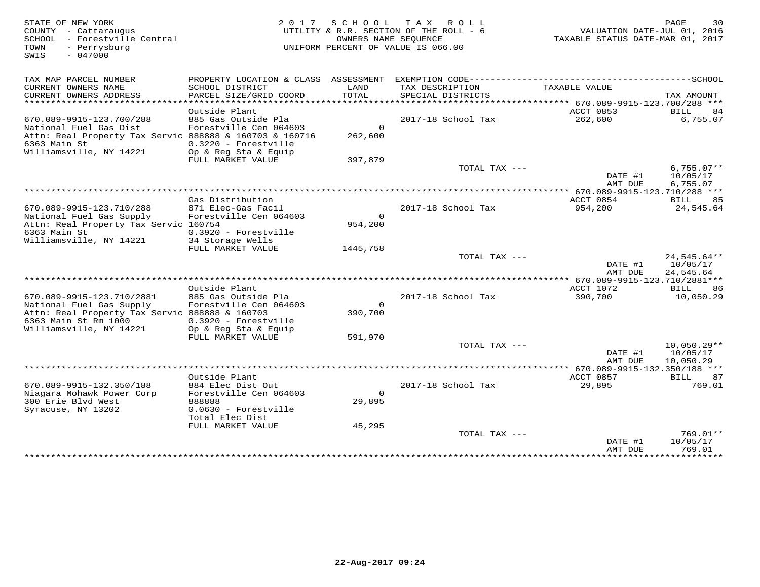| STATE OF NEW YORK<br>COUNTY - Cattaraugus<br>SCHOOL - Forestville Central<br>- Perrysburg<br>TOWN<br>$-047000$<br>SWIS        |                                                                          | OWNERS NAME SEOUENCE                  | 2017 SCHOOL TAX ROLL<br>UTILITY & R.R. SECTION OF THE ROLL - 6<br>UNIFORM PERCENT OF VALUE IS 066.00 | VALUATION DATE-JUL 01, 2016<br>TAXABLE STATUS DATE-MAR 01, 2017 | PAGE<br>30                             |
|-------------------------------------------------------------------------------------------------------------------------------|--------------------------------------------------------------------------|---------------------------------------|------------------------------------------------------------------------------------------------------|-----------------------------------------------------------------|----------------------------------------|
| TAX MAP PARCEL NUMBER                                                                                                         |                                                                          |                                       |                                                                                                      |                                                                 |                                        |
| CURRENT OWNERS NAME<br>CURRENT OWNERS ADDRESS<br>* * * * * * * * * * * * * * * * * *                                          | SCHOOL DISTRICT<br>PARCEL SIZE/GRID COORD<br>*************************   | LAND<br><b>TOTAL</b><br>************* | TAX DESCRIPTION<br>SPECIAL DISTRICTS                                                                 | TAXABLE VALUE                                                   | TAX AMOUNT                             |
|                                                                                                                               | Outside Plant                                                            |                                       |                                                                                                      | ********** 670.089-9915-123.700/288 ***<br>ACCT 0853            | <b>BILL</b><br>84                      |
| 670.089-9915-123.700/288<br>National Fuel Gas Dist<br>Attn: Real Property Tax Servic 888888 & 160703 & 160716<br>6363 Main St | 885 Gas Outside Pla<br>Forestville Cen 064603<br>0.3220 - Forestville    | $\circ$<br>262,600                    | 2017-18 School Tax                                                                                   | 262,600                                                         | 6,755.07                               |
| Williamsville, NY 14221                                                                                                       | Op & Reg Sta & Equip<br>FULL MARKET VALUE                                | 397,879                               |                                                                                                      |                                                                 |                                        |
|                                                                                                                               |                                                                          |                                       | TOTAL TAX ---                                                                                        | DATE #1<br>AMT DUE                                              | $6,755.07**$<br>10/05/17<br>6,755.07   |
|                                                                                                                               |                                                                          |                                       |                                                                                                      | *********** 670.089-9915-123.710/288 ***                        |                                        |
|                                                                                                                               | Gas Distribution                                                         |                                       |                                                                                                      | ACCT 0854                                                       | 85<br>BILL                             |
| 670.089-9915-123.710/288<br>National Fuel Gas Supply<br>Attn: Real Property Tax Servic 160754<br>6363 Main St                 | 871 Elec-Gas Facil<br>Forestville Cen 064603<br>0.3920 - Forestville     | $\circ$<br>954,200                    | 2017-18 School Tax                                                                                   | 954,200                                                         | 24,545.64                              |
| Williamsville, NY 14221                                                                                                       | 34 Storage Wells                                                         |                                       |                                                                                                      |                                                                 |                                        |
|                                                                                                                               | FULL MARKET VALUE                                                        | 1445,758                              | TOTAL TAX ---                                                                                        | DATE #1<br>AMT DUE                                              | $24,545.64**$<br>10/05/17<br>24,545.64 |
|                                                                                                                               |                                                                          |                                       |                                                                                                      | **** 670.089-9915-123.710/2881***                               |                                        |
| 670.089-9915-123.710/2881                                                                                                     | Outside Plant<br>885 Gas Outside Pla                                     |                                       | 2017-18 School Tax                                                                                   | ACCT 1072<br>390,700                                            | 86<br>BILL<br>10,050.29                |
| National Fuel Gas Supply<br>Attn: Real Property Tax Servic 888888 & 160703<br>6363 Main St Rm 1000<br>Williamsville, NY 14221 | Forestville Cen 064603<br>$0.3920 - Forestville$<br>Op & Reg Sta & Equip | $\mathsf{O}$<br>390,700               |                                                                                                      |                                                                 |                                        |
|                                                                                                                               | FULL MARKET VALUE                                                        | 591,970                               |                                                                                                      |                                                                 |                                        |
|                                                                                                                               |                                                                          |                                       | TOTAL TAX ---                                                                                        | DATE #1<br>AMT DUE                                              | $10,050.29**$<br>10/05/17<br>10,050.29 |
|                                                                                                                               |                                                                          |                                       |                                                                                                      | ** 670.089-9915-132.350/188 ***                                 |                                        |
| 670.089-9915-132.350/188                                                                                                      | Outside Plant<br>884 Elec Dist Out                                       |                                       | 2017-18 School Tax                                                                                   | ACCT 0857<br>29,895                                             | 87<br>BILL<br>769.01                   |
| Niagara Mohawk Power Corp<br>300 Erie Blvd West<br>Syracuse, NY 13202                                                         | Forestville Cen 064603<br>888888<br>0.0630 - Forestville                 | $\Omega$<br>29,895                    |                                                                                                      |                                                                 |                                        |
|                                                                                                                               | Total Elec Dist                                                          |                                       |                                                                                                      |                                                                 |                                        |
|                                                                                                                               | FULL MARKET VALUE                                                        | 45,295                                | TOTAL TAX ---                                                                                        | DATE #1                                                         | 769.01**<br>10/05/17                   |
|                                                                                                                               |                                                                          |                                       |                                                                                                      | AMT DUE<br>* * * * * * * * * * * * *                            | 769.01<br>* * * * * * * * * *          |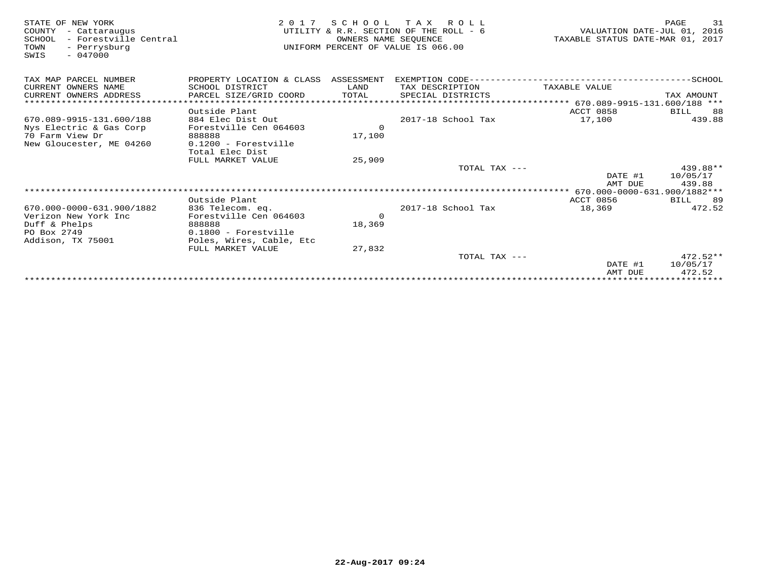| STATE OF NEW YORK<br>COUNTY<br>- Cattaraugus<br>- Forestville Central<br>SCHOOL<br>- Perrysburg<br>TOWN<br>$-047000$<br>SWIS | 2 0 1 7                              | OWNERS NAME SEOUENCE | SCHOOL TAX ROLL<br>UTILITY & R.R. SECTION OF THE ROLL - 6<br>UNIFORM PERCENT OF VALUE IS 066.00 | VALUATION DATE-JUL 01, 2016<br>TAXABLE STATUS DATE-MAR 01, 2017 | 31<br>PAGE        |
|------------------------------------------------------------------------------------------------------------------------------|--------------------------------------|----------------------|-------------------------------------------------------------------------------------------------|-----------------------------------------------------------------|-------------------|
| TAX MAP PARCEL NUMBER                                                                                                        | PROPERTY LOCATION & CLASS ASSESSMENT |                      | EXEMPTION CODE-------------------------                                                         |                                                                 | $---SCHOOL$       |
| CURRENT OWNERS NAME                                                                                                          | SCHOOL DISTRICT                      | LAND                 | TAX DESCRIPTION                                                                                 | TAXABLE VALUE                                                   |                   |
| CURRENT OWNERS ADDRESS<br>*************************                                                                          | PARCEL SIZE/GRID COORD               | TOTAL                | SPECIAL DISTRICTS                                                                               |                                                                 | TAX AMOUNT        |
|                                                                                                                              |                                      |                      |                                                                                                 |                                                                 |                   |
| 670.089-9915-131.600/188                                                                                                     | Outside Plant<br>884 Elec Dist Out   |                      | 2017-18 School Tax                                                                              | ACCT 0858<br>17,100                                             | BILL 88<br>439.88 |
| Nys Electric & Gas Corp                                                                                                      | Forestville Cen 064603               | $\Omega$             |                                                                                                 |                                                                 |                   |
| 70 Farm View Dr                                                                                                              | 888888                               | 17,100               |                                                                                                 |                                                                 |                   |
| New Gloucester, ME 04260                                                                                                     | $0.1200$ - Forestville               |                      |                                                                                                 |                                                                 |                   |
|                                                                                                                              | Total Elec Dist                      |                      |                                                                                                 |                                                                 |                   |
|                                                                                                                              | FULL MARKET VALUE                    | 25,909               |                                                                                                 |                                                                 |                   |
|                                                                                                                              |                                      |                      | TOTAL TAX ---                                                                                   |                                                                 | 439.88**          |
|                                                                                                                              |                                      |                      |                                                                                                 | DATE #1                                                         | 10/05/17          |
|                                                                                                                              |                                      |                      |                                                                                                 | AMT DUE                                                         | 439.88            |
|                                                                                                                              | Outside Plant                        |                      |                                                                                                 | <b>ACCT 0856</b>                                                | BILL<br>89        |
| 670.000-0000-631.900/1882                                                                                                    | 836 Telecom. eg.                     |                      | 2017-18 School Tax                                                                              | 18,369                                                          | 472.52            |
| Verizon New York Inc                                                                                                         | Forestville Cen 064603               | $\circ$              |                                                                                                 |                                                                 |                   |
| Duff & Phelps                                                                                                                | 888888                               | 18,369               |                                                                                                 |                                                                 |                   |
| PO Box 2749                                                                                                                  | 0.1800 - Forestville                 |                      |                                                                                                 |                                                                 |                   |
| Addison, TX 75001                                                                                                            | Poles, Wires, Cable, Etc             |                      |                                                                                                 |                                                                 |                   |
|                                                                                                                              | FULL MARKET VALUE                    | 27,832               | TOTAL TAX $---$                                                                                 |                                                                 | $472.52**$        |
|                                                                                                                              |                                      |                      |                                                                                                 | DATE #1                                                         | 10/05/17          |
|                                                                                                                              |                                      |                      |                                                                                                 | AMT DUE                                                         | 472.52            |
|                                                                                                                              |                                      |                      |                                                                                                 | ******************************                                  |                   |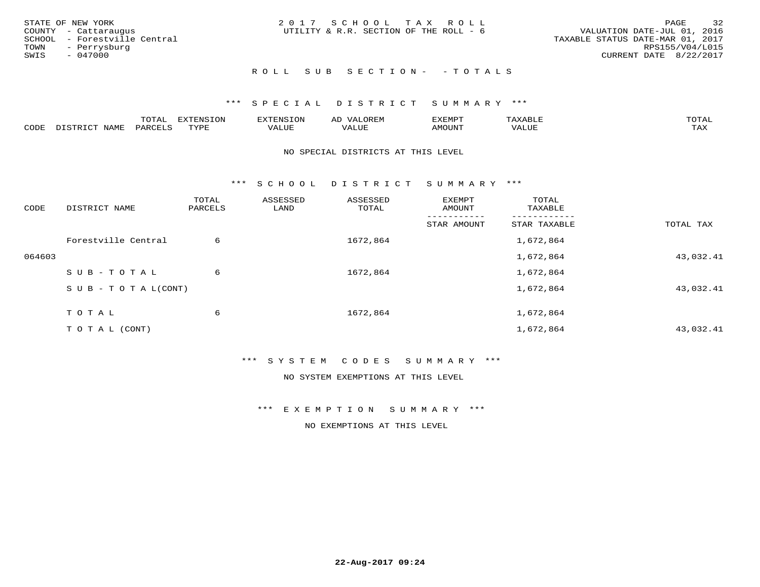|      | STATE OF NEW YORK            | 2017 SCHOOL TAX ROLL                   |  |                                  |                        | PAGE | 32 |
|------|------------------------------|----------------------------------------|--|----------------------------------|------------------------|------|----|
|      | COUNTY - Cattaraugus         | UTILITY & R.R. SECTION OF THE ROLL - 6 |  | VALUATION DATE-JUL 01, 2016      |                        |      |    |
|      | SCHOOL - Forestville Central |                                        |  | TAXABLE STATUS DATE-MAR 01, 2017 |                        |      |    |
|      | TOWN - Perrysburg            |                                        |  |                                  | RPS155/V04/L015        |      |    |
| SWIS | - 047000                     |                                        |  |                                  | CURRENT DATE 8/22/2017 |      |    |
|      |                              |                                        |  |                                  |                        |      |    |

#### \*\*\* S P E C I A L D I S T R I C T S U M M A R Y \*\*\*

|      |                                 | ™∩m⊼<br>----                    | EXTENSION | . ENSION         | ΑL<br>$\cdots$ | דפוא:TXF<br>ـالمىتىدە |                | TOTAL |
|------|---------------------------------|---------------------------------|-----------|------------------|----------------|-----------------------|----------------|-------|
| CODE | TTATAT<br>$mm + \alpha$<br>NAME | $\lambda$ DORT $\alpha$<br>'ARL | TVDF      | ** * ***<br>ALUE | 'ALUL          | <b>MOUNT</b>          | 77T<br>1 U J F | TAX   |

#### NO SPECIAL DISTRICTS AT THIS LEVEL

\*\*\* S C H O O L D I S T R I C T S U M M A R Y \*\*\*

| CODE   | DISTRICT NAME                    | TOTAL<br>PARCELS | ASSESSED<br>LAND | ASSESSED<br>TOTAL | EXEMPT<br>AMOUNT | TOTAL<br>TAXABLE |           |
|--------|----------------------------------|------------------|------------------|-------------------|------------------|------------------|-----------|
|        |                                  |                  |                  |                   | STAR AMOUNT      | STAR TAXABLE     | TOTAL TAX |
|        | Forestville Central              | 6                |                  | 1672,864          |                  | 1,672,864        |           |
| 064603 |                                  |                  |                  |                   |                  | 1,672,864        | 43,032.41 |
|        | SUB-TOTAL                        | 6                |                  | 1672,864          |                  | 1,672,864        |           |
|        | $S \cup B - T \cup T A L (CONT)$ |                  |                  |                   |                  | 1,672,864        | 43,032.41 |
|        | TOTAL                            | 6                |                  | 1672,864          |                  | 1,672,864        |           |
|        | T O T A L (CONT)                 |                  |                  |                   |                  | 1,672,864        | 43,032.41 |

#### \*\*\* S Y S T E M C O D E S S U M M A R Y \*\*\*

NO SYSTEM EXEMPTIONS AT THIS LEVEL

#### \*\*\* E X E M P T I O N S U M M A R Y \*\*\*

NO EXEMPTIONS AT THIS LEVEL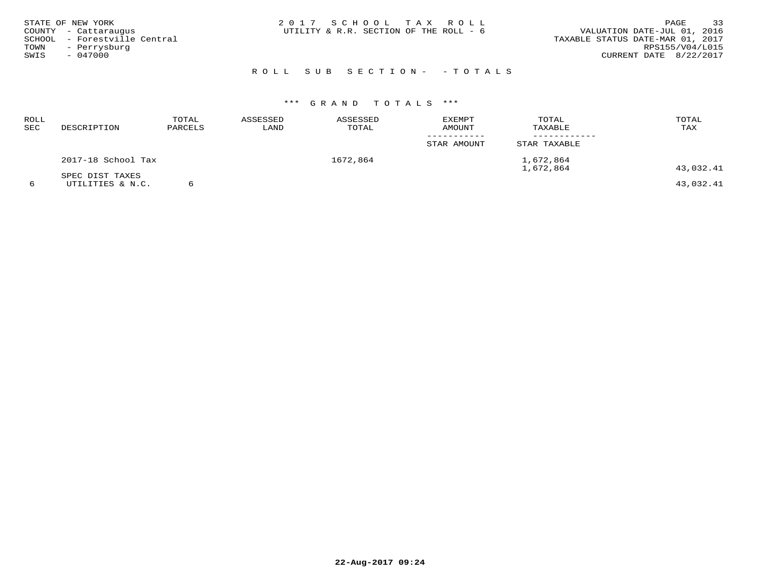| STATE OF NEW YORK            | 2017 SCHOOL TAX ROLL                   | 33<br>PAGE                       |
|------------------------------|----------------------------------------|----------------------------------|
| COUNTY - Cattaraugus         | UTILITY & R.R. SECTION OF THE ROLL - 6 | VALUATION DATE-JUL 01, 2016      |
| SCHOOL - Forestville Central |                                        | TAXABLE STATUS DATE-MAR 01, 2017 |
| TOWN<br>- Perrysburg         |                                        | RPS155/V04/L015                  |
| SWIS<br>$-047000$            |                                        | CURRENT DATE 8/22/2017           |
|                              |                                        |                                  |

| ROLL<br>SEC | DESCRIPTION                         | TOTAL<br>PARCELS | ASSESSED<br>LAND | ASSESSED<br>TOTAL | <b>EXEMPT</b><br>AMOUNT | TOTAL<br>TAXABLE       | TOTAL<br>TAX |
|-------------|-------------------------------------|------------------|------------------|-------------------|-------------------------|------------------------|--------------|
|             |                                     |                  |                  |                   | STAR AMOUNT             | STAR TAXABLE           |              |
|             | 2017-18 School Tax                  |                  |                  | 1672,864          |                         | 1,672,864<br>1,672,864 | 43,032.41    |
|             | SPEC DIST TAXES<br>UTILITIES & N.C. |                  |                  |                   |                         |                        | 43,032.41    |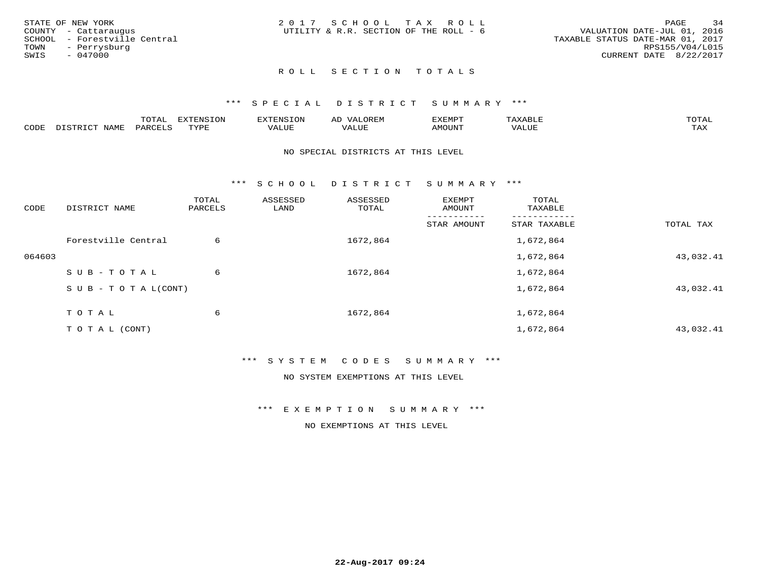| STATE OF NEW YORK    |                              | 2017 SCHOOL TAX ROLL                   |  |                                  |                        | PAGE | 34 |
|----------------------|------------------------------|----------------------------------------|--|----------------------------------|------------------------|------|----|
| COUNTY - Cattaraugus |                              | UTILITY & R.R. SECTION OF THE ROLL - 6 |  | VALUATION DATE-JUL 01, 2016      |                        |      |    |
|                      | SCHOOL - Forestville Central |                                        |  | TAXABLE STATUS DATE-MAR 01, 2017 |                        |      |    |
| TOWN - Perrysburg    |                              |                                        |  |                                  | RPS155/V04/L015        |      |    |
| SWIS                 | - 047000                     |                                        |  |                                  | CURRENT DATE 8/22/2017 |      |    |
|                      |                              |                                        |  |                                  |                        |      |    |

#### \*\*\* S P E C I A L D I S T R I C T S U M M A R Y \*\*\*

|      |                     | m∧m*<br>.       | <b>EVERICION</b><br>∸ | TENSION              | $\sim$ $\sim$ $\sim$ $\sim$<br>ΑD<br>JREIY | EXEMPT       | ABLIP                          | $m \wedge m \wedge r$<br>$\Delta$ |
|------|---------------------|-----------------|-----------------------|----------------------|--------------------------------------------|--------------|--------------------------------|-----------------------------------|
| CODE | $- - - - -$<br>NAMF | $\mathsf{PARL}$ | TVDF                  | $- - - -$<br>براللطح | $- - - - -$<br>ALUE                        | <b>MOUNT</b> | $\sqrt{2}$ $\sqrt{1}$<br>'ALUE | $m \times r$<br>∸∽∸               |

#### NO SPECIAL DISTRICTS AT THIS LEVEL

\*\*\* S C H O O L D I S T R I C T S U M M A R Y \*\*\*

| CODE   | DISTRICT NAME                    | TOTAL<br>PARCELS | ASSESSED<br>LAND | ASSESSED<br>TOTAL | EXEMPT<br>AMOUNT | TOTAL<br>TAXABLE |           |
|--------|----------------------------------|------------------|------------------|-------------------|------------------|------------------|-----------|
|        |                                  |                  |                  |                   | STAR AMOUNT      | STAR TAXABLE     | TOTAL TAX |
|        | Forestville Central              | 6                |                  | 1672,864          |                  | 1,672,864        |           |
| 064603 |                                  |                  |                  |                   |                  | 1,672,864        | 43,032.41 |
|        | SUB-TOTAL                        | 6                |                  | 1672,864          |                  | 1,672,864        |           |
|        | $S \cup B - T \cup T A L (CONT)$ |                  |                  |                   |                  | 1,672,864        | 43,032.41 |
|        | T O T A L                        | 6                |                  | 1672,864          |                  | 1,672,864        |           |
|        | T O T A L (CONT)                 |                  |                  |                   |                  | 1,672,864        | 43,032.41 |

#### \*\*\* S Y S T E M C O D E S S U M M A R Y \*\*\*

NO SYSTEM EXEMPTIONS AT THIS LEVEL

#### \*\*\* E X E M P T I O N S U M M A R Y \*\*\*

NO EXEMPTIONS AT THIS LEVEL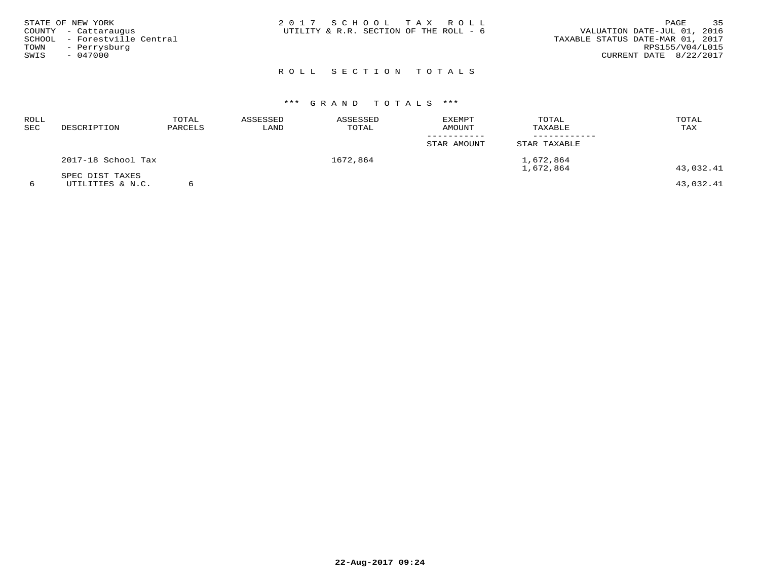| STATE OF NEW YORK<br>COUNTY - Cattaraugus<br>SCHOOL - Forestville Central<br>TOWN - Perrysburg<br>SWIS<br>- 047000 | 2017 SCHOOL TAX ROLL<br>UTILITY & R.R. SECTION OF THE ROLL - 6 | 35<br>PAGE<br>VALUATION DATE-JUL 01, 2016<br>TAXABLE STATUS DATE-MAR 01, 2017<br>RPS155/V04/L015<br>CURRENT DATE 8/22/2017 |
|--------------------------------------------------------------------------------------------------------------------|----------------------------------------------------------------|----------------------------------------------------------------------------------------------------------------------------|
|                                                                                                                    | ROLL SECTION TOTALS                                            |                                                                                                                            |

| <b>ROLL</b><br>$_{\rm{SEC}}$ | DESCRIPTION                         | TOTAL<br>PARCELS | ASSESSED<br>LAND | ASSESSED<br>TOTAL | <b>EXEMPT</b><br>AMOUNT | TOTAL<br>TAXABLE       | TOTAL<br>TAX |
|------------------------------|-------------------------------------|------------------|------------------|-------------------|-------------------------|------------------------|--------------|
|                              |                                     |                  |                  |                   | STAR AMOUNT             | STAR TAXABLE           |              |
|                              | 2017-18 School Tax                  |                  |                  | 1672,864          |                         | 1,672,864<br>1,672,864 | 43,032.41    |
| 6                            | SPEC DIST TAXES<br>UTILITIES & N.C. |                  |                  |                   |                         |                        | 43,032.41    |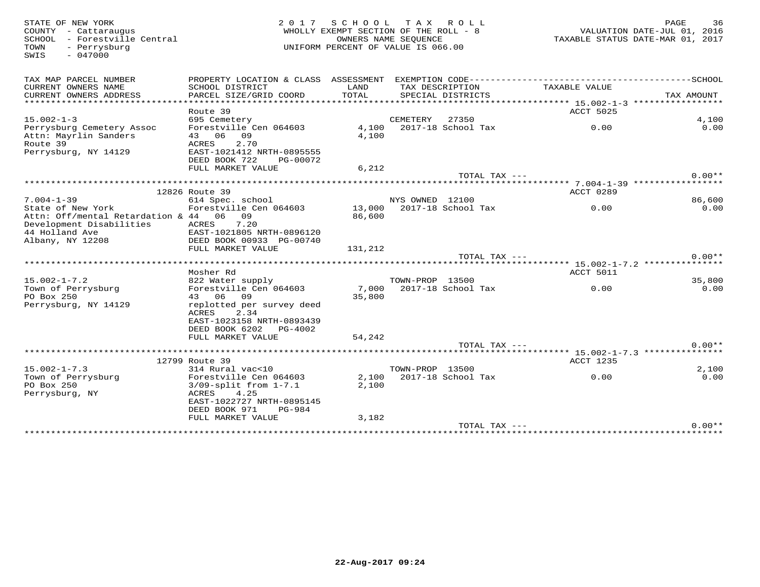TOWN - Perrysburg<br>SWIS - 047000

# STATE OF NEW YORK 2 0 1 7 S C H O O L T A X R O L L PAGE 36 COUNTY - Cattaraugus WHOLLY EXEMPT SECTION OF THE ROLL - 8 VALUATION DATE-JUL 01, 2016 SCHOOL - Forestville Central OWNERS NAME SEQUENCE TAXABLE STATUS DATE-MAR 01, 2017UNIFORM PERCENT OF VALUE IS 066.00

| <b>ACCT 5025</b><br>Route 39<br>$15.002 - 1 - 3$<br>695 Cemetery<br>CEMETERY<br>27350<br>4,100<br>2017-18 School Tax<br>0.00<br>Perrysburg Cemetery Assoc<br>Forestville Cen 064603<br>4,100<br>0.00<br>43 06<br>Attn: Mayrlin Sanders<br>09<br>4,100<br>Route 39<br>2.70<br>ACRES<br>Perrysburg, NY 14129<br>EAST-1021412 NRTH-0895555<br>DEED BOOK 722<br>PG-00072<br>FULL MARKET VALUE<br>6,212<br>$0.00**$<br>TOTAL TAX ---<br>********** 7.004-1-39 ******************<br>ACCT 0289<br>12826 Route 39<br>$7.004 - 1 - 39$<br>86,600<br>614 Spec. school<br>NYS OWNED 12100<br>Forestville Cen 064603<br>13,000<br>2017-18 School Tax<br>0.00<br>0.00<br>State of New York<br>Attn: Off/mental Retardation & 44 06<br>09<br>86,600<br>Development Disabilities<br>7.20<br>ACRES<br>44 Holland Ave<br>EAST-1021805 NRTH-0896120<br>Albany, NY 12208<br>DEED BOOK 00933 PG-00740<br>FULL MARKET VALUE<br>131,212<br>$0.00**$<br>TOTAL TAX $---$<br>Mosher Rd<br>ACCT 5011<br>$15.002 - 1 - 7.2$<br>TOWN-PROP 13500<br>35,800<br>822 Water supply<br>Forestville Cen 064603<br>7,000 2017-18 School Tax<br>Town of Perrysburg<br>0.00<br>0.00<br>PO Box 250<br>43 06<br>09<br>35,800<br>Perrysburg, NY 14129<br>replotted per survey deed<br>2.34<br>ACRES<br>EAST-1023158 NRTH-0893439<br>DEED BOOK 6202 PG-4002<br>FULL MARKET VALUE<br>54,242<br>$0.00**$<br>TOTAL TAX $---$<br>*************** 15.002-1-7.3 ***************<br>12799 Route 39<br><b>ACCT 1235</b><br>$15.002 - 1 - 7.3$<br>314 Rural vac<10<br>TOWN-PROP 13500<br>2,100<br>Town of Perrysburg<br>2,100<br>2017-18 School Tax<br>0.00<br>Forestville Cen 064603<br>0.00<br>PO Box 250<br>$3/09$ -split from $1-7.1$<br>2,100<br>Perrysburg, NY<br>ACRES<br>4.25<br>EAST-1022727 NRTH-0895145<br>PG-984 | TAX MAP PARCEL NUMBER<br>CURRENT OWNERS NAME<br>CURRENT OWNERS ADDRESS<br>******************* | PROPERTY LOCATION & CLASS ASSESSMENT<br>SCHOOL DISTRICT<br>PARCEL SIZE/GRID COORD | LAND<br>TOTAL | TAX DESCRIPTION | SPECIAL DISTRICTS | EXEMPTION CODE----------------------<br>TAXABLE VALUE<br>******************* 15.002-1-3 ****************** | ----------------SCHOOL<br>TAX AMOUNT |
|----------------------------------------------------------------------------------------------------------------------------------------------------------------------------------------------------------------------------------------------------------------------------------------------------------------------------------------------------------------------------------------------------------------------------------------------------------------------------------------------------------------------------------------------------------------------------------------------------------------------------------------------------------------------------------------------------------------------------------------------------------------------------------------------------------------------------------------------------------------------------------------------------------------------------------------------------------------------------------------------------------------------------------------------------------------------------------------------------------------------------------------------------------------------------------------------------------------------------------------------------------------------------------------------------------------------------------------------------------------------------------------------------------------------------------------------------------------------------------------------------------------------------------------------------------------------------------------------------------------------------------------------------------------------------------------------------------------------------------------------------------------------------|-----------------------------------------------------------------------------------------------|-----------------------------------------------------------------------------------|---------------|-----------------|-------------------|------------------------------------------------------------------------------------------------------------|--------------------------------------|
|                                                                                                                                                                                                                                                                                                                                                                                                                                                                                                                                                                                                                                                                                                                                                                                                                                                                                                                                                                                                                                                                                                                                                                                                                                                                                                                                                                                                                                                                                                                                                                                                                                                                                                                                                                            |                                                                                               |                                                                                   |               |                 |                   |                                                                                                            |                                      |
|                                                                                                                                                                                                                                                                                                                                                                                                                                                                                                                                                                                                                                                                                                                                                                                                                                                                                                                                                                                                                                                                                                                                                                                                                                                                                                                                                                                                                                                                                                                                                                                                                                                                                                                                                                            |                                                                                               |                                                                                   |               |                 |                   |                                                                                                            |                                      |
|                                                                                                                                                                                                                                                                                                                                                                                                                                                                                                                                                                                                                                                                                                                                                                                                                                                                                                                                                                                                                                                                                                                                                                                                                                                                                                                                                                                                                                                                                                                                                                                                                                                                                                                                                                            |                                                                                               |                                                                                   |               |                 |                   |                                                                                                            |                                      |
|                                                                                                                                                                                                                                                                                                                                                                                                                                                                                                                                                                                                                                                                                                                                                                                                                                                                                                                                                                                                                                                                                                                                                                                                                                                                                                                                                                                                                                                                                                                                                                                                                                                                                                                                                                            |                                                                                               |                                                                                   |               |                 |                   |                                                                                                            |                                      |
|                                                                                                                                                                                                                                                                                                                                                                                                                                                                                                                                                                                                                                                                                                                                                                                                                                                                                                                                                                                                                                                                                                                                                                                                                                                                                                                                                                                                                                                                                                                                                                                                                                                                                                                                                                            |                                                                                               |                                                                                   |               |                 |                   |                                                                                                            |                                      |
|                                                                                                                                                                                                                                                                                                                                                                                                                                                                                                                                                                                                                                                                                                                                                                                                                                                                                                                                                                                                                                                                                                                                                                                                                                                                                                                                                                                                                                                                                                                                                                                                                                                                                                                                                                            |                                                                                               |                                                                                   |               |                 |                   |                                                                                                            |                                      |
|                                                                                                                                                                                                                                                                                                                                                                                                                                                                                                                                                                                                                                                                                                                                                                                                                                                                                                                                                                                                                                                                                                                                                                                                                                                                                                                                                                                                                                                                                                                                                                                                                                                                                                                                                                            |                                                                                               |                                                                                   |               |                 |                   |                                                                                                            |                                      |
|                                                                                                                                                                                                                                                                                                                                                                                                                                                                                                                                                                                                                                                                                                                                                                                                                                                                                                                                                                                                                                                                                                                                                                                                                                                                                                                                                                                                                                                                                                                                                                                                                                                                                                                                                                            |                                                                                               |                                                                                   |               |                 |                   |                                                                                                            |                                      |
|                                                                                                                                                                                                                                                                                                                                                                                                                                                                                                                                                                                                                                                                                                                                                                                                                                                                                                                                                                                                                                                                                                                                                                                                                                                                                                                                                                                                                                                                                                                                                                                                                                                                                                                                                                            |                                                                                               |                                                                                   |               |                 |                   |                                                                                                            |                                      |
|                                                                                                                                                                                                                                                                                                                                                                                                                                                                                                                                                                                                                                                                                                                                                                                                                                                                                                                                                                                                                                                                                                                                                                                                                                                                                                                                                                                                                                                                                                                                                                                                                                                                                                                                                                            |                                                                                               |                                                                                   |               |                 |                   |                                                                                                            |                                      |
|                                                                                                                                                                                                                                                                                                                                                                                                                                                                                                                                                                                                                                                                                                                                                                                                                                                                                                                                                                                                                                                                                                                                                                                                                                                                                                                                                                                                                                                                                                                                                                                                                                                                                                                                                                            |                                                                                               |                                                                                   |               |                 |                   |                                                                                                            |                                      |
|                                                                                                                                                                                                                                                                                                                                                                                                                                                                                                                                                                                                                                                                                                                                                                                                                                                                                                                                                                                                                                                                                                                                                                                                                                                                                                                                                                                                                                                                                                                                                                                                                                                                                                                                                                            |                                                                                               |                                                                                   |               |                 |                   |                                                                                                            |                                      |
|                                                                                                                                                                                                                                                                                                                                                                                                                                                                                                                                                                                                                                                                                                                                                                                                                                                                                                                                                                                                                                                                                                                                                                                                                                                                                                                                                                                                                                                                                                                                                                                                                                                                                                                                                                            |                                                                                               |                                                                                   |               |                 |                   |                                                                                                            |                                      |
|                                                                                                                                                                                                                                                                                                                                                                                                                                                                                                                                                                                                                                                                                                                                                                                                                                                                                                                                                                                                                                                                                                                                                                                                                                                                                                                                                                                                                                                                                                                                                                                                                                                                                                                                                                            |                                                                                               |                                                                                   |               |                 |                   |                                                                                                            |                                      |
|                                                                                                                                                                                                                                                                                                                                                                                                                                                                                                                                                                                                                                                                                                                                                                                                                                                                                                                                                                                                                                                                                                                                                                                                                                                                                                                                                                                                                                                                                                                                                                                                                                                                                                                                                                            |                                                                                               |                                                                                   |               |                 |                   |                                                                                                            |                                      |
|                                                                                                                                                                                                                                                                                                                                                                                                                                                                                                                                                                                                                                                                                                                                                                                                                                                                                                                                                                                                                                                                                                                                                                                                                                                                                                                                                                                                                                                                                                                                                                                                                                                                                                                                                                            |                                                                                               |                                                                                   |               |                 |                   |                                                                                                            |                                      |
|                                                                                                                                                                                                                                                                                                                                                                                                                                                                                                                                                                                                                                                                                                                                                                                                                                                                                                                                                                                                                                                                                                                                                                                                                                                                                                                                                                                                                                                                                                                                                                                                                                                                                                                                                                            |                                                                                               |                                                                                   |               |                 |                   |                                                                                                            |                                      |
|                                                                                                                                                                                                                                                                                                                                                                                                                                                                                                                                                                                                                                                                                                                                                                                                                                                                                                                                                                                                                                                                                                                                                                                                                                                                                                                                                                                                                                                                                                                                                                                                                                                                                                                                                                            |                                                                                               |                                                                                   |               |                 |                   |                                                                                                            |                                      |
|                                                                                                                                                                                                                                                                                                                                                                                                                                                                                                                                                                                                                                                                                                                                                                                                                                                                                                                                                                                                                                                                                                                                                                                                                                                                                                                                                                                                                                                                                                                                                                                                                                                                                                                                                                            |                                                                                               |                                                                                   |               |                 |                   |                                                                                                            |                                      |
|                                                                                                                                                                                                                                                                                                                                                                                                                                                                                                                                                                                                                                                                                                                                                                                                                                                                                                                                                                                                                                                                                                                                                                                                                                                                                                                                                                                                                                                                                                                                                                                                                                                                                                                                                                            |                                                                                               |                                                                                   |               |                 |                   |                                                                                                            |                                      |
|                                                                                                                                                                                                                                                                                                                                                                                                                                                                                                                                                                                                                                                                                                                                                                                                                                                                                                                                                                                                                                                                                                                                                                                                                                                                                                                                                                                                                                                                                                                                                                                                                                                                                                                                                                            |                                                                                               |                                                                                   |               |                 |                   |                                                                                                            |                                      |
|                                                                                                                                                                                                                                                                                                                                                                                                                                                                                                                                                                                                                                                                                                                                                                                                                                                                                                                                                                                                                                                                                                                                                                                                                                                                                                                                                                                                                                                                                                                                                                                                                                                                                                                                                                            |                                                                                               |                                                                                   |               |                 |                   |                                                                                                            |                                      |
|                                                                                                                                                                                                                                                                                                                                                                                                                                                                                                                                                                                                                                                                                                                                                                                                                                                                                                                                                                                                                                                                                                                                                                                                                                                                                                                                                                                                                                                                                                                                                                                                                                                                                                                                                                            |                                                                                               |                                                                                   |               |                 |                   |                                                                                                            |                                      |
|                                                                                                                                                                                                                                                                                                                                                                                                                                                                                                                                                                                                                                                                                                                                                                                                                                                                                                                                                                                                                                                                                                                                                                                                                                                                                                                                                                                                                                                                                                                                                                                                                                                                                                                                                                            |                                                                                               |                                                                                   |               |                 |                   |                                                                                                            |                                      |
|                                                                                                                                                                                                                                                                                                                                                                                                                                                                                                                                                                                                                                                                                                                                                                                                                                                                                                                                                                                                                                                                                                                                                                                                                                                                                                                                                                                                                                                                                                                                                                                                                                                                                                                                                                            |                                                                                               |                                                                                   |               |                 |                   |                                                                                                            |                                      |
|                                                                                                                                                                                                                                                                                                                                                                                                                                                                                                                                                                                                                                                                                                                                                                                                                                                                                                                                                                                                                                                                                                                                                                                                                                                                                                                                                                                                                                                                                                                                                                                                                                                                                                                                                                            |                                                                                               |                                                                                   |               |                 |                   |                                                                                                            |                                      |
|                                                                                                                                                                                                                                                                                                                                                                                                                                                                                                                                                                                                                                                                                                                                                                                                                                                                                                                                                                                                                                                                                                                                                                                                                                                                                                                                                                                                                                                                                                                                                                                                                                                                                                                                                                            |                                                                                               |                                                                                   |               |                 |                   |                                                                                                            |                                      |
|                                                                                                                                                                                                                                                                                                                                                                                                                                                                                                                                                                                                                                                                                                                                                                                                                                                                                                                                                                                                                                                                                                                                                                                                                                                                                                                                                                                                                                                                                                                                                                                                                                                                                                                                                                            |                                                                                               |                                                                                   |               |                 |                   |                                                                                                            |                                      |
|                                                                                                                                                                                                                                                                                                                                                                                                                                                                                                                                                                                                                                                                                                                                                                                                                                                                                                                                                                                                                                                                                                                                                                                                                                                                                                                                                                                                                                                                                                                                                                                                                                                                                                                                                                            |                                                                                               |                                                                                   |               |                 |                   |                                                                                                            |                                      |
|                                                                                                                                                                                                                                                                                                                                                                                                                                                                                                                                                                                                                                                                                                                                                                                                                                                                                                                                                                                                                                                                                                                                                                                                                                                                                                                                                                                                                                                                                                                                                                                                                                                                                                                                                                            |                                                                                               |                                                                                   |               |                 |                   |                                                                                                            |                                      |
|                                                                                                                                                                                                                                                                                                                                                                                                                                                                                                                                                                                                                                                                                                                                                                                                                                                                                                                                                                                                                                                                                                                                                                                                                                                                                                                                                                                                                                                                                                                                                                                                                                                                                                                                                                            |                                                                                               |                                                                                   |               |                 |                   |                                                                                                            |                                      |
|                                                                                                                                                                                                                                                                                                                                                                                                                                                                                                                                                                                                                                                                                                                                                                                                                                                                                                                                                                                                                                                                                                                                                                                                                                                                                                                                                                                                                                                                                                                                                                                                                                                                                                                                                                            |                                                                                               |                                                                                   |               |                 |                   |                                                                                                            |                                      |
|                                                                                                                                                                                                                                                                                                                                                                                                                                                                                                                                                                                                                                                                                                                                                                                                                                                                                                                                                                                                                                                                                                                                                                                                                                                                                                                                                                                                                                                                                                                                                                                                                                                                                                                                                                            |                                                                                               |                                                                                   |               |                 |                   |                                                                                                            |                                      |
|                                                                                                                                                                                                                                                                                                                                                                                                                                                                                                                                                                                                                                                                                                                                                                                                                                                                                                                                                                                                                                                                                                                                                                                                                                                                                                                                                                                                                                                                                                                                                                                                                                                                                                                                                                            |                                                                                               |                                                                                   |               |                 |                   |                                                                                                            |                                      |
|                                                                                                                                                                                                                                                                                                                                                                                                                                                                                                                                                                                                                                                                                                                                                                                                                                                                                                                                                                                                                                                                                                                                                                                                                                                                                                                                                                                                                                                                                                                                                                                                                                                                                                                                                                            |                                                                                               | DEED BOOK 971                                                                     |               |                 |                   |                                                                                                            |                                      |
| 3,182<br>FULL MARKET VALUE                                                                                                                                                                                                                                                                                                                                                                                                                                                                                                                                                                                                                                                                                                                                                                                                                                                                                                                                                                                                                                                                                                                                                                                                                                                                                                                                                                                                                                                                                                                                                                                                                                                                                                                                                 |                                                                                               |                                                                                   |               |                 |                   |                                                                                                            |                                      |
| $0.00**$<br>$TOTAL$ $TAX$ $---$                                                                                                                                                                                                                                                                                                                                                                                                                                                                                                                                                                                                                                                                                                                                                                                                                                                                                                                                                                                                                                                                                                                                                                                                                                                                                                                                                                                                                                                                                                                                                                                                                                                                                                                                            |                                                                                               |                                                                                   |               |                 |                   |                                                                                                            |                                      |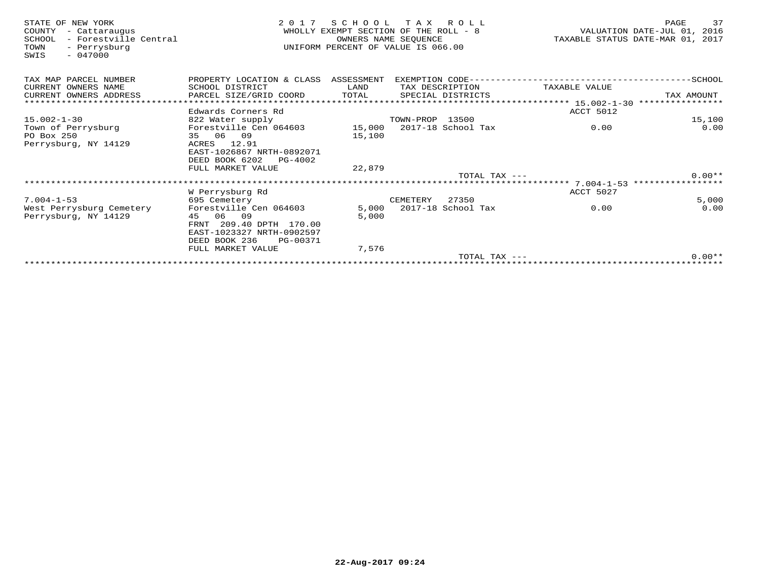| STATE OF NEW YORK<br>COUNTY<br>- Cattaraugus<br>- Forestville Central<br>SCHOOL<br>- Perrysburg<br>TOWN<br>$-047000$<br>SWIS | 2 0 1 7                                     | SCHOOL TAX ROLL<br>WHOLLY EXEMPT SECTION OF THE ROLL - 8<br>UNIFORM PERCENT OF VALUE IS 066.00 | OWNERS NAME SEOUENCE |                           | TAXABLE STATUS DATE-MAR 01, 2017                 | PAGE<br>VALUATION DATE-JUL 01, 2016 | 37       |
|------------------------------------------------------------------------------------------------------------------------------|---------------------------------------------|------------------------------------------------------------------------------------------------|----------------------|---------------------------|--------------------------------------------------|-------------------------------------|----------|
| TAX MAP PARCEL NUMBER                                                                                                        | PROPERTY LOCATION & CLASS                   | ASSESSMENT                                                                                     |                      |                           |                                                  |                                     |          |
| CURRENT OWNERS NAME                                                                                                          | SCHOOL DISTRICT                             | LAND                                                                                           |                      | TAX DESCRIPTION           | TAXABLE VALUE                                    |                                     |          |
| CURRENT OWNERS ADDRESS                                                                                                       | PARCEL SIZE/GRID COORD                      | TOTAL                                                                                          |                      | SPECIAL DISTRICTS         |                                                  | TAX AMOUNT                          |          |
| ******************************                                                                                               |                                             |                                                                                                |                      |                           |                                                  | ****************                    |          |
|                                                                                                                              | Edwards Corners Rd                          |                                                                                                |                      |                           | ACCT 5012                                        |                                     |          |
| $15.002 - 1 - 30$                                                                                                            | 822 Water supply                            |                                                                                                | TOWN-PROP 13500      |                           |                                                  |                                     | 15,100   |
| Town of Perrysburg                                                                                                           | Forestville Cen 064603                      |                                                                                                |                      | 15,000 2017-18 School Tax | 0.00                                             |                                     | 0.00     |
| PO Box 250                                                                                                                   | 35 06 09                                    | 15,100                                                                                         |                      |                           |                                                  |                                     |          |
| Perrysburg, NY 14129                                                                                                         | 12.91<br>ACRES                              |                                                                                                |                      |                           |                                                  |                                     |          |
|                                                                                                                              | EAST-1026867 NRTH-0892071<br>DEED BOOK 6202 |                                                                                                |                      |                           |                                                  |                                     |          |
|                                                                                                                              | PG-4002<br>FULL MARKET VALUE                |                                                                                                |                      |                           |                                                  |                                     |          |
|                                                                                                                              |                                             | 22,879                                                                                         |                      | TOTAL TAX $---$           |                                                  |                                     | $0.00**$ |
|                                                                                                                              |                                             |                                                                                                |                      |                           | ****************** 7.004-1-53 ****************** |                                     |          |
|                                                                                                                              | W Perrysburg Rd                             |                                                                                                |                      |                           | ACCT 5027                                        |                                     |          |
| $7.004 - 1 - 53$                                                                                                             | 695 Cemetery                                |                                                                                                | CEMETERY             | 27350                     |                                                  |                                     | 5,000    |
| West Perrysburg Cemetery                                                                                                     | Forestville Cen 064603                      | 5,000                                                                                          |                      | 2017-18 School Tax        | 0.00                                             |                                     | 0.00     |
| Perrysburg, NY 14129                                                                                                         | 45 06 09                                    | 5,000                                                                                          |                      |                           |                                                  |                                     |          |
|                                                                                                                              | FRNT 209.40 DPTH 170.00                     |                                                                                                |                      |                           |                                                  |                                     |          |
|                                                                                                                              | EAST-1023327 NRTH-0902597                   |                                                                                                |                      |                           |                                                  |                                     |          |
|                                                                                                                              | DEED BOOK 236<br>PG-00371                   |                                                                                                |                      |                           |                                                  |                                     |          |
|                                                                                                                              | FULL MARKET VALUE                           | 7,576                                                                                          |                      |                           |                                                  |                                     |          |
|                                                                                                                              |                                             |                                                                                                |                      | TOTAL TAX $---$           |                                                  |                                     | $0.00**$ |
|                                                                                                                              |                                             |                                                                                                |                      |                           |                                                  |                                     |          |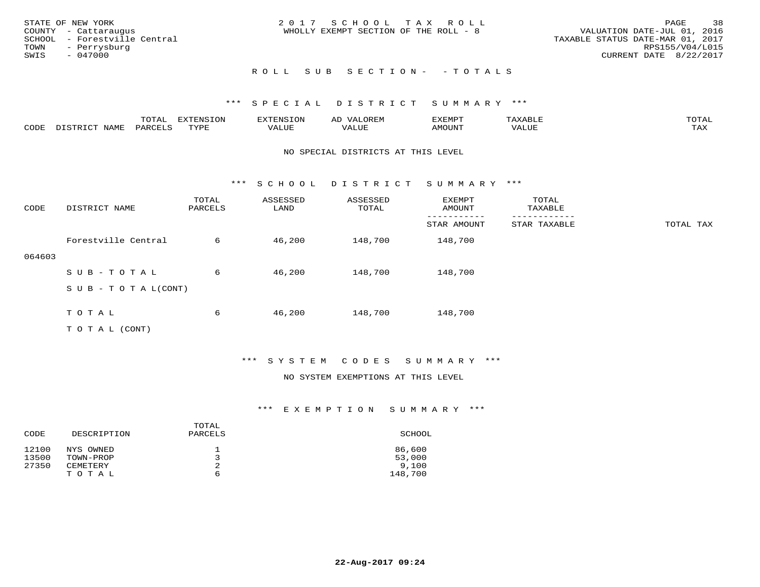|      | STATE OF NEW YORK            | 2017 SCHOOL TAX ROLL                  | PAGE                             | 38              |
|------|------------------------------|---------------------------------------|----------------------------------|-----------------|
|      | COUNTY - Cattaraugus         | WHOLLY EXEMPT SECTION OF THE ROLL - 8 | VALUATION DATE-JUL 01, 2016      |                 |
|      | SCHOOL - Forestville Central |                                       | TAXABLE STATUS DATE-MAR 01, 2017 |                 |
|      | TOWN - Perrysburg            |                                       |                                  | RPS155/V04/L015 |
| SWIS | - 047000                     |                                       | CURRENT DATE 8/22/2017           |                 |
|      |                              |                                       |                                  |                 |

# ROLL SUB SECTION - - TOTALS

#### \*\*\* S P E C I A L D I S T R I C T S U M M A R Y \*\*\*

|      |                  | $m \wedge m \wedge n$<br>LUIAL | H1<br>≀⊤∩™ | ENS           | OREM           | SXEMPT | $max$ and $max$<br>AXABLE | $m \wedge m \wedge n$ |
|------|------------------|--------------------------------|------------|---------------|----------------|--------|---------------------------|-----------------------|
| CODE | NAME<br>DISTRICT | PARCELS                        | TVDF       | <i>J</i> ALUE | 7377<br>. Aluf | AMOUNT | ''ALUL                    | TA Y<br>⊥⇔∆           |

#### NO SPECIAL DISTRICTS AT THIS LEVEL

\*\*\* S C H O O L D I S T R I C T S U M M A R Y \*\*\*

| CODE   | DISTRICT NAME                    | TOTAL<br>PARCELS | ASSESSED<br>LAND | ASSESSED<br>TOTAL | EXEMPT<br>AMOUNT | TOTAL<br>TAXABLE |           |
|--------|----------------------------------|------------------|------------------|-------------------|------------------|------------------|-----------|
|        |                                  |                  |                  |                   | STAR AMOUNT      | STAR TAXABLE     | TOTAL TAX |
|        | Forestville Central              | 6                | 46,200           | 148,700           | 148,700          |                  |           |
| 064603 |                                  |                  |                  |                   |                  |                  |           |
|        | SUB-TOTAL                        | 6                | 46,200           | 148,700           | 148,700          |                  |           |
|        | $S \cup B - T \cup T A L (CONT)$ |                  |                  |                   |                  |                  |           |
|        |                                  |                  |                  |                   |                  |                  |           |
|        | TOTAL                            | 6                | 46,200           | 148,700           | 148,700          |                  |           |
|        | T O T A L (CONT)                 |                  |                  |                   |                  |                  |           |

#### \*\*\* S Y S T E M C O D E S S U M M A R Y \*\*\*

#### NO SYSTEM EXEMPTIONS AT THIS LEVEL

| DESCRIPTION | PARCELS | SCHOOL  |
|-------------|---------|---------|
| NYS OWNED   | ᅩ       | 86,600  |
| TOWN-PROP   |         | 53,000  |
| CEMETERY    | 2       | 9,100   |
| TOTAL       | 6       | 148,700 |
|             |         | TOTAL   |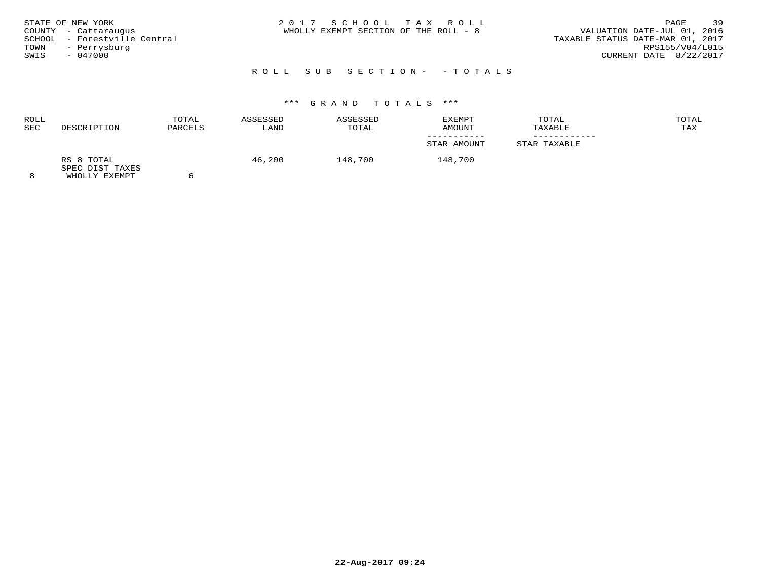| WHOLLY EXEMPT SECTION OF THE ROLL - 8<br>COUNTY - Cattaraugus<br>SCHOOL - Forestville Central<br>- Perrysburg<br>TOWN<br>$-047000$<br>SWIS | STATE OF NEW YORK | 2017 SCHOOL TAX ROLL | 39<br>PAGE<br>VALUATION DATE-JUL 01, 2016<br>TAXABLE STATUS DATE-MAR 01, 2017<br>RPS155/V04/L015<br>CURRENT DATE 8/22/2017 |
|--------------------------------------------------------------------------------------------------------------------------------------------|-------------------|----------------------|----------------------------------------------------------------------------------------------------------------------------|
|--------------------------------------------------------------------------------------------------------------------------------------------|-------------------|----------------------|----------------------------------------------------------------------------------------------------------------------------|

# \*\*\* G R A N D T O T A L S \*\*\*

| ROLL<br>SEC | DESCRIPTION                                           | TOTAL<br>PARCELS | ASSESSED<br>LAND | ASSESSED<br>TOTAL | EXEMPT<br>AMOUNT | TOTAL<br>TAXABLE | TOTAL<br>TAX |
|-------------|-------------------------------------------------------|------------------|------------------|-------------------|------------------|------------------|--------------|
|             |                                                       |                  |                  |                   | STAR AMOUNT      | STAR TAXABLE     |              |
|             | RS 8 TOTAL<br>SPEC DIST TAXES<br><b>WUOTIV EVEMBT</b> |                  | 46,200           | 148,700           | 148,700          |                  |              |

8 WHOLLY EXEMPT 6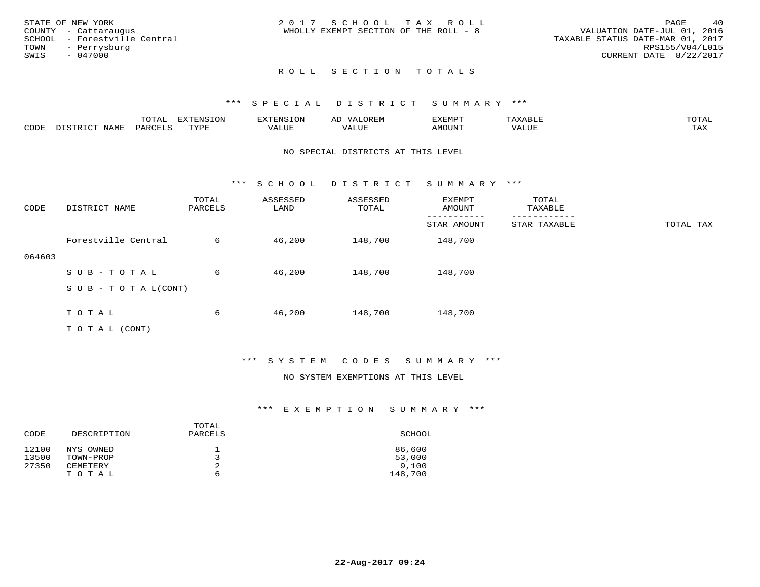|      | STATE OF NEW YORK            | 2017 SCHOOL TAX ROLL                  |  |                                  |                        | PAGE | 40 |
|------|------------------------------|---------------------------------------|--|----------------------------------|------------------------|------|----|
|      | COUNTY - Cattaraugus         | WHOLLY EXEMPT SECTION OF THE ROLL - 8 |  | VALUATION DATE-JUL 01, 2016      |                        |      |    |
|      | SCHOOL - Forestville Central |                                       |  | TAXABLE STATUS DATE-MAR 01, 2017 |                        |      |    |
| TOWN | - Perrysburg                 |                                       |  |                                  | RPS155/V04/L015        |      |    |
| SWIS | - 047000                     |                                       |  |                                  | CURRENT DATE 8/22/2017 |      |    |
|      |                              |                                       |  |                                  |                        |      |    |

#### \*\*\* S P E C I A L D I S T R I C T S U M M A R Y \*\*\*

|      |                  | $m \wedge m \wedge n$<br>LUIAL | H1<br>≀⊤∩™ | ENS           | OREM           | SXEMPT | $max$ is $max$ $n$<br>AXABLE | $m \wedge m \wedge n$ |
|------|------------------|--------------------------------|------------|---------------|----------------|--------|------------------------------|-----------------------|
| CODE | NAME<br>DISTRICT | PARCELS                        | TVDF       | <i>J</i> ALUE | 7377<br>. Aluf | AMOUNT | ''ALUL                       | TA Y<br>⊥⇔∆           |

#### NO SPECIAL DISTRICTS AT THIS LEVEL

\*\*\* S C H O O L D I S T R I C T S U M M A R Y \*\*\*

| CODE   | DISTRICT NAME             | TOTAL<br>PARCELS | ASSESSED<br>LAND | ASSESSED<br>TOTAL | EXEMPT<br>AMOUNT | TOTAL<br>TAXABLE |           |
|--------|---------------------------|------------------|------------------|-------------------|------------------|------------------|-----------|
|        |                           |                  |                  |                   | STAR AMOUNT      | STAR TAXABLE     | TOTAL TAX |
|        | Forestville Central       | 6                | 46,200           | 148,700           | 148,700          |                  |           |
| 064603 |                           |                  |                  |                   |                  |                  |           |
|        | SUB-TOTAL                 | 6                | 46,200           | 148,700           | 148,700          |                  |           |
|        | S U B - T O T A $L(CONT)$ |                  |                  |                   |                  |                  |           |
|        |                           |                  |                  |                   |                  |                  |           |
|        | T O T A L                 | 6                | 46,200           | 148,700           | 148,700          |                  |           |
|        | T O T A L (CONT)          |                  |                  |                   |                  |                  |           |

#### \*\*\* S Y S T E M C O D E S S U M M A R Y \*\*\*

#### NO SYSTEM EXEMPTIONS AT THIS LEVEL

|       |             | TOTAL   |         |
|-------|-------------|---------|---------|
| CODE  | DESCRIPTION | PARCELS | SCHOOL  |
| 12100 | NYS OWNED   | ᅩ       | 86,600  |
| 13500 | TOWN-PROP   |         | 53,000  |
| 27350 | CEMETERY    | 2       | 9,100   |
|       | T O T A L   | 6       | 148,700 |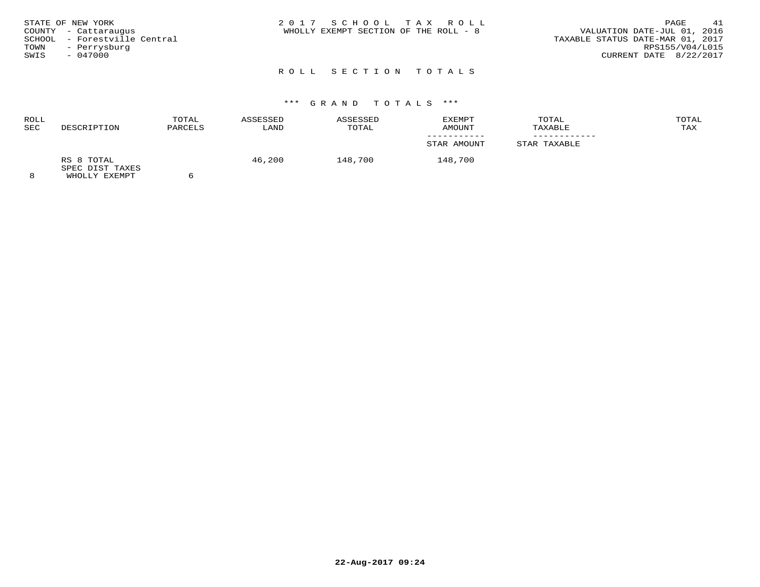# \*\*\* G R A N D T O T A L S \*\*\*

| ROLL    |                               | TOTAL   | ASSESSED | ASSESSED | EXEMPT      | TOTAL        | TOTAL |
|---------|-------------------------------|---------|----------|----------|-------------|--------------|-------|
| SEC     | DESCRIPTION                   | PARCELS | LAND     | TOTAL    | AMOUNT      | TAXABLE      | TAX   |
|         |                               |         |          |          |             |              |       |
|         |                               |         |          |          | STAR AMOUNT | STAR TAXABLE |       |
|         | RS 8 TOTAL<br>SPEC DIST TAXES |         | 46,200   | 148,700  | 148,700     |              |       |
| $\circ$ | <b>WUOTIV EVEMBT</b>          |         |          |          |             |              |       |

8 WHOLLY EXEMPT 6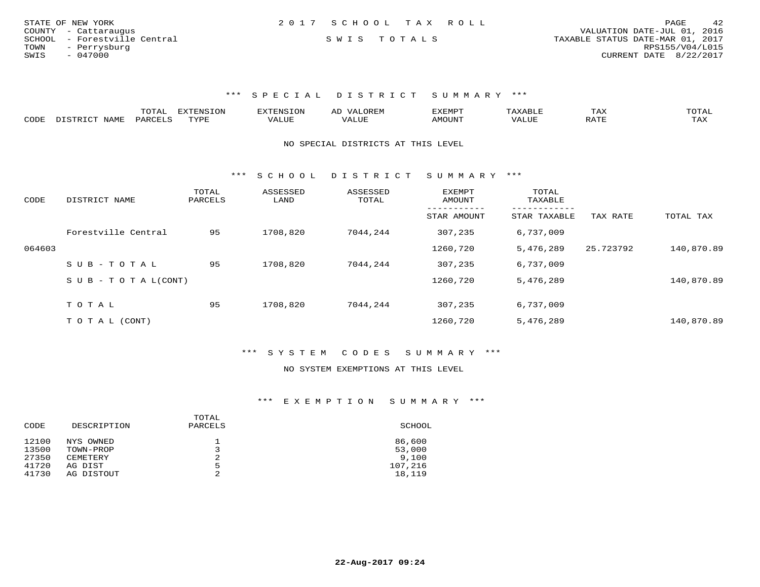| STATE OF NEW YORK            | 2017 SCHOOL TAX ROLL | 42<br>PAGE                       |
|------------------------------|----------------------|----------------------------------|
| COUNTY - Cattaraugus         |                      | VALUATION DATE-JUL 01, 2016      |
| SCHOOL - Forestville Central | SWIS TOTALS          | TAXABLE STATUS DATE-MAR 01, 2017 |
| TOWN<br>- Perrysburg         |                      | RPS155/V04/L015                  |
| SWIS<br>$-047000$            |                      | CURRENT DATE 8/22/2017           |

\*\*\* S P E C I A L D I S T R I C T S U M M A R Y \*\*\*

|      |                            | UIAI                | ד סוות של<br>LON | ∴N.S  | AL | XEMP.        |        | TAX                           |     |
|------|----------------------------|---------------------|------------------|-------|----|--------------|--------|-------------------------------|-----|
| CODE | <b>NAME</b><br>. פידס דמיי | PARCEL <sup>C</sup> | <b>TVDF</b>      | 1 U P |    | <b>MOUN'</b> | 7ALUL. | $1.7$ m <sup>-</sup><br>KA L. | TAX |

NO SPECIAL DISTRICTS AT THIS LEVEL

\*\*\* S C H O O L D I S T R I C T S U M M A R Y \*\*\*

| CODE   | DISTRICT NAME              | TOTAL<br>PARCELS | ASSESSED<br>LAND | ASSESSED<br>TOTAL | <b>EXEMPT</b><br>AMOUNT | TOTAL<br>TAXABLE         |           |            |
|--------|----------------------------|------------------|------------------|-------------------|-------------------------|--------------------------|-----------|------------|
|        |                            |                  |                  |                   | STAR AMOUNT             | --------<br>STAR TAXABLE | TAX RATE  | TOTAL TAX  |
|        | Forestville Central        | 95               | 1708,820         | 7044,244          | 307,235                 | 6,737,009                |           |            |
| 064603 |                            |                  |                  |                   | 1260,720                | 5,476,289                | 25.723792 | 140,870.89 |
|        | SUB-TOTAL                  | 95               | 1708,820         | 7044,244          | 307,235                 | 6,737,009                |           |            |
|        | S U B - T O T A $L$ (CONT) |                  |                  |                   | 1260,720                | 5,476,289                |           | 140,870.89 |
|        | TOTAL                      | 95               | 1708,820         | 7044,244          | 307,235                 | 6,737,009                |           |            |
|        |                            |                  |                  |                   |                         |                          |           |            |
|        | T O T A L (CONT)           |                  |                  |                   | 1260,720                | 5,476,289                |           | 140,870.89 |

\*\*\* S Y S T E M C O D E S S U M M A R Y \*\*\*

#### NO SYSTEM EXEMPTIONS AT THIS LEVEL

| DESCRIPTION<br>PARCELS<br>CODE | SCHOOL  |
|--------------------------------|---------|
| 12100<br>NYS OWNED<br>ᅩ        | 86,600  |
| 13500<br>TOWN-PROP             | 53,000  |
| 2<br>27350<br>CEMETERY         | 9,100   |
| 41720<br>5<br>AG DIST          | 107,216 |
| 41730<br>◠<br>AG DISTOUT       | 18,119  |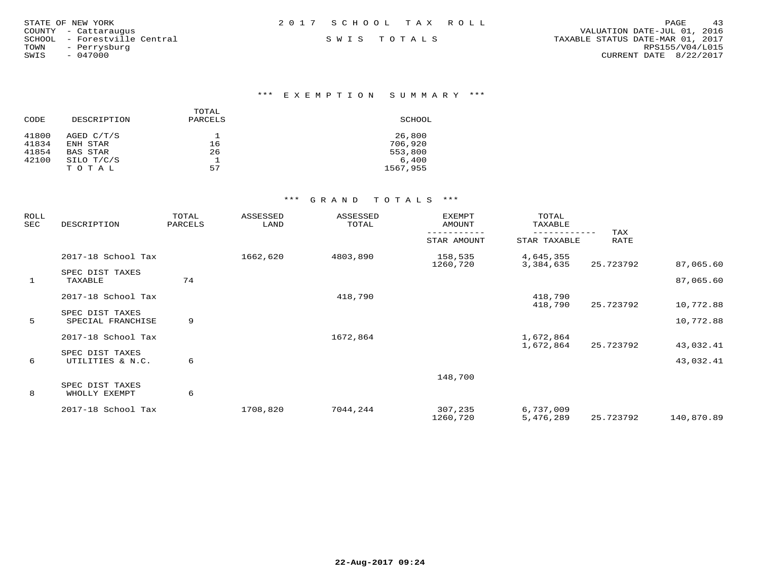| STATE OF NEW YORK            | 2017 SCHOOL TAX ROLL | 43<br><b>PAGE</b>                |
|------------------------------|----------------------|----------------------------------|
| COUNTY - Cattaraugus         |                      | VALUATION DATE-JUL 01, 2016      |
| SCHOOL - Forestville Central | SWIS TOTALS          | TAXABLE STATUS DATE-MAR 01, 2017 |
| TOWN<br>- Perrysburg         |                      | RPS155/V04/L015                  |
| $-047000$<br>SWIS            |                      | CURRENT DATE 8/22/2017           |
|                              |                      |                                  |
|                              |                      |                                  |

#### \*\*\* E X E M P T I O N S U M M A R Y \*\*\*

| CODE  | DESCRIPTION | TOTAL<br>PARCELS | SCHOOL   |
|-------|-------------|------------------|----------|
| 41800 | AGED C/T/S  |                  | 26,800   |
| 41834 | ENH STAR    | 16               | 706,920  |
| 41854 | BAS STAR    | 26               | 553,800  |
| 42100 | SILO T/C/S  |                  | 6.400    |
|       | TOTAL       | 57               | 1567,955 |

| ROLL<br>SEC  | DESCRIPTION                          | TOTAL<br>PARCELS | ASSESSED<br>LAND | ASSESSED<br>TOTAL | EXEMPT<br>AMOUNT    | TOTAL<br>TAXABLE       |             |            |
|--------------|--------------------------------------|------------------|------------------|-------------------|---------------------|------------------------|-------------|------------|
|              |                                      |                  |                  |                   | STAR AMOUNT         | STAR TAXABLE           | TAX<br>RATE |            |
|              | 2017-18 School Tax                   |                  | 1662,620         | 4803,890          | 158,535<br>1260,720 | 4,645,355<br>3,384,635 | 25.723792   | 87,065.60  |
| $\mathbf{1}$ | SPEC DIST TAXES<br>TAXABLE           | 74               |                  |                   |                     |                        |             | 87,065.60  |
|              | 2017-18 School Tax                   |                  |                  | 418,790           |                     | 418,790<br>418,790     | 25.723792   | 10,772.88  |
| 5            | SPEC DIST TAXES<br>SPECIAL FRANCHISE | 9                |                  |                   |                     |                        |             | 10,772.88  |
|              | 2017-18 School Tax                   |                  |                  | 1672,864          |                     | 1,672,864<br>1,672,864 | 25.723792   | 43,032.41  |
| 6            | SPEC DIST TAXES<br>UTILITIES & N.C.  | 6                |                  |                   |                     |                        |             | 43,032.41  |
| 8            | SPEC DIST TAXES<br>WHOLLY EXEMPT     | 6                |                  |                   | 148,700             |                        |             |            |
|              | 2017-18 School Tax                   |                  | 1708,820         | 7044,244          | 307,235<br>1260,720 | 6,737,009<br>5,476,289 | 25.723792   | 140,870.89 |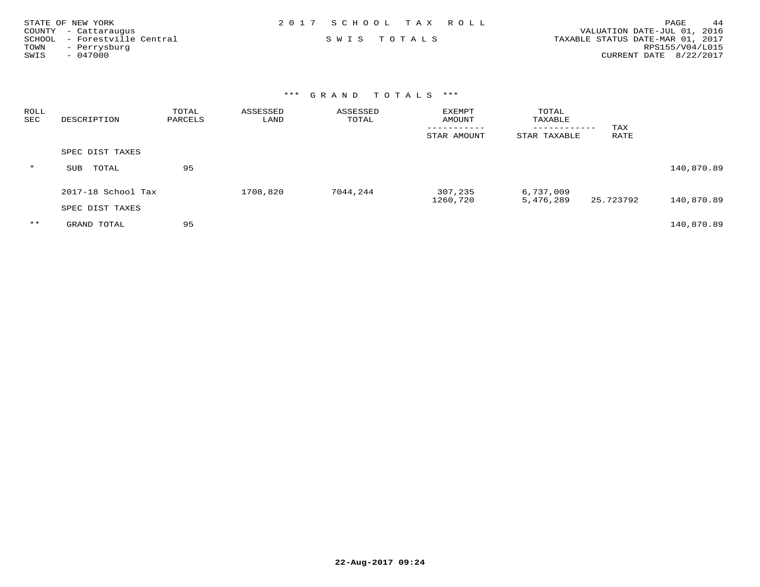| STATE OF NEW YORK            | 2017 SCHOOL TAX ROLL | 44<br>PAGE                       |
|------------------------------|----------------------|----------------------------------|
| COUNTY - Cattaraugus         |                      | VALUATION DATE-JUL 01, 2016      |
| SCHOOL - Forestville Central | SWIS TOTALS          | TAXABLE STATUS DATE-MAR 01, 2017 |
| - Perrysburg<br>TOWN         |                      | RPS155/V04/L015                  |
| SWIS<br>- 047000             |                      | CURRENT DATE 8/22/2017           |

| <b>ROLL</b><br>SEC | DESCRIPTION        | TOTAL<br>PARCELS | ASSESSED<br>LAND | ASSESSED<br>TOTAL | <b>EXEMPT</b><br>AMOUNT | TOTAL<br>TAXABLE           |             |            |
|--------------------|--------------------|------------------|------------------|-------------------|-------------------------|----------------------------|-------------|------------|
|                    |                    |                  |                  |                   | STAR AMOUNT             | ----------<br>STAR TAXABLE | TAX<br>RATE |            |
|                    | SPEC DIST TAXES    |                  |                  |                   |                         |                            |             |            |
| $\star$            | TOTAL<br>SUB       | 95               |                  |                   |                         |                            |             | 140,870.89 |
|                    | 2017-18 School Tax |                  | 1708,820         | 7044,244          | 307,235<br>1260,720     | 6,737,009<br>5,476,289     | 25.723792   | 140,870.89 |
|                    | SPEC DIST TAXES    |                  |                  |                   |                         |                            |             |            |
| $***$              | GRAND TOTAL        | 95               |                  |                   |                         |                            |             | 140,870.89 |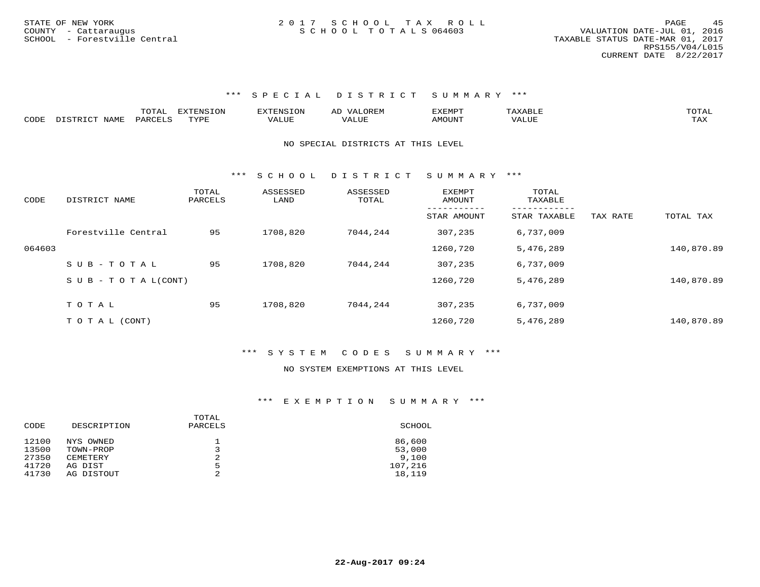#### \*\*\* S P E C I A L D I S T R I C T S U M M A R Y \*\*\*

|      |               | TOTAL   | <b>EXTENSION</b> | EXTENSION        | <b>OREM</b><br>$\mathbf{V}^{\mathbf{A}}$<br>AD | EXEMPT |       | . JTAL- |
|------|---------------|---------|------------------|------------------|------------------------------------------------|--------|-------|---------|
| CODE | DISTRICT NAME | PARCELS | TYPR.            | 7377<br>ا للطة ا | `'ALUL                                         | AMOUNT | VALU. | TAX     |

#### NO SPECIAL DISTRICTS AT THIS LEVEL

\*\*\* S C H O O L D I S T R I C T S U M M A R Y \*\*\*

| CODE   | DISTRICT NAME             | TOTAL<br>PARCELS | ASSESSED<br>LAND | ASSESSED<br>TOTAL | EXEMPT<br>AMOUNT | TOTAL<br>TAXABLE |          |            |
|--------|---------------------------|------------------|------------------|-------------------|------------------|------------------|----------|------------|
|        |                           |                  |                  |                   | STAR AMOUNT      | STAR TAXABLE     | TAX RATE | TOTAL TAX  |
|        | Forestville Central       | 95               | 1708,820         | 7044,244          | 307,235          | 6,737,009        |          |            |
| 064603 |                           |                  |                  |                   | 1260,720         | 5,476,289        |          | 140,870.89 |
|        | SUB-TOTAL                 | 95               | 1708,820         | 7044,244          | 307,235          | 6,737,009        |          |            |
|        | S U B - T O T A $L(CONT)$ |                  |                  |                   | 1260,720         | 5,476,289        |          | 140,870.89 |
|        |                           |                  |                  |                   |                  |                  |          |            |
|        | TOTAL                     | 95               | 1708,820         | 7044,244          | 307,235          | 6,737,009        |          |            |
|        | TO TAL (CONT)             |                  |                  |                   | 1260,720         | 5,476,289        |          | 140,870.89 |

#### \*\*\* S Y S T E M C O D E S S U M M A R Y \*\*\*

#### NO SYSTEM EXEMPTIONS AT THIS LEVEL

| DESCRIPTION | TOTAL<br>PARCELS | SCHOOL  |
|-------------|------------------|---------|
| NYS OWNED   | ᅩ                | 86,600  |
| TOWN-PROP   | - 7              | 53,000  |
| CEMETERY    | 2                | 9,100   |
| AG DIST     | 5                | 107,216 |
| AG DISTOUT  | ◠                | 18,119  |
|             |                  |         |